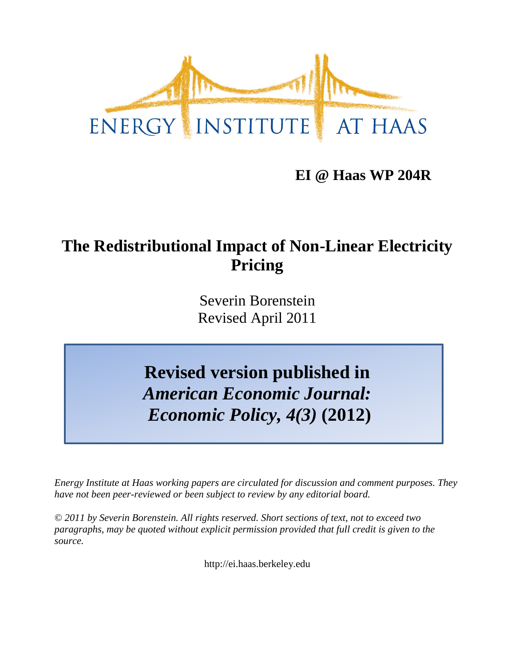

# **EI @ Haas WP 204R**

# **The Redistributional Impact of Non-Linear Electricity Pricing**

Severin Borenstein Revised April 2011

**Revised version published in** *American Economic Journal: Economic Policy, 4(3)* **(2012)**

*Energy Institute at Haas working papers are circulated for discussion and comment purposes. They have not been peer-reviewed or been subject to review by any editorial board.*

*© 2011 by Severin Borenstein. All rights reserved. Short sections of text, not to exceed two paragraphs, may be quoted without explicit permission provided that full credit is given to the source.*

http://ei.haas.berkeley.edu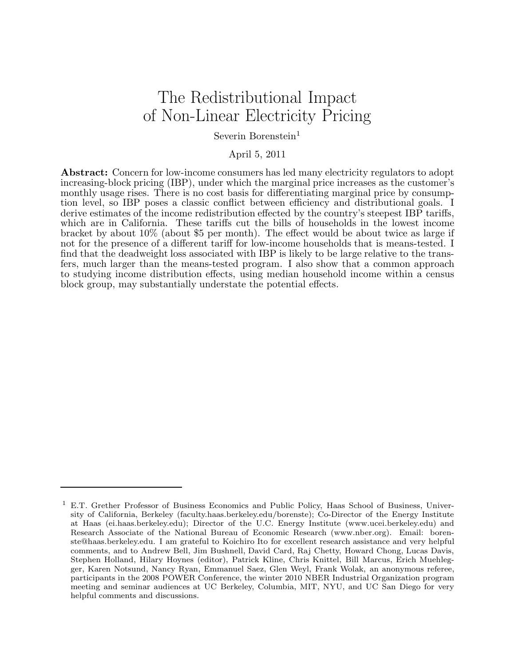# The Redistributional Impact of Non-Linear Electricity Pricing

# Severin Borenstein<sup>1</sup>

# April 5, 2011

Abstract: Concern for low-income consumers has led many electricity regulators to adopt increasing-block pricing (IBP), under which the marginal price increases as the customer's monthly usage rises. There is no cost basis for differentiating marginal price by consumption level, so IBP poses a classic conflict between efficiency and distributional goals. I derive estimates of the income redistribution effected by the country's steepest IBP tariffs, which are in California. These tariffs cut the bills of households in the lowest income bracket by about 10% (about \$5 per month). The effect would be about twice as large if not for the presence of a different tariff for low-income households that is means-tested. I find that the deadweight loss associated with IBP is likely to be large relative to the transfers, much larger than the means-tested program. I also show that a common approach to studying income distribution effects, using median household income within a census block group, may substantially understate the potential effects.

<sup>&</sup>lt;sup>1</sup> E.T. Grether Professor of Business Economics and Public Policy, Haas School of Business, University of California, Berkeley (faculty.haas.berkeley.edu/borenste); Co-Director of the Energy Institute at Haas (ei.haas.berkeley.edu); Director of the U.C. Energy Institute (www.ucei.berkeley.edu) and Research Associate of the National Bureau of Economic Research (www.nber.org). Email: borenste@haas.berkeley.edu. I am grateful to Koichiro Ito for excellent research assistance and very helpful comments, and to Andrew Bell, Jim Bushnell, David Card, Raj Chetty, Howard Chong, Lucas Davis, Stephen Holland, Hilary Hoynes (editor), Patrick Kline, Chris Knittel, Bill Marcus, Erich Muehlegger, Karen Notsund, Nancy Ryan, Emmanuel Saez, Glen Weyl, Frank Wolak, an anonymous referee, participants in the 2008 POWER Conference, the winter 2010 NBER Industrial Organization program meeting and seminar audiences at UC Berkeley, Columbia, MIT, NYU, and UC San Diego for very helpful comments and discussions.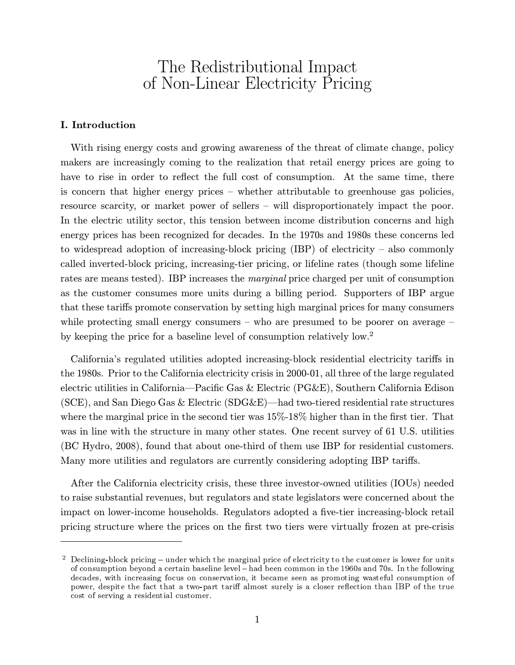# The Redistributional Impact of Non-Linear Electricity Pricing

# I. Introduction

With rising energy costs and growing awareness of the threat of climate change, policy makers are increasingly coming to the realization that retail energy prices are going to have to rise in order to reflect the full cost of consumption. At the same time, there is concern that higher energy prices — whether attributable to greenhouse gas policies, resource scarcity, or market power of sellers — will disproportionately impact the poor. In the electric utility sector, this tension between income distribution concerns and high energy prices has been recognized for decades. In the 1970s and 1980s these concerns led to widespread adoption of increasing-block pricing (IBP) of electricity — also commonly called inverted-block pricing, increasing-tier pricing, or lifeline rates (though some lifeline rates are means tested). IBP increases the marginal price charged per unit of consumption as the customer consumes more units during a billing period. Supporters of IBP argue that these tariffs promote conservation by setting high marginal prices for many consumers while protecting small energy consumers  $-$  who are presumed to be poorer on average  $$ by keeping the price for a baseline level of consumption relatively low.<sup>2</sup>

California's regulated utilities adopted increasing-block residential electricity tariffs in the 1980s. Prior to the California electricity crisis in 2000-01, all three of the large regulated electric utilities in California–Pacific Gas & Electric (PG&E), Southern California Edison  $(SCE)$ , and San Diego Gas & Electric  $(SDG\&E)$ —had two-tiered residential rate structures where the marginal price in the second tier was 15%-18% higher than in the first tier. That was in line with the structure in many other states. One recent survey of 61 U.S. utilities (BC Hydro, 2008), found that about one-third of them use IBP for residential customers. Many more utilities and regulators are currently considering adopting IBP tariffs.

After the California electricity crisis, these three investor-owned utilities (IOUs) needed to raise substantial revenues, but regulators and state legislators were concerned about the impact on lower-income households. Regulators adopted a five-tier increasing-block retail pricing structure where the prices on the first two tiers were virtually frozen at pre-crisis

 $2$  Declining-block pricing – under which the marginal price of electricity to the customer is lower for units of consumption beyond a certain baseline level — had been common in the 1960s and 70s. In the following decades, with increasing focus on conservation, it became seen as promoting wasteful consumption of power, despite the fact that a two-part tariff almost surely is a closer reflection than IBP of the true cost of serving a residential customer.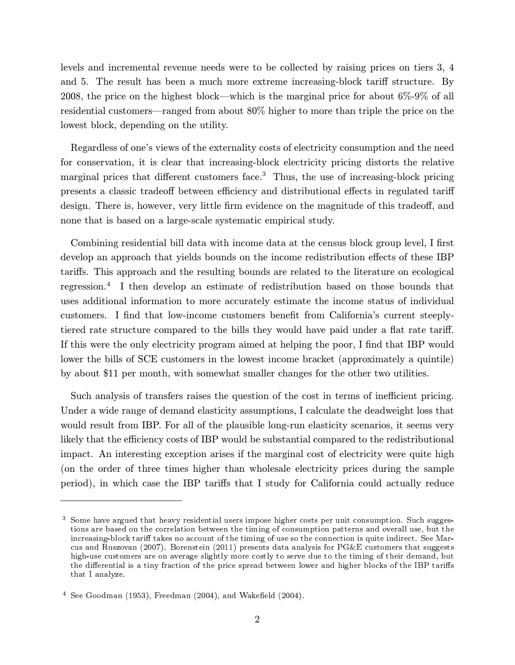levels and incremental revenue needs were to be collected by raising prices on tiers 3, 4 and 5. The result has been a much more extreme increasing-block tariff structure. By 2008, the price on the highest block–which is the marginal price for about 6%-9% of all residential customers–ranged from about 80% higher to more than triple the price on the lowest block, depending on the utility.

Regardless of one's views of the externality costs of electricity consumption and the need for conservation, it is clear that increasing-block electricity pricing distorts the relative marginal prices that different customers face.<sup>3</sup> Thus, the use of increasing-block pricing presents a classic tradeoff between efficiency and distributional effects in regulated tariff design. There is, however, very little firm evidence on the magnitude of this tradeoff, and none that is based on a large-scale systematic empirical study.

Combining residential bill data with income data at the census block group level, I first develop an approach that yields bounds on the income redistribution effects of these IBP tariffs. This approach and the resulting bounds are related to the literature on ecological regression.<sup>4</sup> I then develop an estimate of redistribution based on those bounds that uses additional information to more accurately estimate the income status of individual customers. I find that low-income customers benefit from California's current steeplytiered rate structure compared to the bills they would have paid under a flat rate tariff. If this were the only electricity program aimed at helping the poor, I find that IBP would lower the bills of SCE customers in the lowest income bracket (approximately a quintile) by about \$11 per month, with somewhat smaller changes for the other two utilities.

Such analysis of transfers raises the question of the cost in terms of inefficient pricing. Under a wide range of demand elasticity assumptions, I calculate the deadweight loss that would result from IBP. For all of the plausible long-run elasticity scenarios, it seems very likely that the efficiency costs of IBP would be substantial compared to the redistributional impact. An interesting exception arises if the marginal cost of electricity were quite high (on the order of three times higher than wholesale electricity prices during the sample period), in which case the IBP tariffs that I study for California could actually reduce

<sup>&</sup>lt;sup>3</sup> Some have argued that heavy residential users impose higher costs per unit consumption. Such suggestions are based on the correlation between the timing of consumption patterns and overall use, but the increasing-block tariff takes no account of the timing of use so the connection is quite indirect. See Marcus and Ruszovan (2007). Borenstein (2011) presents data analysis for PG&E customers that suggests high-use customers are on average slightly more costly to serve due to the timing of their demand, but the differential is a tiny fraction of the price spread between lower and higher blocks of the IBP tariffs that I analyze.

<sup>4</sup> See Goodman (1953), Freedman (2004), and Wakefield (2004).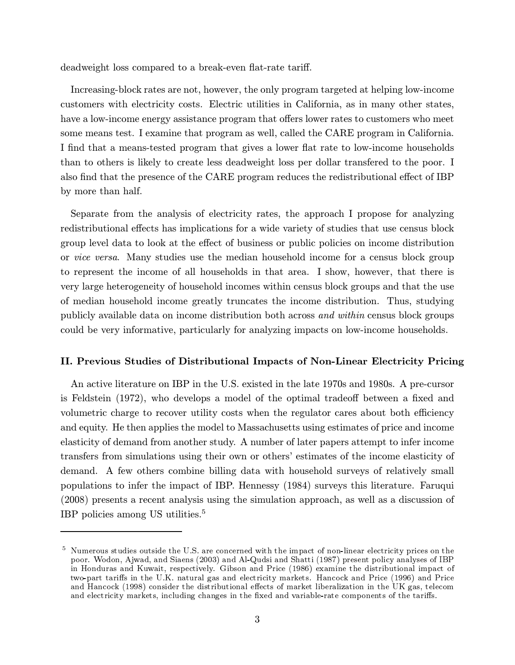deadweight loss compared to a break-even flat-rate tariff.

Increasing-block rates are not, however, the only program targeted at helping low-income customers with electricity costs. Electric utilities in California, as in many other states, have a low-income energy assistance program that offers lower rates to customers who meet some means test. I examine that program as well, called the CARE program in California. I find that a means-tested program that gives a lower flat rate to low-income households than to others is likely to create less deadweight loss per dollar transfered to the poor. I also find that the presence of the CARE program reduces the redistributional effect of IBP by more than half.

Separate from the analysis of electricity rates, the approach I propose for analyzing redistributional effects has implications for a wide variety of studies that use census block group level data to look at the effect of business or public policies on income distribution or vice versa. Many studies use the median household income for a census block group to represent the income of all households in that area. I show, however, that there is very large heterogeneity of household incomes within census block groups and that the use of median household income greatly truncates the income distribution. Thus, studying publicly available data on income distribution both across and within census block groups could be very informative, particularly for analyzing impacts on low-income households.

#### II. Previous Studies of Distributional Impacts of Non-Linear Electricity Pricing

An active literature on IBP in the U.S. existed in the late 1970s and 1980s. A pre-cursor is Feldstein (1972), who develops a model of the optimal tradeoff between a fixed and volumetric charge to recover utility costs when the regulator cares about both efficiency and equity. He then applies the model to Massachusetts using estimates of price and income elasticity of demand from another study. A number of later papers attempt to infer income transfers from simulations using their own or others' estimates of the income elasticity of demand. A few others combine billing data with household surveys of relatively small populations to infer the impact of IBP. Hennessy (1984) surveys this literature. Faruqui (2008) presents a recent analysis using the simulation approach, as well as a discussion of IBP policies among US utilities.<sup>5</sup>

 $5$  Numerous studies outside the U.S. are concerned with the impact of non-linear electricity prices on the poor. Wodon, Ajwad, and Siaens (2003) and Al-Qudsi and Shatti (1987) present policy analyses of IBP in Honduras and Kuwait, respectively. Gibson and Price (1986) examine the distributional impact of two-part tariffs in the U.K. natural gas and electricity markets. Hancock and Price (1996) and Price and Hancock (1998) consider the distributional effects of market liberalization in the UK gas, telecom and electricity markets, including changes in the fixed and variable-rate components of the tariffs.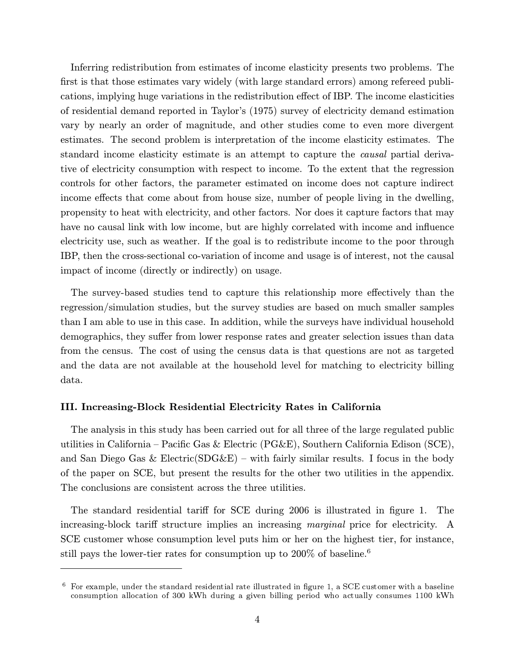Inferring redistribution from estimates of income elasticity presents two problems. The first is that those estimates vary widely (with large standard errors) among refereed publications, implying huge variations in the redistribution effect of IBP. The income elasticities of residential demand reported in Taylor's (1975) survey of electricity demand estimation vary by nearly an order of magnitude, and other studies come to even more divergent estimates. The second problem is interpretation of the income elasticity estimates. The standard income elasticity estimate is an attempt to capture the causal partial derivative of electricity consumption with respect to income. To the extent that the regression controls for other factors, the parameter estimated on income does not capture indirect income effects that come about from house size, number of people living in the dwelling, propensity to heat with electricity, and other factors. Nor does it capture factors that may have no causal link with low income, but are highly correlated with income and influence electricity use, such as weather. If the goal is to redistribute income to the poor through IBP, then the cross-sectional co-variation of income and usage is of interest, not the causal impact of income (directly or indirectly) on usage.

The survey-based studies tend to capture this relationship more effectively than the regression/simulation studies, but the survey studies are based on much smaller samples than I am able to use in this case. In addition, while the surveys have individual household demographics, they suffer from lower response rates and greater selection issues than data from the census. The cost of using the census data is that questions are not as targeted and the data are not available at the household level for matching to electricity billing data.

### III. Increasing-Block Residential Electricity Rates in California

The analysis in this study has been carried out for all three of the large regulated public utilities in California — Pacific Gas & Electric (PG&E), Southern California Edison (SCE), and San Diego Gas & Electric( $SDG\&E$ ) – with fairly similar results. I focus in the body of the paper on SCE, but present the results for the other two utilities in the appendix. The conclusions are consistent across the three utilities.

The standard residential tariff for SCE during 2006 is illustrated in figure 1. The increasing-block tariff structure implies an increasing marginal price for electricity. A SCE customer whose consumption level puts him or her on the highest tier, for instance, still pays the lower-tier rates for consumption up to  $200\%$  of baseline.<sup>6</sup>

 $6\,$  For example, under the standard residential rate illustrated in figure 1, a SCE customer with a baseline consumption allocation of 300 kWh during a given billing period who actually consumes 1100 kWh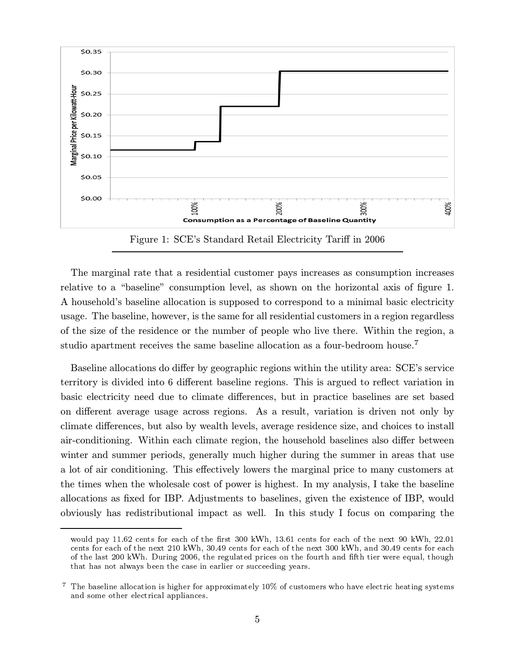

Figure 1: SCE's Standard Retail Electricity Tariff in 2006

The marginal rate that a residential customer pays increases as consumption increases relative to a "baseline" consumption level, as shown on the horizontal axis of figure 1. A household's baseline allocation is supposed to correspond to a minimal basic electricity usage. The baseline, however, is the same for all residential customers in a region regardless of the size of the residence or the number of people who live there. Within the region, a studio apartment receives the same baseline allocation as a four-bedroom house.<sup>7</sup>

Baseline allocations do differ by geographic regions within the utility area: SCE's service territory is divided into 6 different baseline regions. This is argued to reflect variation in basic electricity need due to climate differences, but in practice baselines are set based on different average usage across regions. As a result, variation is driven not only by climate differences, but also by wealth levels, average residence size, and choices to install air-conditioning. Within each climate region, the household baselines also differ between winter and summer periods, generally much higher during the summer in areas that use a lot of air conditioning. This effectively lowers the marginal price to many customers at the times when the wholesale cost of power is highest. In my analysis, I take the baseline allocations as fixed for IBP. Adjustments to baselines, given the existence of IBP, would obviously has redistributional impact as well. In this study I focus on comparing the

would pay 11.62 cents for each of the first 300 kWh, 13.61 cents for each of the next 90 kWh, 22.01 cents for each of the next 210 kWh, 30.49 cents for each of the next 300 kWh, and 30.49 cents for each of the last 200 kWh. During 2006, the regulated prices on the fourth and fifth tier were equal, though that has not always been the case in earlier or succeeding years.

 $7$  The baseline allocation is higher for approximately 10% of customers who have electric heating systems and some other electrical appliances.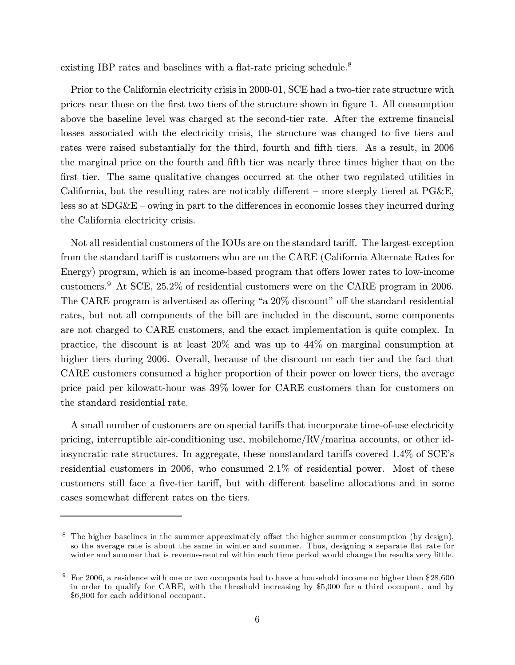existing IBP rates and baselines with a flat-rate pricing schedule.<sup>8</sup>

Prior to the California electricity crisis in 2000-01, SCE had a two-tier rate structure with prices near those on the first two tiers of the structure shown in figure 1. All consumption above the baseline level was charged at the second-tier rate. After the extreme financial losses associated with the electricity crisis, the structure was changed to five tiers and rates were raised substantially for the third, fourth and fifth tiers. As a result, in 2006 the marginal price on the fourth and fifth tier was nearly three times higher than on the first tier. The same qualitative changes occurred at the other two regulated utilities in California, but the resulting rates are noticably different — more steeply tiered at PG&E, less so at SDG&E — owing in part to the differences in economic losses they incurred during the California electricity crisis.

Not all residential customers of the IOUs are on the standard tariff. The largest exception from the standard tariff is customers who are on the CARE (California Alternate Rates for Energy) program, which is an income-based program that offers lower rates to low-income customers.<sup>9</sup> At SCE, 25.2% of residential customers were on the CARE program in 2006. The CARE program is advertised as offering "a 20% discount" off the standard residential rates, but not all components of the bill are included in the discount, some components are not charged to CARE customers, and the exact implementation is quite complex. In practice, the discount is at least 20% and was up to 44% on marginal consumption at higher tiers during 2006. Overall, because of the discount on each tier and the fact that CARE customers consumed a higher proportion of their power on lower tiers, the average price paid per kilowatt-hour was 39% lower for CARE customers than for customers on the standard residential rate.

A small number of customers are on special tariffs that incorporate time-of-use electricity pricing, interruptible air-conditioning use, mobilehome/RV/marina accounts, or other idiosyncratic rate structures. In aggregate, these nonstandard tariffs covered 1.4% of SCE's residential customers in 2006, who consumed 2.1% of residential power. Most of these customers still face a five-tier tariff, but with different baseline allocations and in some cases somewhat different rates on the tiers.

 $8$  The higher baselines in the summer approximately offset the higher summer consumption (by design), so the average rate is about the same in winter and summer. Thus, designing a separate flat rate for winter and summer that is revenue-neutral within each time period would change the results very little.

<sup>9</sup> For 2006, a residence with one or two occupants had to have a household income no higher than \$28,600 in order to qualify for CARE, with the threshold increasing by \$5,000 for a third occupant, and by \$6,900 for each additional occupant.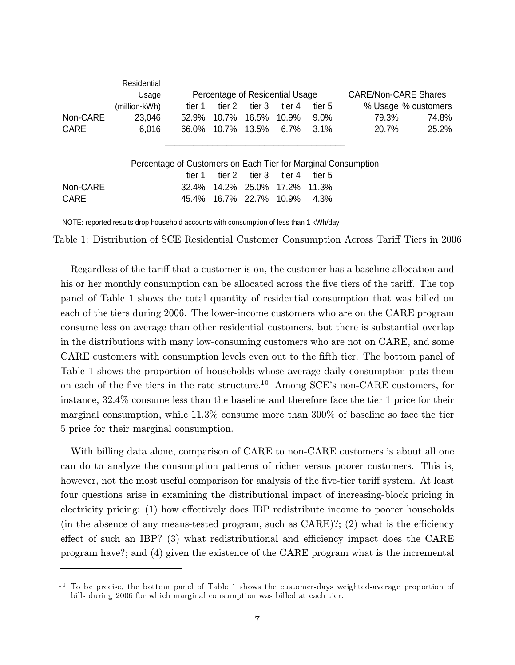|          | Residential   |                                                               |        |                                 |         |         |                             |                     |  |
|----------|---------------|---------------------------------------------------------------|--------|---------------------------------|---------|---------|-----------------------------|---------------------|--|
|          | Usage         |                                                               |        | Percentage of Residential Usage |         |         | <b>CARE/Non-CARE Shares</b> |                     |  |
|          | (million-kWh) | tier 1                                                        | tier 2 | tier 3                          | tier 4  | tier 5  |                             | % Usage % customers |  |
| Non-CARE | 23,046        | 52.9%                                                         |        | 10.7% 16.5%                     | 10.9%   | $9.0\%$ | 79.3%                       | 74.8%               |  |
| CARE     | 6,016         | 66.0%                                                         |        | 10.7% 13.5%                     | $6.7\%$ | 3.1%    | 20.7%                       | 25.2%               |  |
|          |               | Percentage of Customers on Each Tier for Marginal Consumption |        |                                 |         |         |                             |                     |  |
|          |               | tier 1                                                        | tier 2 | tier 3                          | tier 4  | tier 5  |                             |                     |  |
| Non-CARE |               | $32.4\%$                                                      |        | 14.2% 25.0%                     | 17.2%   | 11.3%   |                             |                     |  |
| CARE     |               |                                                               |        | 45.4% 16.7% 22.7% 10.9%         |         | 4.3%    |                             |                     |  |

NOTE: reported results drop household accounts with consumption of less than 1 kWh/day

Table 1: Distribution of SCE Residential Customer Consumption Across Tariff Tiers in 2006

Regardless of the tariff that a customer is on, the customer has a baseline allocation and his or her monthly consumption can be allocated across the five tiers of the tariff. The top panel of Table 1 shows the total quantity of residential consumption that was billed on each of the tiers during 2006. The lower-income customers who are on the CARE program consume less on average than other residential customers, but there is substantial overlap in the distributions with many low-consuming customers who are not on CARE, and some CARE customers with consumption levels even out to the fifth tier. The bottom panel of Table 1 shows the proportion of households whose average daily consumption puts them on each of the five tiers in the rate structure.<sup>10</sup> Among SCE's non-CARE customers, for instance, 32.4% consume less than the baseline and therefore face the tier 1 price for their marginal consumption, while 11.3% consume more than 300% of baseline so face the tier 5 price for their marginal consumption.

With billing data alone, comparison of CARE to non-CARE customers is about all one can do to analyze the consumption patterns of richer versus poorer customers. This is, however, not the most useful comparison for analysis of the five-tier tariff system. At least four questions arise in examining the distributional impact of increasing-block pricing in electricity pricing: (1) how effectively does IBP redistribute income to poorer households (in the absence of any means-tested program, such as  $CARE$ ?; (2) what is the efficiency effect of such an IBP? (3) what redistributional and efficiency impact does the CARE program have?; and (4) given the existence of the CARE program what is the incremental

 $10$  To be precise, the bottom panel of Table 1 shows the customer-days weighted-average proportion of bills during 2006 for which marginal consumption was billed at each tier.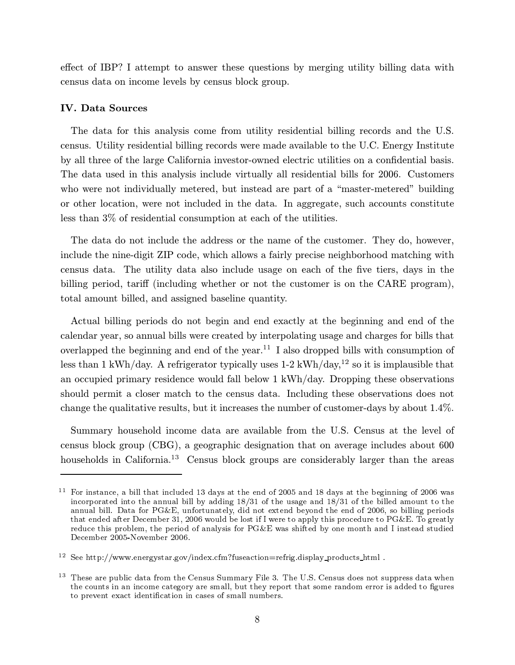effect of IBP? I attempt to answer these questions by merging utility billing data with census data on income levels by census block group.

#### IV. Data Sources

The data for this analysis come from utility residential billing records and the U.S. census. Utility residential billing records were made available to the U.C. Energy Institute by all three of the large California investor-owned electric utilities on a confidential basis. The data used in this analysis include virtually all residential bills for 2006. Customers who were not individually metered, but instead are part of a "master-metered" building or other location, were not included in the data. In aggregate, such accounts constitute less than 3% of residential consumption at each of the utilities.

The data do not include the address or the name of the customer. They do, however, include the nine-digit ZIP code, which allows a fairly precise neighborhood matching with census data. The utility data also include usage on each of the five tiers, days in the billing period, tariff (including whether or not the customer is on the CARE program), total amount billed, and assigned baseline quantity.

Actual billing periods do not begin and end exactly at the beginning and end of the calendar year, so annual bills were created by interpolating usage and charges for bills that overlapped the beginning and end of the year.<sup>11</sup> I also dropped bills with consumption of less than 1 kWh/day. A refrigerator typically uses  $1-2$  kWh/day,<sup>12</sup> so it is implausible that an occupied primary residence would fall below 1 kWh/day. Dropping these observations should permit a closer match to the census data. Including these observations does not change the qualitative results, but it increases the number of customer-days by about 1.4%.

Summary household income data are available from the U.S. Census at the level of census block group (CBG), a geographic designation that on average includes about 600 households in California.<sup>13</sup> Census block groups are considerably larger than the areas

<sup>&</sup>lt;sup>11</sup> For instance, a bill that included 13 days at the end of 2005 and 18 days at the beginning of 2006 was incorporated into the annual bill by adding 18/31 of the usage and 18/31 of the billed amount to the annual bill. Data for PG&E, unfortunately, did not extend beyond the end of 2006, so billing periods that ended after December 31, 2006 would be lost if I were to apply this procedure to PG&E. To greatly reduce this problem, the period of analysis for PG&E was shifted by one month and I instead studied December 2005-November 2006.

 $12$  See http://www.energystar.gov/index.cfm?fuseaction=refrig.display\_products\_html.

 $13$  These are public data from the Census Summary File 3. The U.S. Census does not suppress data when the counts in an income category are small, but they report that some random error is added to figures to prevent exact identification in cases of small numbers.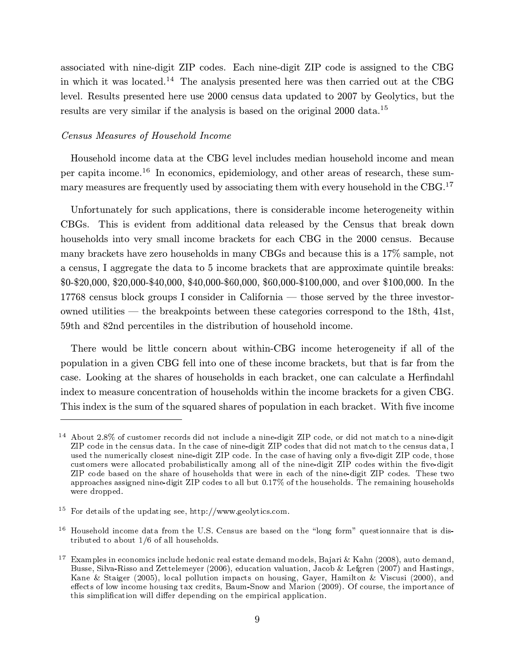associated with nine-digit ZIP codes. Each nine-digit ZIP code is assigned to the CBG in which it was located.<sup>14</sup> The analysis presented here was then carried out at the CBG level. Results presented here use 2000 census data updated to 2007 by Geolytics, but the results are very similar if the analysis is based on the original 2000 data.<sup>15</sup>

# Census Measures of Household Income

Household income data at the CBG level includes median household income and mean per capita income.<sup>16</sup> In economics, epidemiology, and other areas of research, these summary measures are frequently used by associating them with every household in the CBG.<sup>17</sup>

Unfortunately for such applications, there is considerable income heterogeneity within CBGs. This is evident from additional data released by the Census that break down households into very small income brackets for each CBG in the 2000 census. Because many brackets have zero households in many CBGs and because this is a 17% sample, not a census, I aggregate the data to 5 income brackets that are approximate quintile breaks: \$0-\$20,000, \$20,000-\$40,000, \$40,000-\$60,000, \$60,000-\$100,000, and over \$100,000. In the 17768 census block groups I consider in California – those served by the three investorowned utilities – the breakpoints between these categories correspond to the 18th, 41st, 59th and 82nd percentiles in the distribution of household income.

There would be little concern about within-CBG income heterogeneity if all of the population in a given CBG fell into one of these income brackets, but that is far from the case. Looking at the shares of households in each bracket, one can calculate a Herfindahl index to measure concentration of households within the income brackets for a given CBG. This index is the sum of the squared shares of population in each bracket. With five income

<sup>14</sup> About 2.8% of customer records did not include a nine-digit ZIP code, or did not match to a nine-digit ZIP code in the census data. In the case of nine-digit ZIP codes that did not match to the census data, I used the numerically closest nine-digit ZIP code. In the case of having only a five-digit ZIP code, those customers were allocated probabilistically among all of the nine-digit ZIP codes within the five-digit ZIP code based on the share of households that were in each of the nine-digit ZIP codes. These two approaches assigned nine-digit ZIP codes to all but 0.17% of the households. The remaining households were dropped.

<sup>&</sup>lt;sup>15</sup> For details of the updating see, http://www.geolytics.com.

 $16$  Household income data from the U.S. Census are based on the "long form" questionnaire that is distributed to about 1/6 of all households.

<sup>&</sup>lt;sup>17</sup> Examples in economics include hedonic real estate demand models, Bajari & Kahn (2008), auto demand, Busse, Silva-Risso and Zettelemeyer (2006), education valuation, Jacob & Lefgren (2007) and Hastings, Kane & Staiger (2005), local pollution impacts on housing, Gayer, Hamilton & Viscusi (2000), and effects of low income housing tax credits, Baum-Snow and Marion (2009). Of course, the importance of this simplification will differ depending on the empirical application.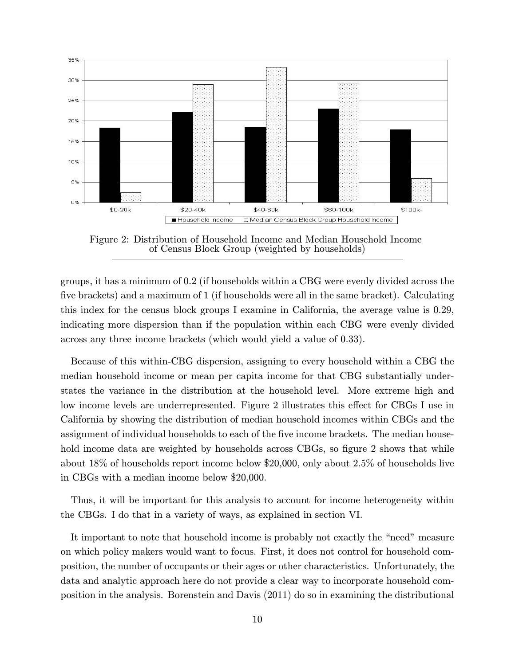

Figure 2: Distribution of Household Income and Median Household Income of Census Block Group (weighted by households)

groups, it has a minimum of 0.2 (if households within a CBG were evenly divided across the five brackets) and a maximum of 1 (if households were all in the same bracket). Calculating this index for the census block groups I examine in California, the average value is 0.29, indicating more dispersion than if the population within each CBG were evenly divided across any three income brackets (which would yield a value of 0.33).

Because of this within-CBG dispersion, assigning to every household within a CBG the median household income or mean per capita income for that CBG substantially understates the variance in the distribution at the household level. More extreme high and low income levels are underrepresented. Figure 2 illustrates this effect for CBGs I use in California by showing the distribution of median household incomes within CBGs and the assignment of individual households to each of the five income brackets. The median household income data are weighted by households across CBGs, so figure 2 shows that while about 18% of households report income below \$20,000, only about 2.5% of households live in CBGs with a median income below \$20,000.

Thus, it will be important for this analysis to account for income heterogeneity within the CBGs. I do that in a variety of ways, as explained in section VI.

It important to note that household income is probably not exactly the "need" measure on which policy makers would want to focus. First, it does not control for household composition, the number of occupants or their ages or other characteristics. Unfortunately, the data and analytic approach here do not provide a clear way to incorporate household composition in the analysis. Borenstein and Davis (2011) do so in examining the distributional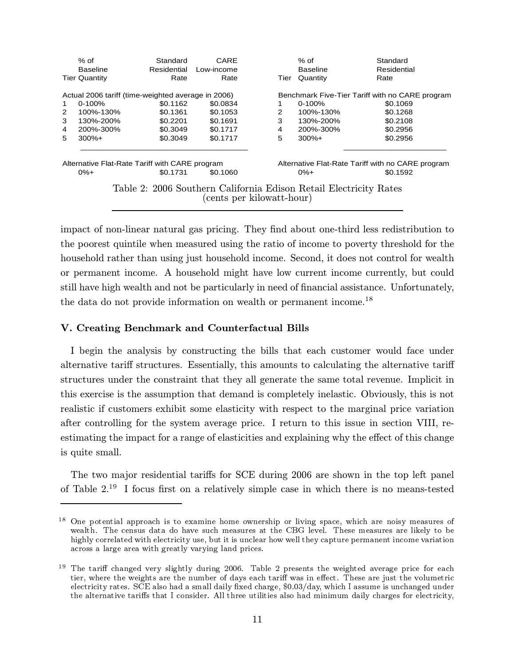|              | $%$ of<br><b>Baseline</b>                          | Standard<br>Residential | CARE<br>Low-income |                           | $%$ of<br><b>Baseline</b>                                         | Standard<br>Residential                           |
|--------------|----------------------------------------------------|-------------------------|--------------------|---------------------------|-------------------------------------------------------------------|---------------------------------------------------|
|              | <b>Tier Quantity</b>                               | Rate                    | Rate               | Tier                      | Quantity                                                          | Rate                                              |
|              | Actual 2006 tariff (time-weighted average in 2006) |                         |                    |                           |                                                                   | Benchmark Five-Tier Tariff with no CARE program   |
| $\mathbf{1}$ | $0 - 100%$                                         | \$0.1162                | \$0.0834           |                           | $0 - 100\%$                                                       | \$0.1069                                          |
| 2            | 100%-130%                                          | \$0.1361                | \$0.1053           | 2                         | 100%-130%                                                         | \$0.1268                                          |
| 3            | 130%-200%                                          | \$0.2201                | \$0.1691           | 3                         | 130%-200%                                                         | \$0.2108                                          |
| 4            | 200%-300%                                          | \$0.3049                | \$0.1717           | 4                         | 200%-300%                                                         | \$0.2956                                          |
| 5            | $300\%+$                                           | \$0.3049                | \$0.1717           | 5                         | $300\%+$                                                          | \$0.2956                                          |
|              | Alternative Flat-Rate Tariff with CARE program     |                         |                    |                           |                                                                   | Alternative Flat-Rate Tariff with no CARE program |
|              | $0%+$                                              | \$0.1731                | \$0.1060           |                           | $0%+$                                                             | \$0.1592                                          |
|              |                                                    |                         |                    | (cents per kilowatt-hour) | Table 2: 2006 Southern California Edison Retail Electricity Rates |                                                   |

impact of non-linear natural gas pricing. They find about one-third less redistribution to the poorest quintile when measured using the ratio of income to poverty threshold for the household rather than using just household income. Second, it does not control for wealth or permanent income. A household might have low current income currently, but could still have high wealth and not be particularly in need of financial assistance. Unfortunately, the data do not provide information on wealth or permanent income.<sup>18</sup>

### V. Creating Benchmark and Counterfactual Bills

I begin the analysis by constructing the bills that each customer would face under alternative tariff structures. Essentially, this amounts to calculating the alternative tariff structures under the constraint that they all generate the same total revenue. Implicit in this exercise is the assumption that demand is completely inelastic. Obviously, this is not realistic if customers exhibit some elasticity with respect to the marginal price variation after controlling for the system average price. I return to this issue in section VIII, reestimating the impact for a range of elasticities and explaining why the effect of this change is quite small.

The two major residential tariffs for SCE during 2006 are shown in the top left panel of Table 2.<sup>19</sup> I focus first on a relatively simple case in which there is no means-tested

<sup>&</sup>lt;sup>18</sup> One potential approach is to examine home ownership or living space, which are noisy measures of wealth. The census data do have such measures at the CBG level. These measures are likely to be highly correlated with electricity use, but it is unclear how well they capture permanent income variation across a large area with greatly varying land prices.

 $19$  The tariff changed very slightly during 2006. Table 2 presents the weighted average price for each tier, where the weights are the number of days each tariff was in effect. These are just the volumetric electricity rates. SCE also had a small daily fixed charge, \$0.03/day, which I assume is unchanged under the alternative tariffs that I consider. All three utilities also had minimum daily charges for electricity,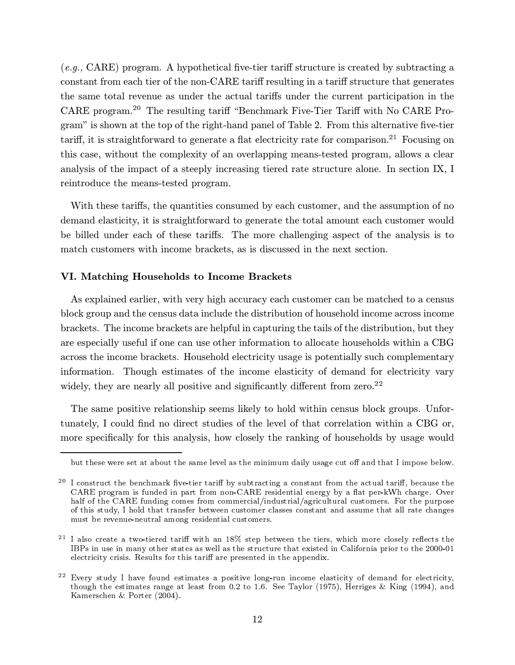(e.g., CARE) program. A hypothetical five-tier tariff structure is created by subtracting a constant from each tier of the non-CARE tariff resulting in a tariff structure that generates the same total revenue as under the actual tariffs under the current participation in the CARE program.<sup>20</sup> The resulting tariff "Benchmark Five-Tier Tariff with No CARE Program" is shown at the top of the right-hand panel of Table 2. From this alternative five-tier tariff, it is straightforward to generate a flat electricity rate for comparison.<sup>21</sup> Focusing on this case, without the complexity of an overlapping means-tested program, allows a clear analysis of the impact of a steeply increasing tiered rate structure alone. In section IX, I reintroduce the means-tested program.

With these tariffs, the quantities consumed by each customer, and the assumption of no demand elasticity, it is straightforward to generate the total amount each customer would be billed under each of these tariffs. The more challenging aspect of the analysis is to match customers with income brackets, as is discussed in the next section.

## VI. Matching Households to Income Brackets

As explained earlier, with very high accuracy each customer can be matched to a census block group and the census data include the distribution of household income across income brackets. The income brackets are helpful in capturing the tails of the distribution, but they are especially useful if one can use other information to allocate households within a CBG across the income brackets. Household electricity usage is potentially such complementary information. Though estimates of the income elasticity of demand for electricity vary widely, they are nearly all positive and significantly different from zero.<sup>22</sup>

The same positive relationship seems likely to hold within census block groups. Unfortunately, I could find no direct studies of the level of that correlation within a CBG or, more specifically for this analysis, how closely the ranking of households by usage would

but these were set at about the same level as the minimum daily usage cut off and that I impose below.

 $^{20}$  I construct the benchmark five-tier tariff by subtracting a constant from the actual tariff, because the CARE program is funded in part from non-CARE residential energy by a flat per-kWh charge. Over half of the CARE funding comes from commercial/industrial/agricultural customers. For the purpose of this study, I hold that transfer between customer classes constant and assume that all rate changes must be revenue-neutral among residential customers.

 $^{21}$  I also create a two-tiered tariff with an 18% step between the tiers, which more closely reflects the IBPs in use in many other states as well as the structure that existed in California prior to the 2000-01 electricity crisis. Results for this tariff are presented in the appendix.

 $22$  Every study I have found estimates a positive long-run income elasticity of demand for electricity, though the estimates range at least from 0.2 to 1.6. See Taylor (1975), Herriges & King (1994), and Kamerschen & Porter (2004).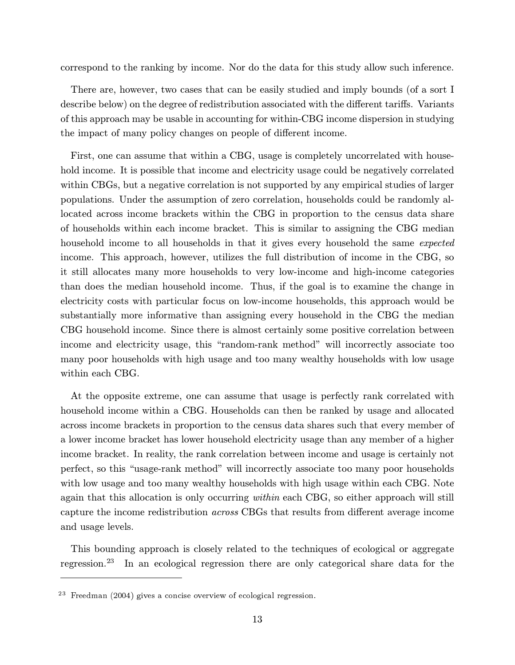correspond to the ranking by income. Nor do the data for this study allow such inference.

There are, however, two cases that can be easily studied and imply bounds (of a sort I describe below) on the degree of redistribution associated with the different tariffs. Variants of this approach may be usable in accounting for within-CBG income dispersion in studying the impact of many policy changes on people of different income.

First, one can assume that within a CBG, usage is completely uncorrelated with household income. It is possible that income and electricity usage could be negatively correlated within CBGs, but a negative correlation is not supported by any empirical studies of larger populations. Under the assumption of zero correlation, households could be randomly allocated across income brackets within the CBG in proportion to the census data share of households within each income bracket. This is similar to assigning the CBG median household income to all households in that it gives every household the same *expected* income. This approach, however, utilizes the full distribution of income in the CBG, so it still allocates many more households to very low-income and high-income categories than does the median household income. Thus, if the goal is to examine the change in electricity costs with particular focus on low-income households, this approach would be substantially more informative than assigning every household in the CBG the median CBG household income. Since there is almost certainly some positive correlation between income and electricity usage, this "random-rank method" will incorrectly associate too many poor households with high usage and too many wealthy households with low usage within each CBG.

At the opposite extreme, one can assume that usage is perfectly rank correlated with household income within a CBG. Households can then be ranked by usage and allocated across income brackets in proportion to the census data shares such that every member of a lower income bracket has lower household electricity usage than any member of a higher income bracket. In reality, the rank correlation between income and usage is certainly not perfect, so this "usage-rank method" will incorrectly associate too many poor households with low usage and too many wealthy households with high usage within each CBG. Note again that this allocation is only occurring within each CBG, so either approach will still capture the income redistribution across CBGs that results from different average income and usage levels.

This bounding approach is closely related to the techniques of ecological or aggregate regression.<sup>23</sup> In an ecological regression there are only categorical share data for the

<sup>&</sup>lt;sup>23</sup> Freedman (2004) gives a concise overview of ecological regression.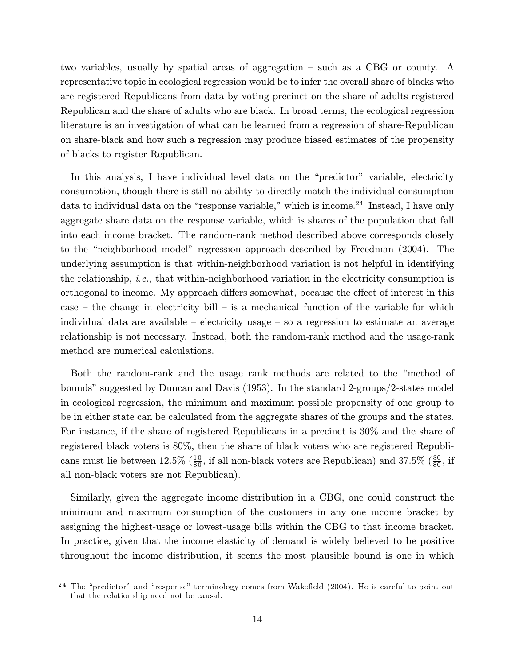two variables, usually by spatial areas of aggregation — such as a CBG or county. A representative topic in ecological regression would be to infer the overall share of blacks who are registered Republicans from data by voting precinct on the share of adults registered Republican and the share of adults who are black. In broad terms, the ecological regression literature is an investigation of what can be learned from a regression of share-Republican on share-black and how such a regression may produce biased estimates of the propensity of blacks to register Republican.

In this analysis, I have individual level data on the "predictor" variable, electricity consumption, though there is still no ability to directly match the individual consumption data to individual data on the "response variable," which is income.<sup>24</sup> Instead, I have only aggregate share data on the response variable, which is shares of the population that fall into each income bracket. The random-rank method described above corresponds closely to the "neighborhood model" regression approach described by Freedman (2004). The underlying assumption is that within-neighborhood variation is not helpful in identifying the relationship, i.e., that within-neighborhood variation in the electricity consumption is orthogonal to income. My approach differs somewhat, because the effect of interest in this  $case - the change in electricity bill - is a mechanical function of the variable for which$ individual data are available — electricity usage — so a regression to estimate an average relationship is not necessary. Instead, both the random-rank method and the usage-rank method are numerical calculations.

Both the random-rank and the usage rank methods are related to the "method of bounds" suggested by Duncan and Davis (1953). In the standard 2-groups/2-states model in ecological regression, the minimum and maximum possible propensity of one group to be in either state can be calculated from the aggregate shares of the groups and the states. For instance, if the share of registered Republicans in a precinct is 30% and the share of registered black voters is 80%, then the share of black voters who are registered Republicans must lie between  $12.5\%$  ( $\frac{10}{80}$ , if all non-black voters are Republican) and  $37.5\%$  ( $\frac{30}{80}$ , if all non-black voters are not Republican).

Similarly, given the aggregate income distribution in a CBG, one could construct the minimum and maximum consumption of the customers in any one income bracket by assigning the highest-usage or lowest-usage bills within the CBG to that income bracket. In practice, given that the income elasticity of demand is widely believed to be positive throughout the income distribution, it seems the most plausible bound is one in which

 $24$  The "predictor" and "response" terminology comes from Wakefield (2004). He is careful to point out that the relationship need not be causal.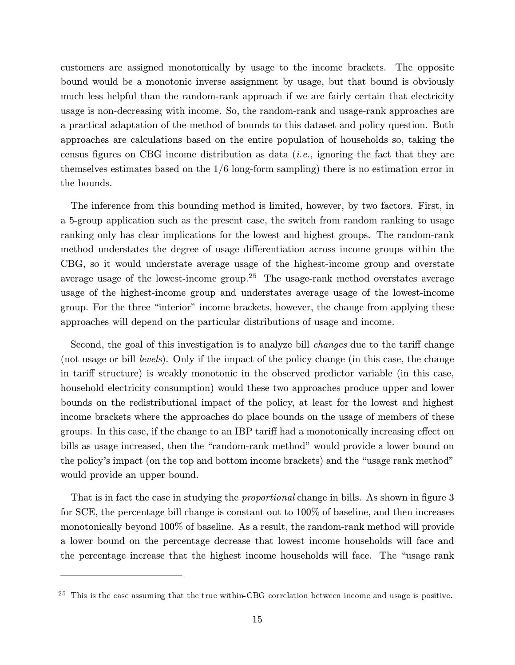customers are assigned monotonically by usage to the income brackets. The opposite bound would be a monotonic inverse assignment by usage, but that bound is obviously much less helpful than the random-rank approach if we are fairly certain that electricity usage is non-decreasing with income. So, the random-rank and usage-rank approaches are a practical adaptation of the method of bounds to this dataset and policy question. Both approaches are calculations based on the entire population of households so, taking the census figures on CBG income distribution as data *(i.e., ignoring the fact that they are* themselves estimates based on the 1/6 long-form sampling) there is no estimation error in the bounds.

The inference from this bounding method is limited, however, by two factors. First, in a 5-group application such as the present case, the switch from random ranking to usage ranking only has clear implications for the lowest and highest groups. The random-rank method understates the degree of usage differentiation across income groups within the CBG, so it would understate average usage of the highest-income group and overstate average usage of the lowest-income group.<sup>25</sup> The usage-rank method overstates average usage of the highest-income group and understates average usage of the lowest-income group. For the three "interior" income brackets, however, the change from applying these approaches will depend on the particular distributions of usage and income.

Second, the goal of this investigation is to analyze bill changes due to the tariff change (not usage or bill levels). Only if the impact of the policy change (in this case, the change in tariff structure) is weakly monotonic in the observed predictor variable (in this case, household electricity consumption) would these two approaches produce upper and lower bounds on the redistributional impact of the policy, at least for the lowest and highest income brackets where the approaches do place bounds on the usage of members of these groups. In this case, if the change to an IBP tariff had a monotonically increasing effect on bills as usage increased, then the "random-rank method" would provide a lower bound on the policy's impact (on the top and bottom income brackets) and the "usage rank method" would provide an upper bound.

That is in fact the case in studying the *proportional* change in bills. As shown in figure 3 for SCE, the percentage bill change is constant out to 100% of baseline, and then increases monotonically beyond 100% of baseline. As a result, the random-rank method will provide a lower bound on the percentage decrease that lowest income households will face and the percentage increase that the highest income households will face. The "usage rank

 $25$  This is the case assuming that the true within-CBG correlation between income and usage is positive.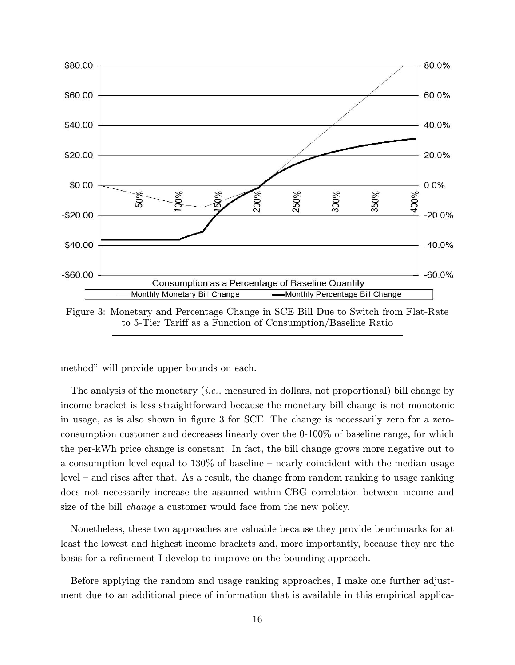

Figure 3: Monetary and Percentage Change in SCE Bill Due to Switch from Flat-Rate to 5-Tier Tariff as a Function of Consumption/Baseline Ratio

method" will provide upper bounds on each.

The analysis of the monetary (i.e., measured in dollars, not proportional) bill change by income bracket is less straightforward because the monetary bill change is not monotonic in usage, as is also shown in figure 3 for SCE. The change is necessarily zero for a zeroconsumption customer and decreases linearly over the 0-100% of baseline range, for which the per-kWh price change is constant. In fact, the bill change grows more negative out to a consumption level equal to 130% of baseline — nearly coincident with the median usage level — and rises after that. As a result, the change from random ranking to usage ranking does not necessarily increase the assumed within-CBG correlation between income and size of the bill change a customer would face from the new policy.

Nonetheless, these two approaches are valuable because they provide benchmarks for at least the lowest and highest income brackets and, more importantly, because they are the basis for a refinement I develop to improve on the bounding approach.

Before applying the random and usage ranking approaches, I make one further adjustment due to an additional piece of information that is available in this empirical applica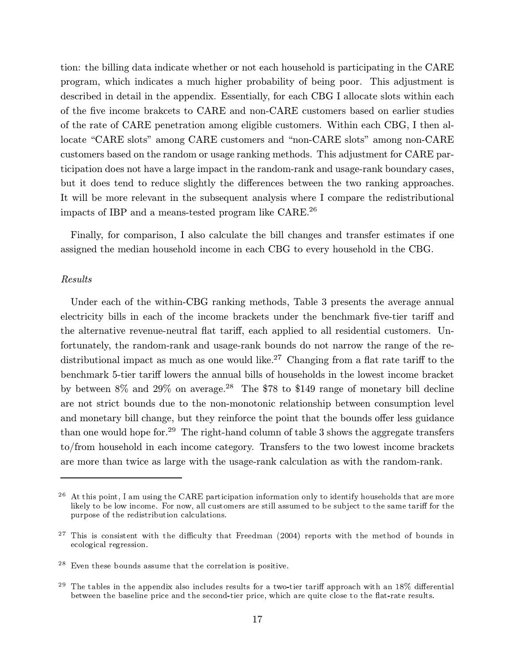tion: the billing data indicate whether or not each household is participating in the CARE program, which indicates a much higher probability of being poor. This adjustment is described in detail in the appendix. Essentially, for each CBG I allocate slots within each of the five income brakcets to CARE and non-CARE customers based on earlier studies of the rate of CARE penetration among eligible customers. Within each CBG, I then allocate "CARE slots" among CARE customers and "non-CARE slots" among non-CARE customers based on the random or usage ranking methods. This adjustment for CARE participation does not have a large impact in the random-rank and usage-rank boundary cases, but it does tend to reduce slightly the differences between the two ranking approaches. It will be more relevant in the subsequent analysis where I compare the redistributional impacts of IBP and a means-tested program like CARE.<sup>26</sup>

Finally, for comparison, I also calculate the bill changes and transfer estimates if one assigned the median household income in each CBG to every household in the CBG.

#### Results

Under each of the within-CBG ranking methods, Table 3 presents the average annual electricity bills in each of the income brackets under the benchmark five-tier tariff and the alternative revenue-neutral flat tariff, each applied to all residential customers. Unfortunately, the random-rank and usage-rank bounds do not narrow the range of the redistributional impact as much as one would like.<sup>27</sup> Changing from a flat rate tariff to the benchmark 5-tier tariff lowers the annual bills of households in the lowest income bracket by between  $8\%$  and  $29\%$  on average.<sup>28</sup> The \$78 to \$149 range of monetary bill decline are not strict bounds due to the non-monotonic relationship between consumption level and monetary bill change, but they reinforce the point that the bounds offer less guidance than one would hope for.<sup>29</sup> The right-hand column of table 3 shows the aggregate transfers to/from household in each income category. Transfers to the two lowest income brackets are more than twice as large with the usage-rank calculation as with the random-rank.

 $^{26}$  At this point, I am using the CARE participation information only to identify households that are more likely to be low income. For now, all customers are still assumed to be subject to the same tariff for the purpose of the redistribution calculations.

 $27$  This is consistent with the difficulty that Freedman (2004) reports with the method of bounds in ecological regression.

<sup>28</sup> Even these bounds assume that the correlation is positive.

 $^{29}$  The tables in the appendix also includes results for a two-tier tariff approach with an 18% differential between the baseline price and the second-tier price, which are quite close to the flat-rate results.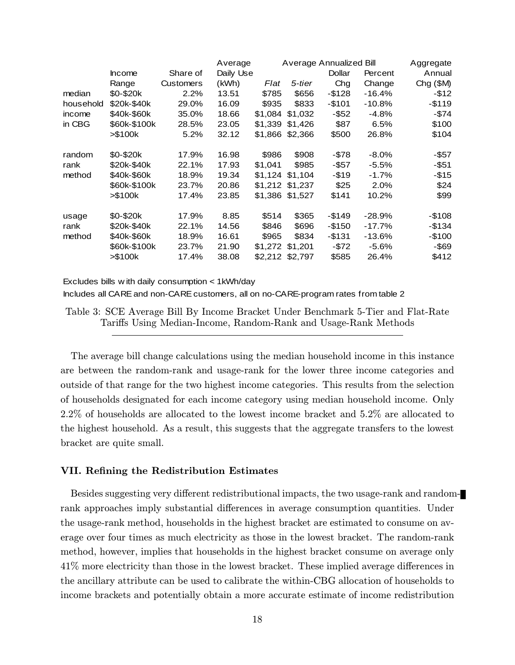|           |               |           | Average   |         |                 | Average Annualized Bill |          | Aggregate   |
|-----------|---------------|-----------|-----------|---------|-----------------|-------------------------|----------|-------------|
|           | <b>Income</b> | Share of  | Daily Use |         |                 | Dollar                  | Percent  | Annual      |
|           | Range         | Customers | (kWh)     | Flat    | 5-tier          | Chg                     | Change   | $Chg$ (\$M) |
| median    | \$0-\$20k     | 2.2%      | 13.51     | \$785   | \$656           | $-$ \$128               | $-16.4%$ | $-$ \$12    |
| household | \$20k-\$40k   | 29.0%     | 16.09     | \$935   | \$833           | $-$ \$101               | $-10.8%$ | $-$ \$119   |
| income    | \$40k-\$60k   | 35.0%     | 18.66     | \$1,084 | \$1,032         | $-$ \$52                | -4.8%    | $-$ \$74    |
| in CBG    | \$60k-\$100k  | 28.5%     | 23.05     | \$1.339 | \$1,426         | \$87                    | 6.5%     | \$100       |
|           | > \$100k      | 5.2%      | 32.12     |         | \$1,866 \$2,366 | \$500                   | 26.8%    | \$104       |
| random    | $$0-$20k$     | 17.9%     | 16.98     | \$986   | \$908           | -\$78                   | -8.0%    | $-$ \$57    |
| rank      | \$20k-\$40k   | 22.1%     | 17.93     | \$1,041 | \$985           | -\$57                   | $-5.5%$  | $-$ \$51    |
| method    | \$40k-\$60k   | 18.9%     | 19.34     | \$1,124 | \$1,104         | -\$19                   | $-1.7\%$ | $-$ \$15    |
|           | \$60k-\$100k  | 23.7%     | 20.86     | \$1.212 | \$1.237         | \$25                    | 2.0%     | \$24        |
|           | > \$100k      | 17.4%     | 23.85     |         | \$1,386 \$1,527 | \$141                   | 10.2%    | \$99        |
| usage     | \$0-\$20k     | 17.9%     | 8.85      | \$514   | \$365           | -\$149                  | $-28.9%$ | $-$108$     |
| rank      | \$20k-\$40k   | 22.1%     | 14.56     | \$846   | \$696           | -\$150                  | -17.7%   | -\$134      |
| method    | \$40k-\$60k   | 18.9%     | 16.61     | \$965   | \$834           | -\$131                  | $-13.6%$ | $-$100$     |
|           | \$60k-\$100k  | 23.7%     | 21.90     | \$1,272 | \$1,201         | $-572$                  | $-5.6%$  | -\$69       |
|           | >\$100k       | 17.4%     | 38.08     | \$2,212 | \$2,797         | \$585                   | 26.4%    | \$412       |

Excludes bills w ith daily consumption < 1kWh/day

Includes all CARE and non-CARE customers, all on no-CARE-program rates from table 2

Table 3: SCE Average Bill By Income Bracket Under Benchmark 5-Tier and Flat-Rate Tariffs Using Median-Income, Random-Rank and Usage-Rank Methods

The average bill change calculations using the median household income in this instance are between the random-rank and usage-rank for the lower three income categories and outside of that range for the two highest income categories. This results from the selection of households designated for each income category using median household income. Only 2.2% of households are allocated to the lowest income bracket and 5.2% are allocated to the highest household. As a result, this suggests that the aggregate transfers to the lowest bracket are quite small.

### VII. Refining the Redistribution Estimates

Besides suggesting very different redistributional impacts, the two usage-rank and randomrank approaches imply substantial differences in average consumption quantities. Under the usage-rank method, households in the highest bracket are estimated to consume on average over four times as much electricity as those in the lowest bracket. The random-rank method, however, implies that households in the highest bracket consume on average only 41% more electricity than those in the lowest bracket. These implied average differences in the ancillary attribute can be used to calibrate the within-CBG allocation of households to income brackets and potentially obtain a more accurate estimate of income redistribution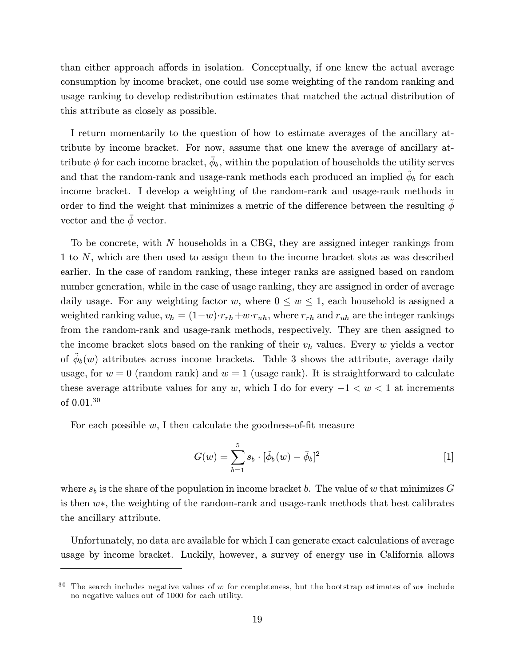than either approach affords in isolation. Conceptually, if one knew the actual average consumption by income bracket, one could use some weighting of the random ranking and usage ranking to develop redistribution estimates that matched the actual distribution of this attribute as closely as possible.

I return momentarily to the question of how to estimate averages of the ancillary attribute by income bracket. For now, assume that one knew the average of ancillary attribute  $\phi$  for each income bracket,  $\phi_b$ , within the population of households the utility serves and that the random-rank and usage-rank methods each produced an implied  $\tilde{\phi}_b$  for each income bracket. I develop a weighting of the random-rank and usage-rank methods in order to find the weight that minimizes a metric of the difference between the resulting  $\phi$ vector and the  $\bar{\phi}$  vector.

To be concrete, with N households in a CBG, they are assigned integer rankings from 1 to N, which are then used to assign them to the income bracket slots as was described earlier. In the case of random ranking, these integer ranks are assigned based on random number generation, while in the case of usage ranking, they are assigned in order of average daily usage. For any weighting factor w, where  $0 \leq w \leq 1$ , each household is assigned a weighted ranking value,  $v_h = (1-w) \cdot r_{rh} + w \cdot r_{uh}$ , where  $r_{rh}$  and  $r_{uh}$  are the integer rankings from the random-rank and usage-rank methods, respectively. They are then assigned to the income bracket slots based on the ranking of their  $v<sub>h</sub>$  values. Every w yields a vector of  $\tilde{\phi}_b(w)$  attributes across income brackets. Table 3 shows the attribute, average daily usage, for  $w = 0$  (random rank) and  $w = 1$  (usage rank). It is straightforward to calculate these average attribute values for any w, which I do for every  $-1 < w < 1$  at increments of  $0.01^{30}$ 

For each possible  $w$ , I then calculate the goodness-of-fit measure

$$
G(w) = \sum_{b=1}^{5} s_b \cdot [\tilde{\phi}_b(w) - \bar{\phi}_b]^2
$$
 [1]

where  $s_b$  is the share of the population in income bracket b. The value of w that minimizes G is then w∗, the weighting of the random-rank and usage-rank methods that best calibrates the ancillary attribute.

Unfortunately, no data are available for which I can generate exact calculations of average usage by income bracket. Luckily, however, a survey of energy use in California allows

<sup>&</sup>lt;sup>30</sup> The search includes negative values of w for completeness, but the bootstrap estimates of w\* include no negative values out of 1000 for each utility.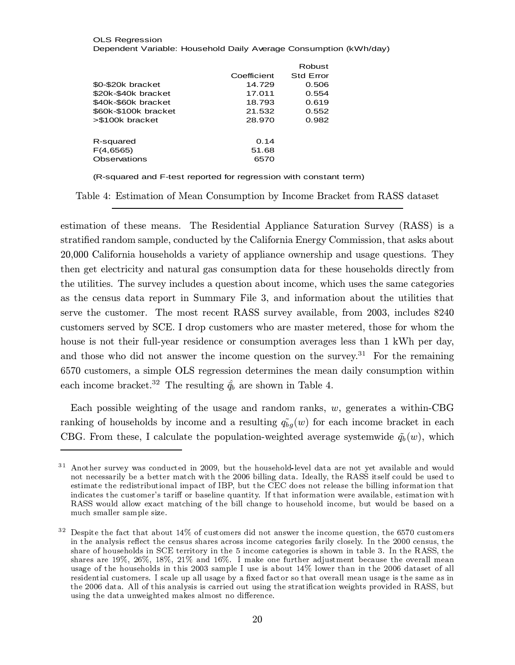|                      |             | Robust           |
|----------------------|-------------|------------------|
|                      | Coefficient | <b>Std Error</b> |
| \$0-\$20k bracket    | 14.729      | 0.506            |
| \$20k-\$40k bracket  | 17.011      | 0.554            |
| \$40k-\$60k bracket  | 18.793      | 0.619            |
| \$60k-\$100k bracket | 21.532      | 0.552            |
| >\$100k bracket      | 28.970      | 0.982            |
| R-squared            | 0.14        |                  |
| F(4,6565)            | 51.68       |                  |
| Observations         | 6570        |                  |

OLS Regression Dependent Variable: Household Daily Average Consumption (kWh/day)

(R-squared and F-test reported for regression with constant term)

Table 4: Estimation of Mean Consumption by Income Bracket from RASS dataset

estimation of these means. The Residential Appliance Saturation Survey (RASS) is a stratified random sample, conducted by the California Energy Commission, that asks about 20,000 California households a variety of appliance ownership and usage questions. They then get electricity and natural gas consumption data for these households directly from the utilities. The survey includes a question about income, which uses the same categories as the census data report in Summary File 3, and information about the utilities that serve the customer. The most recent RASS survey available, from 2003, includes 8240 customers served by SCE. I drop customers who are master metered, those for whom the house is not their full-year residence or consumption averages less than 1 kWh per day, and those who did not answer the income question on the survey.<sup>31</sup> For the remaining 6570 customers, a simple OLS regression determines the mean daily consumption within each income bracket.<sup>32</sup> The resulting  $\hat{q}_b$  are shown in Table 4.

Each possible weighting of the usage and random ranks,  $w$ , generates a within-CBG ranking of households by income and a resulting  $q_{bg}^r(w)$  for each income bracket in each CBG. From these, I calculate the population-weighted average systemwide  $\tilde{q}_b(w)$ , which

 $31$  Another survey was conducted in 2009, but the household-level data are not yet available and would not necessarily be a better match with the 2006 billing data. Ideally, the RASS itself could be used to estimate the redistributional impact of IBP, but the CEC does not release the billing information that indicates the customer's tariff or baseline quantity. If that information were available, estimation with RASS would allow exact matching of the bill change to household income, but would be based on a much smaller sample size.

 $32$  Despite the fact that about 14% of customers did not answer the income question, the 6570 customers in the analysis reflect the census shares across income categories farily closely. In the 2000 census, the share of households in SCE territory in the 5 income categories is shown in table 3. In the RASS, the shares are 19%, 26%, 18%, 21% and 16%. I make one further adjustment because the overall mean usage of the households in this 2003 sample I use is about 14% lower than in the 2006 dataset of all residential customers. I scale up all usage by a fixed factor so that overall mean usage is the same as in the 2006 data. All of this analysis is carried out using the stratification weights provided in RASS, but using the data unweighted makes almost no difference.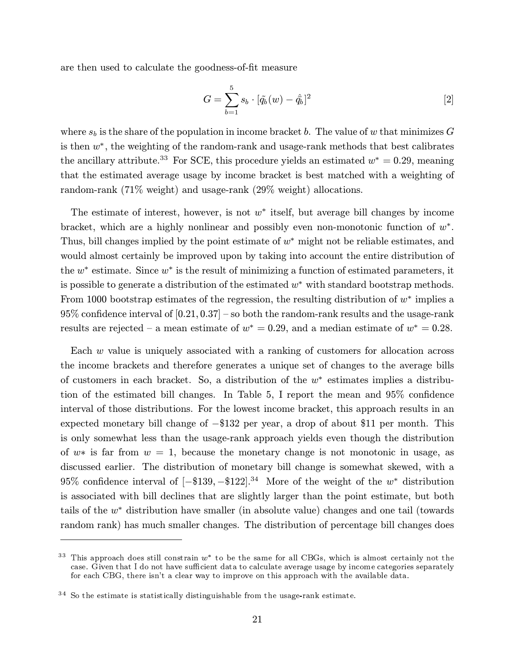are then used to calculate the goodness-of-fit measure

$$
G = \sum_{b=1}^{5} s_b \cdot [\tilde{q_b}(w) - \hat{\bar{q_b}}]^2
$$
 [2]

where  $s_b$  is the share of the population in income bracket b. The value of w that minimizes G is then  $w^*$ , the weighting of the random-rank and usage-rank methods that best calibrates the ancillary attribute.<sup>33</sup> For SCE, this procedure yields an estimated  $w^* = 0.29$ , meaning that the estimated average usage by income bracket is best matched with a weighting of random-rank (71% weight) and usage-rank (29% weight) allocations.

The estimate of interest, however, is not  $w^*$  itself, but average bill changes by income bracket, which are a highly nonlinear and possibly even non-monotonic function of  $w^*$ . Thus, bill changes implied by the point estimate of  $w^*$  might not be reliable estimates, and would almost certainly be improved upon by taking into account the entire distribution of the w<sup>∗</sup> estimate. Since  $w^*$  is the result of minimizing a function of estimated parameters, it is possible to generate a distribution of the estimated  $w^*$  with standard bootstrap methods. From 1000 bootstrap estimates of the regression, the resulting distribution of  $w^*$  implies a  $95\%$  confidence interval of  $[0.21, 0.37]$  – so both the random-rank results and the usage-rank results are rejected – a mean estimate of  $w^* = 0.29$ , and a median estimate of  $w^* = 0.28$ .

Each  $w$  value is uniquely associated with a ranking of customers for allocation across the income brackets and therefore generates a unique set of changes to the average bills of customers in each bracket. So, a distribution of the  $w^*$  estimates implies a distribution of the estimated bill changes. In Table 5, I report the mean and 95% confidence interval of those distributions. For the lowest income bracket, this approach results in an expected monetary bill change of −\$132 per year, a drop of about \$11 per month. This is only somewhat less than the usage-rank approach yields even though the distribution of w<sup>\*</sup> is far from  $w = 1$ , because the monetary change is not monotonic in usage, as discussed earlier. The distribution of monetary bill change is somewhat skewed, with a 95% confidence interval of  $[-\$139, -\$122]$ .<sup>34</sup> More of the weight of the w<sup>\*</sup> distribution is associated with bill declines that are slightly larger than the point estimate, but both tails of the w<sup>∗</sup> distribution have smaller (in absolute value) changes and one tail (towards random rank) has much smaller changes. The distribution of percentage bill changes does

 $33$  This approach does still constrain  $w^*$  to be the same for all CBGs, which is almost certainly not the case. Given that I do not have sufficient data to calculate average usage by income categories separately for each CBG, there isn't a clear way to improve on this approach with the available data.

 $34$  So the estimate is statistically distinguishable from the usage-rank estimate.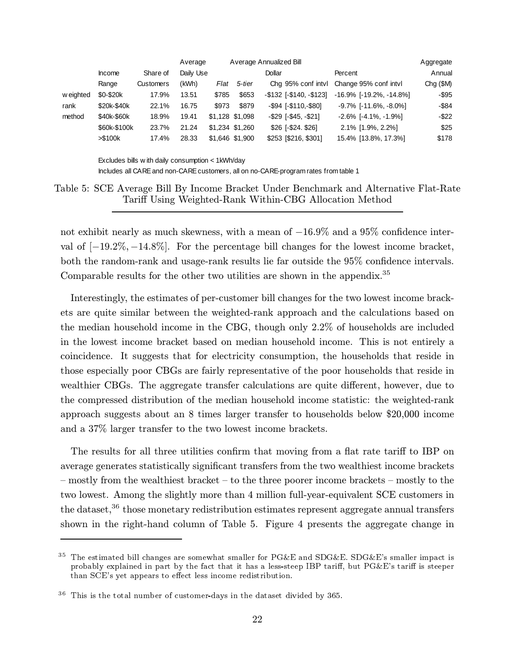|           |               |           | Average   |       |                 | Average Annualized Bill           |                                     | Aggregate   |
|-----------|---------------|-----------|-----------|-------|-----------------|-----------------------------------|-------------------------------------|-------------|
|           | <b>Income</b> | Share of  | Daily Use |       |                 | Dollar                            | Percent                             | Annual      |
|           | Range         | Customers | (kWh)     | Flat  | 5-tier          | Cha 95% conf intyl                | Change 95% conf intyl               | $Chg$ (\$M) |
| w eighted | \$0-\$20k     | 17.9%     | 13.51     | \$785 | \$653           | $-$ \$132 [ $-$ \$140, $-$ \$123] | $-16.9\%$ [ $-19.2\%$ , $-14.8\%$ ] | $-$ \$95    |
| rank      | \$20k-\$40k   | 22.1%     | 16.75     | \$973 | \$879           | $-$ \$94 $[-$ \$110, -\$80]       | $-9.7\%$ [ $-11.6\%$ , $-8.0\%$ ]   | -\$84       |
| method    | \$40k-\$60k   | 18.9%     | 19.41     |       | \$1.128 \$1.098 | $-$ \$29 [ $-$ \$45, $-$ \$21]    | $-2.6\%$ [ $-4.1\%$ , $-1.9\%$ ]    | $-$ \$22    |
|           | \$60k-\$100k  | 23.7%     | 21.24     |       | \$1,234 \$1,260 | \$26 [-\$24. \$26]                | 2.1% [1.9%, 2.2%]                   | \$25        |
|           | > \$100k      | 17.4%     | 28.33     |       | \$1,646 \$1,900 | \$253 [\$216, \$301]              | 15.4% [13.8%, 17.3%]                | \$178       |
|           |               |           |           |       |                 |                                   |                                     |             |

Excludes bills w ith daily consumption < 1kWh/day Includes all CARE and non-CARE customers, all on no-CARE-program rates from table 1

Table 5: SCE Average Bill By Income Bracket Under Benchmark and Alternative Flat-Rate Tariff Using Weighted-Rank Within-CBG Allocation Method

not exhibit nearly as much skewness, with a mean of  $-16.9\%$  and a 95% confidence interval of  $[-19.2\%, -14.8\%]$ . For the percentage bill changes for the lowest income bracket, both the random-rank and usage-rank results lie far outside the 95% confidence intervals. Comparable results for the other two utilities are shown in the appendix.<sup>35</sup>

Interestingly, the estimates of per-customer bill changes for the two lowest income brackets are quite similar between the weighted-rank approach and the calculations based on the median household income in the CBG, though only 2.2% of households are included in the lowest income bracket based on median household income. This is not entirely a coincidence. It suggests that for electricity consumption, the households that reside in those especially poor CBGs are fairly representative of the poor households that reside in wealthier CBGs. The aggregate transfer calculations are quite different, however, due to the compressed distribution of the median household income statistic: the weighted-rank approach suggests about an 8 times larger transfer to households below \$20,000 income and a 37% larger transfer to the two lowest income brackets.

The results for all three utilities confirm that moving from a flat rate tariff to IBP on average generates statistically significant transfers from the two wealthiest income brackets — mostly from the wealthiest bracket — to the three poorer income brackets — mostly to the two lowest. Among the slightly more than 4 million full-year-equivalent SCE customers in the dataset,  $36$  those monetary redistribution estimates represent aggregate annual transfers shown in the right-hand column of Table 5. Figure 4 presents the aggregate change in

<sup>&</sup>lt;sup>35</sup> The estimated bill changes are somewhat smaller for PG&E and SDG&E. SDG&E's smaller impact is probably explained in part by the fact that it has a less-steep IBP tariff, but PG&E's tariff is steeper than SCE's yet appears to effect less income redistribution.

 $36$  This is the total number of customer-days in the dataset divided by 365.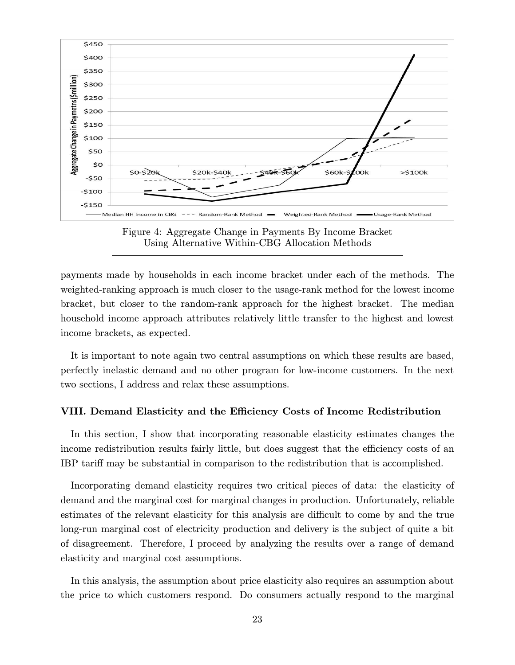

Using Alternative Within-CBG Allocation Methods

payments made by households in each income bracket under each of the methods. The weighted-ranking approach is much closer to the usage-rank method for the lowest income bracket, but closer to the random-rank approach for the highest bracket. The median household income approach attributes relatively little transfer to the highest and lowest income brackets, as expected.

It is important to note again two central assumptions on which these results are based, perfectly inelastic demand and no other program for low-income customers. In the next two sections, I address and relax these assumptions.

### VIII. Demand Elasticity and the Efficiency Costs of Income Redistribution

In this section, I show that incorporating reasonable elasticity estimates changes the income redistribution results fairly little, but does suggest that the efficiency costs of an IBP tariff may be substantial in comparison to the redistribution that is accomplished.

Incorporating demand elasticity requires two critical pieces of data: the elasticity of demand and the marginal cost for marginal changes in production. Unfortunately, reliable estimates of the relevant elasticity for this analysis are difficult to come by and the true long-run marginal cost of electricity production and delivery is the subject of quite a bit of disagreement. Therefore, I proceed by analyzing the results over a range of demand elasticity and marginal cost assumptions.

In this analysis, the assumption about price elasticity also requires an assumption about the price to which customers respond. Do consumers actually respond to the marginal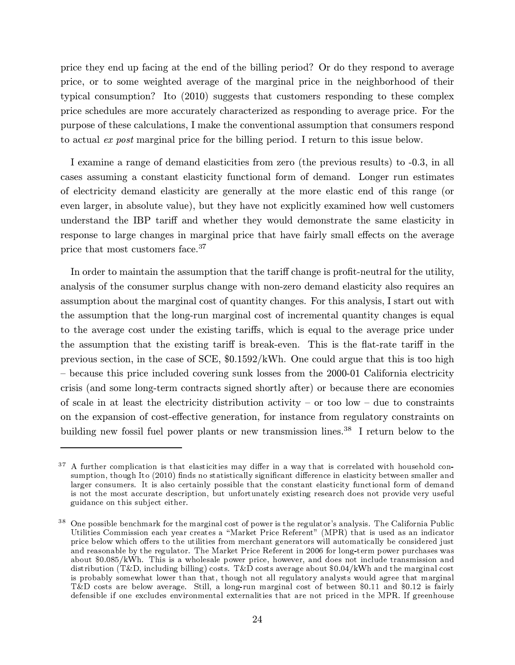price they end up facing at the end of the billing period? Or do they respond to average price, or to some weighted average of the marginal price in the neighborhood of their typical consumption? Ito (2010) suggests that customers responding to these complex price schedules are more accurately characterized as responding to average price. For the purpose of these calculations, I make the conventional assumption that consumers respond to actual ex post marginal price for the billing period. I return to this issue below.

I examine a range of demand elasticities from zero (the previous results) to -0.3, in all cases assuming a constant elasticity functional form of demand. Longer run estimates of electricity demand elasticity are generally at the more elastic end of this range (or even larger, in absolute value), but they have not explicitly examined how well customers understand the IBP tariff and whether they would demonstrate the same elasticity in response to large changes in marginal price that have fairly small effects on the average price that most customers face.<sup>37</sup>

In order to maintain the assumption that the tariff change is profit-neutral for the utility, analysis of the consumer surplus change with non-zero demand elasticity also requires an assumption about the marginal cost of quantity changes. For this analysis, I start out with the assumption that the long-run marginal cost of incremental quantity changes is equal to the average cost under the existing tariffs, which is equal to the average price under the assumption that the existing tariff is break-even. This is the flat-rate tariff in the previous section, in the case of SCE, \$0.1592/kWh. One could argue that this is too high — because this price included covering sunk losses from the 2000-01 California electricity crisis (and some long-term contracts signed shortly after) or because there are economies of scale in at least the electricity distribution activity — or too low — due to constraints on the expansion of cost-effective generation, for instance from regulatory constraints on building new fossil fuel power plants or new transmission lines.<sup>38</sup> I return below to the

 $37$  A further complication is that elasticities may differ in a way that is correlated with household consumption, though Ito (2010) finds no statistically significant difference in elasticity between smaller and larger consumers. It is also certainly possible that the constant elasticity functional form of demand is not the most accurate description, but unfortunately existing research does not provide very useful guidance on this subject either.

 $38$  One possible benchmark for the marginal cost of power is the regulator's analysis. The California Public Utilities Commission each year creates a "Market Price Referent" (MPR) that is used as an indicator price below which offers to the utilities from merchant generators will automatically be considered just and reasonable by the regulator. The Market Price Referent in 2006 for long-term power purchases was about \$0.085/kWh. This is a wholesale power price, however, and does not include transmission and distribution (T&D, including billing) costs. T&D costs average about \$0.04/kWh and the marginal cost is probably somewhat lower than that, though not all regulatory analysts would agree that marginal T&D costs are below average. Still, a long-run marginal cost of between \$0.11 and \$0.12 is fairly defensible if one excludes environmental externalities that are not priced in the MPR. If greenhouse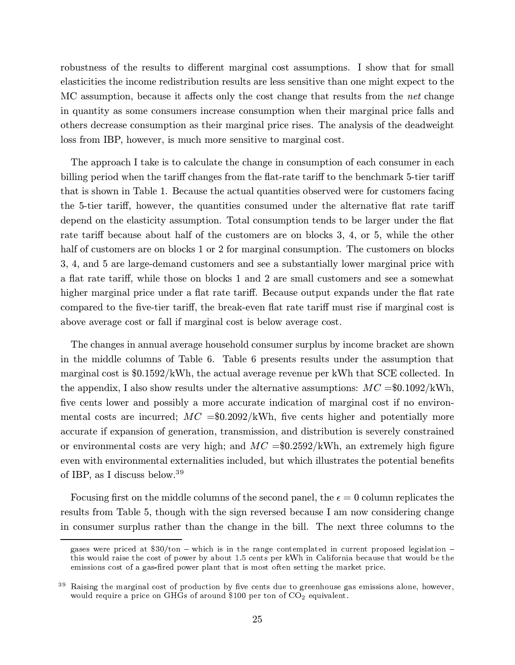robustness of the results to different marginal cost assumptions. I show that for small elasticities the income redistribution results are less sensitive than one might expect to the MC assumption, because it affects only the cost change that results from the *net* change in quantity as some consumers increase consumption when their marginal price falls and others decrease consumption as their marginal price rises. The analysis of the deadweight loss from IBP, however, is much more sensitive to marginal cost.

The approach I take is to calculate the change in consumption of each consumer in each billing period when the tariff changes from the flat-rate tariff to the benchmark 5-tier tariff that is shown in Table 1. Because the actual quantities observed were for customers facing the 5-tier tariff, however, the quantities consumed under the alternative flat rate tariff depend on the elasticity assumption. Total consumption tends to be larger under the flat rate tariff because about half of the customers are on blocks 3, 4, or 5, while the other half of customers are on blocks 1 or 2 for marginal consumption. The customers on blocks 3, 4, and 5 are large-demand customers and see a substantially lower marginal price with a flat rate tariff, while those on blocks 1 and 2 are small customers and see a somewhat higher marginal price under a flat rate tariff. Because output expands under the flat rate compared to the five-tier tariff, the break-even flat rate tariff must rise if marginal cost is above average cost or fall if marginal cost is below average cost.

The changes in annual average household consumer surplus by income bracket are shown in the middle columns of Table 6. Table 6 presents results under the assumption that marginal cost is \$0.1592/kWh, the actual average revenue per kWh that SCE collected. In the appendix, I also show results under the alternative assumptions:  $MC = 0.1092 / \text{kWh}$ , five cents lower and possibly a more accurate indication of marginal cost if no environmental costs are incurred;  $MC = 0.2092/kWh$ , five cents higher and potentially more accurate if expansion of generation, transmission, and distribution is severely constrained or environmental costs are very high; and  $MC = 0.2592/kWh$ , an extremely high figure even with environmental externalities included, but which illustrates the potential benefits of IBP, as I discuss below.<sup>39</sup>

Focusing first on the middle columns of the second panel, the  $\epsilon = 0$  column replicates the results from Table 5, though with the sign reversed because I am now considering change in consumer surplus rather than the change in the bill. The next three columns to the

gases were priced at  $\$30/t$ on – which is in the range contemplated in current proposed legislation – this would raise the cost of power by about 1.5 cents per kWh in California because that would be the emissions cost of a gas-fired power plant that is most often setting the market price.

 $39$  Raising the marginal cost of production by five cents due to greenhouse gas emissions alone, however, would require a price on GHGs of around \$100 per ton of  $CO<sub>2</sub>$  equivalent.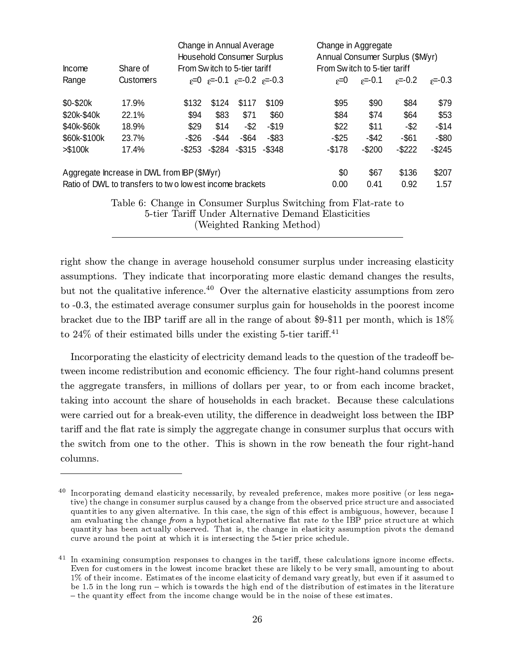| Change in Annual Average |                                                          |                                   | Change in Aggregate |                                                                                  |           |                                                                                                                        |                                  |                     |                     |  |  |
|--------------------------|----------------------------------------------------------|-----------------------------------|---------------------|----------------------------------------------------------------------------------|-----------|------------------------------------------------------------------------------------------------------------------------|----------------------------------|---------------------|---------------------|--|--|
|                          |                                                          | <b>Household Consumer Surplus</b> |                     |                                                                                  |           |                                                                                                                        | Annual Consumer Surplus (\$M/yr) |                     |                     |  |  |
| <b>Income</b>            | Share of                                                 | From Sw itch to 5-tier tariff     |                     |                                                                                  |           |                                                                                                                        | From Sw itch to 5-tier tariff    |                     |                     |  |  |
| Range                    | <b>Customers</b>                                         |                                   |                     | $\varepsilon = 0$ $\varepsilon = -0.1$ $\varepsilon = -0.2$ $\varepsilon = -0.3$ |           | $=0$                                                                                                                   | $F = 0.1$                        | $\varepsilon = 0.2$ | $\varepsilon = 0.3$ |  |  |
| \$0-\$20k                | 17.9%                                                    | \$132                             | \$124               | \$117                                                                            | \$109     | \$95                                                                                                                   | \$90                             | \$84                | \$79                |  |  |
| \$20k-\$40k              | 22.1%                                                    | \$94                              | \$83                | \$71                                                                             | \$60      | \$84                                                                                                                   | \$74                             | \$64                | \$53                |  |  |
| \$40k-\$60k              | 18.9%                                                    | \$29                              | \$14                | -\$2                                                                             | $-$19$    | \$22                                                                                                                   | \$11                             | -\$2                | $-$ \$14            |  |  |
| \$60k-\$100k             | 23.7%                                                    | $-$ \$26                          | $-$ \$44            | $-$ \$64                                                                         | $-$ \$83  | $-$ \$25                                                                                                               | $-$ \$42                         | $-$ \$61            | $-$ \$80            |  |  |
| > \$100k                 | 17.4%                                                    | $-$ \$253                         | $-$ \$284           | $-$ \$315                                                                        | $-$ \$348 | $-$ \$178                                                                                                              | $-$200$                          | $-$222$             | $-$ \$245           |  |  |
|                          | Aggregate Increase in DWL from IBP (\$M/yr)              |                                   |                     |                                                                                  |           | \$0                                                                                                                    | \$67                             | \$136               | \$207               |  |  |
|                          | Ratio of DWL to transfers to two low est income brackets |                                   |                     |                                                                                  |           | 0.00                                                                                                                   | 0.41                             | 0.92                | 1.57                |  |  |
|                          |                                                          |                                   |                     |                                                                                  |           | Table 6: Change in Consumer Surplus Switching from Flat-rate to<br>5-tier Tariff Under Alternative Demand Elasticities |                                  |                     |                     |  |  |

(Weighted Ranking Method)

right show the change in average household consumer surplus under increasing elasticity assumptions. They indicate that incorporating more elastic demand changes the results, but not the qualitative inference.<sup>40</sup> Over the alternative elasticity assumptions from zero to -0.3, the estimated average consumer surplus gain for households in the poorest income bracket due to the IBP tariff are all in the range of about \$9-\$11 per month, which is 18% to 24\% of their estimated bills under the existing 5-tier tariff.<sup>41</sup>

Incorporating the elasticity of electricity demand leads to the question of the tradeoff between income redistribution and economic efficiency. The four right-hand columns present the aggregate transfers, in millions of dollars per year, to or from each income bracket, taking into account the share of households in each bracket. Because these calculations were carried out for a break-even utility, the difference in deadweight loss between the IBP tariff and the flat rate is simply the aggregate change in consumer surplus that occurs with the switch from one to the other. This is shown in the row beneath the four right-hand columns.

 $^{40}$  Incorporating demand elasticity necessarily, by revealed preference, makes more positive (or less negative) the change in consumer surplus caused by a change from the observed price structure and associated quantities to any given alternative. In this case, the sign of this effect is ambiguous, however, because I Incorporating demand elasticity necessarily, by revealed preference, makes more positive (or less negative) the change in consumer surplus caused by a change from the observed price structure and associated quantities to a Incorporating demand elasticity necessarily, by revealed preference, makes more positive (or less negative) the change in consumer surplus caused by a change from the observed price structure and associated quantities to quantity has been actually observed. That is, the change in elasticity assumption pivots the demand tive) the change in consumer surplus caused by a change from the observed p<br>quantities to any given alternative. In this case, the sign of this effect is an<br>am evaluating the change *from* a hypothetical alternative flat r curve around the point at which it is intersecting the 5-tier price schedule. quantity has been actually observed. That is, the change in elasticity assumption pivots the demand<br>curve around the point at which it is intersecting the 5-tier price schedule.<br><sup>41</sup> In examining consumption responses to c

Even for customers in the lowest income bracket these are likely to be very small, amounting to about In examining consumption responses to changes in the tariff, these calculations ignore income effects.<br>Even for customers in the lowest income bracket these are likely to be very small, amounting to about In examining consumption responses to changes in the tariff, these calculations ignore income effects.<br>Even for customers in the lowest income bracket these are likely to be very small, amounting to about<br>1% of their incom be 1.5 in the long run - which is towards the high end of the distribution of estimates in the literature In examining consumption responses to changes in the tariff, these calculations ignor<br>Even for customers in the lowest income bracket these are likely to be very small, amo<br>1% of their income. Estimates of the income elast - the quantity effect from the income change would be in the noise of these estimates.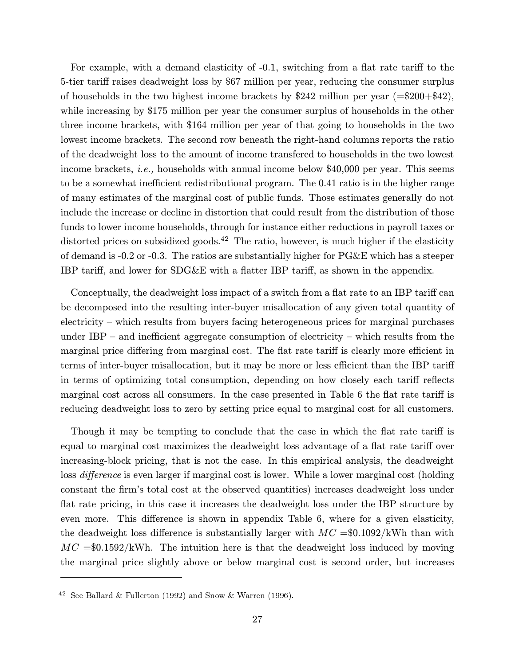For example, with a demand elasticity of -0.1, switching from a flat rate tariff to the 5-tier tariff raises deadweight loss by \$67 million per year, reducing the consumer surplus of households in the two highest income brackets by \$242 million per year  $(=\$200+\$42)$ , while increasing by \$175 million per year the consumer surplus of households in the other three income brackets, with \$164 million per year of that going to households in the two lowest income brackets. The second row beneath the right-hand columns reports the ratio of the deadweight loss to the amount of income transfered to households in the two lowest income brackets, *i.e.*, households with annual income below  $$40,000$  per year. This seems to be a somewhat inefficient redistributional program. The 0.41 ratio is in the higher range of many estimates of the marginal cost of public funds. Those estimates generally do not include the increase or decline in distortion that could result from the distribution of those funds to lower income households, through for instance either reductions in payroll taxes or distorted prices on subsidized goods.<sup>42</sup> The ratio, however, is much higher if the elasticity of demand is -0.2 or -0.3. The ratios are substantially higher for PG&E which has a steeper IBP tariff, and lower for SDG&E with a flatter IBP tariff, as shown in the appendix.

Conceptually, the deadweight loss impact of a switch from a flat rate to an IBP tariff can be decomposed into the resulting inter-buyer misallocation of any given total quantity of electricity — which results from buyers facing heterogeneous prices for marginal purchases under IBP – and inefficient aggregate consumption of electricity – which results from the marginal price differing from marginal cost. The flat rate tariff is clearly more efficient in terms of inter-buyer misallocation, but it may be more or less efficient than the IBP tariff in terms of optimizing total consumption, depending on how closely each tariff reflects marginal cost across all consumers. In the case presented in Table 6 the flat rate tariff is reducing deadweight loss to zero by setting price equal to marginal cost for all customers.

Though it may be tempting to conclude that the case in which the flat rate tariff is equal to marginal cost maximizes the deadweight loss advantage of a flat rate tariff over increasing-block pricing, that is not the case. In this empirical analysis, the deadweight loss difference is even larger if marginal cost is lower. While a lower marginal cost (holding constant the firm's total cost at the observed quantities) increases deadweight loss under flat rate pricing, in this case it increases the deadweight loss under the IBP structure by even more. This difference is shown in appendix Table 6, where for a given elasticity, the deadweight loss difference is substantially larger with  $MC = $0.1092/kWh$  than with  $MC = $0.1592/\text{kWh}$ . The intuition here is that the deadweight loss induced by moving the marginal price slightly above or below marginal cost is second order, but increases

 $^{42}$  See Ballard & Fullerton (1992) and Snow & Warren (1996).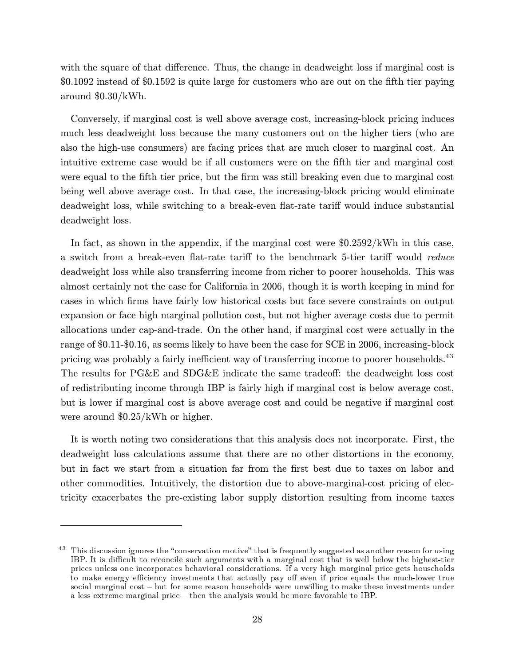with the square of that difference. Thus, the change in deadweight loss if marginal cost is \$0.1092 instead of \$0.1592 is quite large for customers who are out on the fifth tier paying around \$0.30/kWh.

Conversely, if marginal cost is well above average cost, increasing-block pricing induces much less deadweight loss because the many customers out on the higher tiers (who are also the high-use consumers) are facing prices that are much closer to marginal cost. An intuitive extreme case would be if all customers were on the fifth tier and marginal cost were equal to the fifth tier price, but the firm was still breaking even due to marginal cost being well above average cost. In that case, the increasing-block pricing would eliminate deadweight loss, while switching to a break-even flat-rate tariff would induce substantial deadweight loss.

In fact, as shown in the appendix, if the marginal cost were \$0.2592/kWh in this case, a switch from a break-even flat-rate tariff to the benchmark 5-tier tariff would reduce deadweight loss while also transferring income from richer to poorer households. This was almost certainly not the case for California in 2006, though it is worth keeping in mind for cases in which firms have fairly low historical costs but face severe constraints on output expansion or face high marginal pollution cost, but not higher average costs due to permit allocations under cap-and-trade. On the other hand, if marginal cost were actually in the range of \$0.11-\$0.16, as seems likely to have been the case for SCE in 2006, increasing-block pricing was probably a fairly inefficient way of transferring income to poorer households.<sup>43</sup> The results for PG&E and SDG&E indicate the same tradeoff: the deadweight loss cost of redistributing income through IBP is fairly high if marginal cost is below average cost, but is lower if marginal cost is above average cost and could be negative if marginal cost were around \$0.25/kWh or higher.

It is worth noting two considerations that this analysis does not incorporate. First, the deadweight loss calculations assume that there are no other distortions in the economy, but in fact we start from a situation far from the first best due to taxes on labor and other commodities. Intuitively, the distortion due to above-marginal-cost pricing of electricity exacerbates the pre-existing labor supply distortion resulting from income taxes

<sup>&</sup>lt;sup>43</sup> This discussion ignores the "conservation motive" that is frequently suggested as another reason for using<br>IBP. It is difficult to reconcile such arguments with a marginal cost that is well below the highest-tier This discussion ignores the "conservation motive" that is frequently suggested as another reason for using<br>IBP. It is difficult to reconcile such arguments with a marginal cost that is well below the highest-tier This discussion ignores the "conservation motive" that is frequently suggested as another reason for using<br>IBP. It is difficult to reconcile such arguments with a marginal cost that is well below the highest-tier<br>prices un to make energy efficiency investments that actually pay off even if price equals the much-lower true This discussion ignores the "conservation motive" that is frequently suggested as another reason for using<br>IBP. It is difficult to reconcile such arguments with a marginal cost that is well below the highest-tier<br>prices un social marginal cost – but for some reason households were unwilling to make these investments under IBP. It is difficult to reconcile such arguments with a marginal cost that is well b<br>prices unless one incorporates behavioral considerations. If a very high marginal p<br>to make energy efficiency investments that actually p a less extreme marginal price - then the analysis would be more favorable to IBP.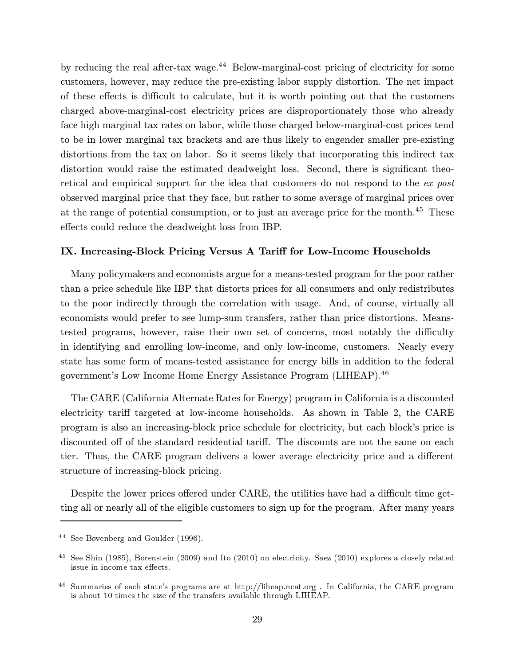by reducing the real after-tax wage.<sup>44</sup> Below-marginal-cost pricing of electricity for some customers, however, may reduce the pre-existing labor supply distortion. The net impact of these effects is difficult to calculate, but it is worth pointing out that the customers charged above-marginal-cost electricity prices are disproportionately those who already face high marginal tax rates on labor, while those charged below-marginal-cost prices tend to be in lower marginal tax brackets and are thus likely to engender smaller pre-existing distortions from the tax on labor. So it seems likely that incorporating this indirect tax distortion would raise the estimated deadweight loss. Second, there is significant theoretical and empirical support for the idea that customers do not respond to the ex post observed marginal price that they face, but rather to some average of marginal prices over at the range of potential consumption, or to just an average price for the month.<sup>45</sup> These effects could reduce the deadweight loss from IBP.

# IX. Increasing-Block Pricing Versus A Tariff for Low-Income Households

Many policymakers and economists argue for a means-tested program for the poor rather than a price schedule like IBP that distorts prices for all consumers and only redistributes to the poor indirectly through the correlation with usage. And, of course, virtually all economists would prefer to see lump-sum transfers, rather than price distortions. Meanstested programs, however, raise their own set of concerns, most notably the difficulty in identifying and enrolling low-income, and only low-income, customers. Nearly every state has some form of means-tested assistance for energy bills in addition to the federal government's Low Income Home Energy Assistance Program (LIHEAP).<sup>46</sup>

The CARE (California Alternate Rates for Energy) program in California is a discounted electricity tariff targeted at low-income households. As shown in Table 2, the CARE program is also an increasing-block price schedule for electricity, but each block's price is discounted off of the standard residential tariff. The discounts are not the same on each tier. Thus, the CARE program delivers a lower average electricity price and a different structure of increasing-block pricing.

Despite the lower prices offered under CARE, the utilities have had a difficult time getting all or nearly all of the eligible customers to sign up for the program. After many years

<sup>44</sup> See Bovenberg and Goulder (1996).

<sup>45</sup> See Shin (1985), Borenstein (2009) and Ito (2010) on electricity. Saez (2010) explores a closely related issue in income tax effects.

<sup>46</sup> Summaries of each state's programs are at http://liheap.ncat.org . In California, the CARE program is about 10 times the size of the transfers available through LIHEAP.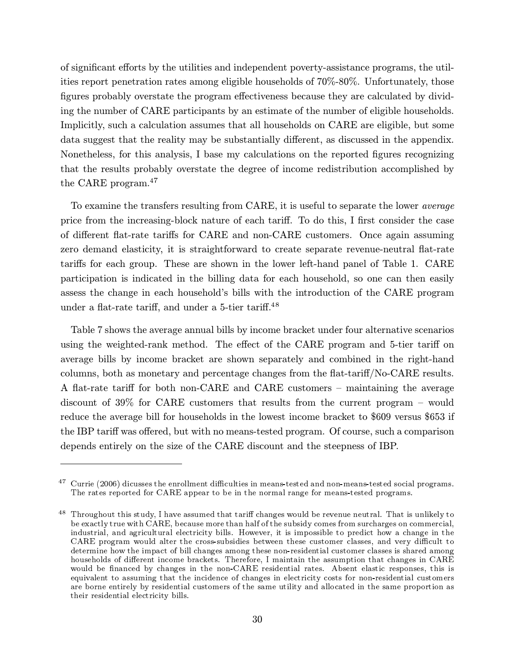of significant efforts by the utilities and independent poverty-assistance programs, the utilities report penetration rates among eligible households of 70%-80%. Unfortunately, those figures probably overstate the program effectiveness because they are calculated by dividing the number of CARE participants by an estimate of the number of eligible households. Implicitly, such a calculation assumes that all households on CARE are eligible, but some data suggest that the reality may be substantially different, as discussed in the appendix. Nonetheless, for this analysis, I base my calculations on the reported figures recognizing that the results probably overstate the degree of income redistribution accomplished by the CARE program.<sup>47</sup>

To examine the transfers resulting from CARE, it is useful to separate the lower average price from the increasing-block nature of each tariff. To do this, I first consider the case of different flat-rate tariffs for CARE and non-CARE customers. Once again assuming zero demand elasticity, it is straightforward to create separate revenue-neutral flat-rate tariffs for each group. These are shown in the lower left-hand panel of Table 1. CARE participation is indicated in the billing data for each household, so one can then easily assess the change in each household's bills with the introduction of the CARE program under a flat-rate tariff, and under a 5-tier tariff.<sup>48</sup>

Table 7 shows the average annual bills by income bracket under four alternative scenarios using the weighted-rank method. The effect of the CARE program and 5-tier tariff on average bills by income bracket are shown separately and combined in the right-hand columns, both as monetary and percentage changes from the flat-tariff/No-CARE results. A flat-rate tariff for both non-CARE and CARE customers — maintaining the average discount of 39% for CARE customers that results from the current program — would reduce the average bill for households in the lowest income bracket to \$609 versus \$653 if the IBP tariff was offered, but with no means-tested program. Of course, such a comparison depends entirely on the size of the CARE discount and the steepness of IBP.

 $^{47}$  Currie (2006) dicusses the enrollment difficulties in means-tested and non-means-tested social programs. The rates reported for CARE appear to be in the normal range for means-tested programs.

 $^{48}$  Throughout this study, I have assumed that tariff changes would be revenue neutral. That is unlikely to be exactly true with CARE, because more than half of the subsidy comes from surcharges on commercial, industrial, and agricultural electricity bills. However, it is impossible to predict how a change in the CARE program would alter the cross-subsidies between these customer classes, and very difficult to determine how the impact of bill changes among these non-residential customer classes is shared among households of different income brackets. Therefore, I maintain the assumption that changes in CARE would be financed by changes in the non-CARE residential rates. Absent elastic responses, this is equivalent to assuming that the incidence of changes in electricity costs for non-residential customers are borne entirely by residential customers of the same utility and allocated in the same proportion as their residential electricity bills.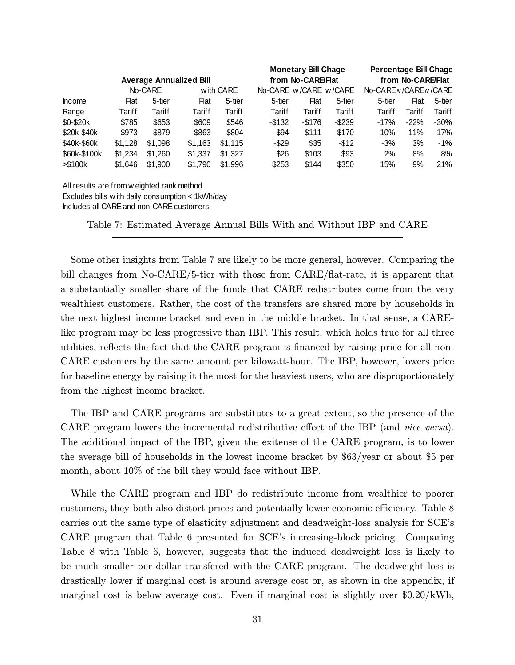|                                                                                                                                           |         |                                |         |            |                       | <b>Monetary Bill Chage</b> |           | <b>Percentage Bill Chage</b> |         |         |
|-------------------------------------------------------------------------------------------------------------------------------------------|---------|--------------------------------|---------|------------|-----------------------|----------------------------|-----------|------------------------------|---------|---------|
|                                                                                                                                           |         | <b>Average Annualized Bill</b> |         |            |                       | from No-CARE/Flat          |           | from No-CARE/Flat            |         |         |
|                                                                                                                                           |         | No-CARE                        |         | w ith CARE | No-CARE w/CARE w/CARE |                            |           | No-CARE v / CARE v / CARE    |         |         |
| <b>Income</b>                                                                                                                             | Flat    | 5-tier                         | Flat    | 5-tier     | 5-tier                | Flat                       | 5-tier    | 5-tier                       | Flat    | 5-tier  |
| Range                                                                                                                                     | Tariff  | Tariff                         | Tariff  | Tariff     | Tariff                | Tariff                     | Tariff    | Tariff                       | Tariff  | Tariff  |
| \$0-\$20k                                                                                                                                 | \$785   | \$653                          | \$609   | \$546      | -\$132                | -\$176                     | $-$ \$239 | $-17%$                       | $-22%$  | $-30\%$ |
| \$20k-\$40k                                                                                                                               | \$973   | \$879                          | \$863   | \$804      | $-$ \$94              | $-$ \$111                  | $-$170$   | $-10%$                       | $-11\%$ | $-17%$  |
| \$40k-\$60k                                                                                                                               | \$1,128 | \$1.098                        | \$1,163 | \$1,115    | $-$ \$29              | \$35                       | $-$12$    | $-3%$                        | 3%      | $-1\%$  |
| \$60k-\$100k                                                                                                                              | \$1,234 | \$1.260                        | \$1,337 | \$1.327    | \$26                  | \$103                      | \$93      | 2%                           | 8%      | 8%      |
| > \$100k                                                                                                                                  | \$1,646 | \$1,900                        | \$1,790 | \$1,996    | \$253                 | \$144                      | \$350     | 15%                          | 9%      | 21%     |
| All results are from weighted rank method<br>Excludes bills with daily consumption < 1kWh/day<br>Includes all CARE and non-CARE customers |         |                                |         |            |                       |                            |           |                              |         |         |

Table 7: Estimated Average Annual Bills With and Without IBP and CARE

Some other insights from Table 7 are likely to be more general, however. Comparing the bill changes from No-CARE/5-tier with those from CARE/flat-rate, it is apparent that a substantially smaller share of the funds that CARE redistributes come from the very wealthiest customers. Rather, the cost of the transfers are shared more by households in the next highest income bracket and even in the middle bracket. In that sense, a CARElike program may be less progressive than IBP. This result, which holds true for all three utilities, reflects the fact that the CARE program is financed by raising price for all non-CARE customers by the same amount per kilowatt-hour. The IBP, however, lowers price for baseline energy by raising it the most for the heaviest users, who are disproportionately from the highest income bracket.

The IBP and CARE programs are substitutes to a great extent, so the presence of the CARE program lowers the incremental redistributive effect of the IBP (and vice versa). The additional impact of the IBP, given the exitense of the CARE program, is to lower the average bill of households in the lowest income bracket by \$63/year or about \$5 per month, about 10% of the bill they would face without IBP.

While the CARE program and IBP do redistribute income from wealthier to poorer customers, they both also distort prices and potentially lower economic efficiency. Table 8 carries out the same type of elasticity adjustment and deadweight-loss analysis for SCE's CARE program that Table 6 presented for SCE's increasing-block pricing. Comparing Table 8 with Table 6, however, suggests that the induced deadweight loss is likely to be much smaller per dollar transfered with the CARE program. The deadweight loss is drastically lower if marginal cost is around average cost or, as shown in the appendix, if marginal cost is below average cost. Even if marginal cost is slightly over  $$0.20/kWh$ ,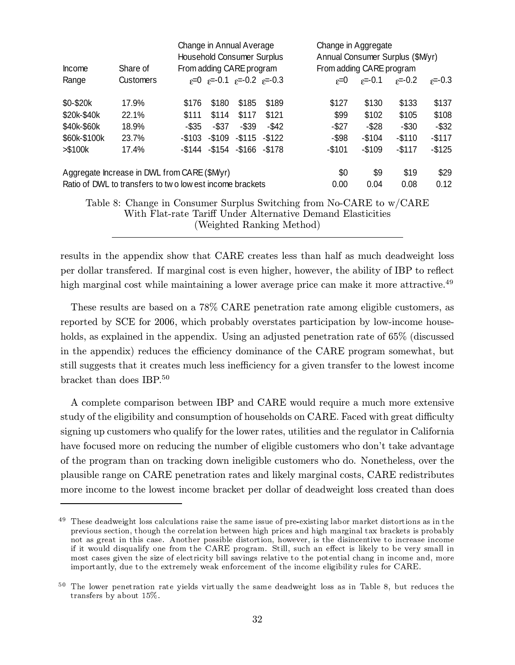|               | Change in Annual Average                                 |          |           | Change in Aggregate                                                              |                                                                       |                                                                                                                                     |                                  |                      |                     |  |  |
|---------------|----------------------------------------------------------|----------|-----------|----------------------------------------------------------------------------------|-----------------------------------------------------------------------|-------------------------------------------------------------------------------------------------------------------------------------|----------------------------------|----------------------|---------------------|--|--|
|               |                                                          |          |           | Household Consumer Surplus                                                       |                                                                       |                                                                                                                                     | Annual Consumer Surplus (\$M/yr) |                      |                     |  |  |
| <b>Income</b> | From adding CARE program<br>Share of                     |          |           | From adding CARE program                                                         |                                                                       |                                                                                                                                     |                                  |                      |                     |  |  |
| Range         | <b>Customers</b>                                         |          |           | $\varepsilon = 0$ $\varepsilon = -0.1$ $\varepsilon = -0.2$ $\varepsilon = -0.3$ |                                                                       | $c=0$                                                                                                                               | $E = 0.1$                        | $\varepsilon = -0.2$ | $\varepsilon = 0.3$ |  |  |
| $$0-$20k$     | 17.9%                                                    | \$176    | \$180     | \$185                                                                            | \$189                                                                 | \$127                                                                                                                               | \$130                            | \$133                | \$137               |  |  |
| \$20k-\$40k   | 22.1%                                                    | \$111    | \$114     | \$117                                                                            | \$121                                                                 | \$99                                                                                                                                | \$102                            | \$105                | \$108               |  |  |
| \$40k-\$60k   | 18.9%                                                    | $-$ \$35 | $-$ \$37  | $-$ \$39                                                                         | $-$ \$42                                                              | $-$ \$27                                                                                                                            | $-$ \$28                         | $-$ \$30             | $-$ \$32            |  |  |
| \$60k-\$100k  | 23.7%                                                    | -\$103   | $-$ \$109 |                                                                                  | $-$ \$115 $-$ \$122                                                   | $-$ \$98                                                                                                                            | $-$104$                          | $-$110$              | $-$117$             |  |  |
| $> $100k$     | 17.4%                                                    |          |           | -\$144 -\$154 -\$166 -\$178                                                      |                                                                       | $-$101$                                                                                                                             | $-$109$                          | $-$117$              | $-$ \$125           |  |  |
|               | Aggregate Increase in DWL from CARE (\$M/yr)             |          |           |                                                                                  |                                                                       | \$0                                                                                                                                 | \$9                              | \$19                 | \$29                |  |  |
|               | Ratio of DWL to transfers to two low est income brackets |          |           |                                                                                  |                                                                       | 0.00                                                                                                                                | 0.04                             | 0.08                 | 0.12                |  |  |
|               |                                                          |          |           |                                                                                  | $(117 \cdot 1)$ $\rightarrow$ $1 \cdot$ $1 \cdot$ $1 \cdot$ $1 \cdot$ | Table 8: Change in Consumer Surplus Switching from No-CARE to w/CARE<br>With Flat-rate Tariff Under Alternative Demand Elasticities |                                  |                      |                     |  |  |

(Weighted Ranking Method)

results in the appendix show that CARE creates less than half as much deadweight loss per dollar transfered. If marginal cost is even higher, however, the ability of IBP to reflect high marginal cost while maintaining a lower average price can make it more attractive.<sup>49</sup>

These results are based on a 78% CARE penetration rate among eligible customers, as reported by SCE for 2006, which probably overstates participation by low-income households, as explained in the appendix. Using an adjusted penetration rate of 65% (discussed in the appendix) reduces the efficiency dominance of the CARE program somewhat, but still suggests that it creates much less inefficiency for a given transfer to the lowest income bracket than does IBP.<sup>50</sup>

A complete comparison between IBP and CARE would require a much more extensive study of the eligibility and consumption of households on CARE. Faced with great difficulty signing up customers who qualify for the lower rates, utilities and the regulator in California have focused more on reducing the number of eligible customers who don't take advantage of the program than on tracking down ineligible customers who do. Nonetheless, over the plausible range on CARE penetration rates and likely marginal costs, CARE redistributes more income to the lowest income bracket per dollar of deadweight loss created than does

<sup>&</sup>lt;sup>49</sup> These deadweight loss calculations raise the same issue of pre-existing labor market distortions as in the previous section, though the correlation between high prices and high marginal tax brackets is probably not as great in this case. Another possible distortion, however, is the disincentive to increase income if it would disqualify one from the CARE program. Still, such an effect is likely to be very small in most cases given the size of electricity bill savings relative to the potential chang in income and, more importantly, due to the extremely weak enforcement of the income eligibility rules for CARE.

 $50$  The lower penetration rate yields virtually the same deadweight loss as in Table 8, but reduces the transfers by about 15%.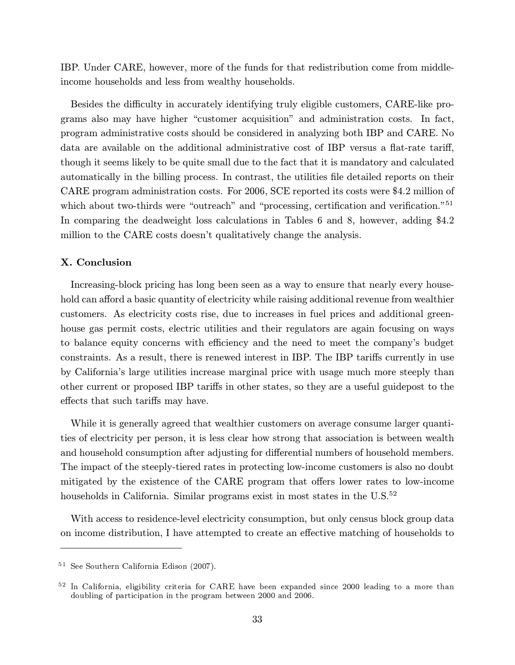IBP. Under CARE, however, more of the funds for that redistribution come from middleincome households and less from wealthy households.

Besides the difficulty in accurately identifying truly eligible customers, CARE-like programs also may have higher "customer acquisition" and administration costs. In fact, program administrative costs should be considered in analyzing both IBP and CARE. No data are available on the additional administrative cost of IBP versus a flat-rate tariff, though it seems likely to be quite small due to the fact that it is mandatory and calculated automatically in the billing process. In contrast, the utilities file detailed reports on their CARE program administration costs. For 2006, SCE reported its costs were \$4.2 million of which about two-thirds were "outreach" and "processing, certification and verification."<sup>51</sup> In comparing the deadweight loss calculations in Tables 6 and 8, however, adding \$4.2 million to the CARE costs doesn't qualitatively change the analysis.

# X. Conclusion

Increasing-block pricing has long been seen as a way to ensure that nearly every household can afford a basic quantity of electricity while raising additional revenue from wealthier customers. As electricity costs rise, due to increases in fuel prices and additional greenhouse gas permit costs, electric utilities and their regulators are again focusing on ways to balance equity concerns with efficiency and the need to meet the company's budget constraints. As a result, there is renewed interest in IBP. The IBP tariffs currently in use by California's large utilities increase marginal price with usage much more steeply than other current or proposed IBP tariffs in other states, so they are a useful guidepost to the effects that such tariffs may have.

While it is generally agreed that wealthier customers on average consume larger quantities of electricity per person, it is less clear how strong that association is between wealth and household consumption after adjusting for differential numbers of household members. The impact of the steeply-tiered rates in protecting low-income customers is also no doubt mitigated by the existence of the CARE program that offers lower rates to low-income households in California. Similar programs exist in most states in the U.S.<sup>52</sup>

With access to residence-level electricity consumption, but only census block group data on income distribution, I have attempted to create an effective matching of households to

<sup>51</sup> See Southern California Edison (2007).

<sup>&</sup>lt;sup>52</sup> In California, eligibility criteria for CARE have been expanded since 2000 leading to a more than doubling of participation in the program between 2000 and 2006.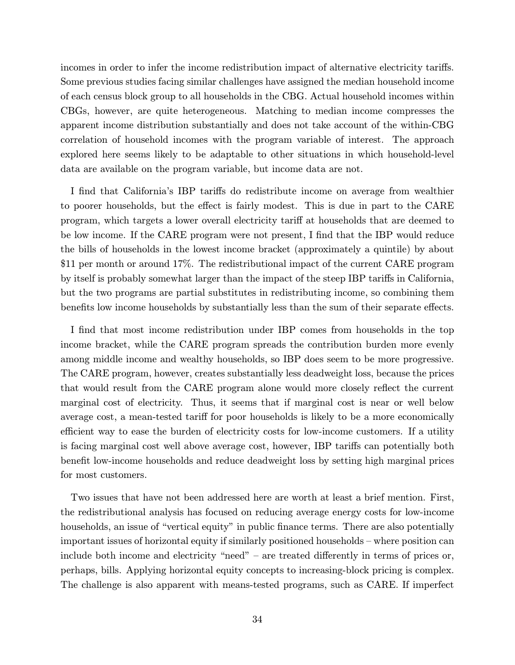incomes in order to infer the income redistribution impact of alternative electricity tariffs. Some previous studies facing similar challenges have assigned the median household income of each census block group to all households in the CBG. Actual household incomes within CBGs, however, are quite heterogeneous. Matching to median income compresses the apparent income distribution substantially and does not take account of the within-CBG correlation of household incomes with the program variable of interest. The approach explored here seems likely to be adaptable to other situations in which household-level data are available on the program variable, but income data are not.

I find that California's IBP tariffs do redistribute income on average from wealthier to poorer households, but the effect is fairly modest. This is due in part to the CARE program, which targets a lower overall electricity tariff at households that are deemed to be low income. If the CARE program were not present, I find that the IBP would reduce the bills of households in the lowest income bracket (approximately a quintile) by about \$11 per month or around 17%. The redistributional impact of the current CARE program by itself is probably somewhat larger than the impact of the steep IBP tariffs in California, but the two programs are partial substitutes in redistributing income, so combining them benefits low income households by substantially less than the sum of their separate effects.

I find that most income redistribution under IBP comes from households in the top income bracket, while the CARE program spreads the contribution burden more evenly among middle income and wealthy households, so IBP does seem to be more progressive. The CARE program, however, creates substantially less deadweight loss, because the prices that would result from the CARE program alone would more closely reflect the current marginal cost of electricity. Thus, it seems that if marginal cost is near or well below average cost, a mean-tested tariff for poor households is likely to be a more economically efficient way to ease the burden of electricity costs for low-income customers. If a utility is facing marginal cost well above average cost, however, IBP tariffs can potentially both benefit low-income households and reduce deadweight loss by setting high marginal prices for most customers.

Two issues that have not been addressed here are worth at least a brief mention. First, the redistributional analysis has focused on reducing average energy costs for low-income households, an issue of "vertical equity" in public finance terms. There are also potentially important issues of horizontal equity if similarly positioned households — where position can include both income and electricity "need" — are treated differently in terms of prices or, perhaps, bills. Applying horizontal equity concepts to increasing-block pricing is complex. The challenge is also apparent with means-tested programs, such as CARE. If imperfect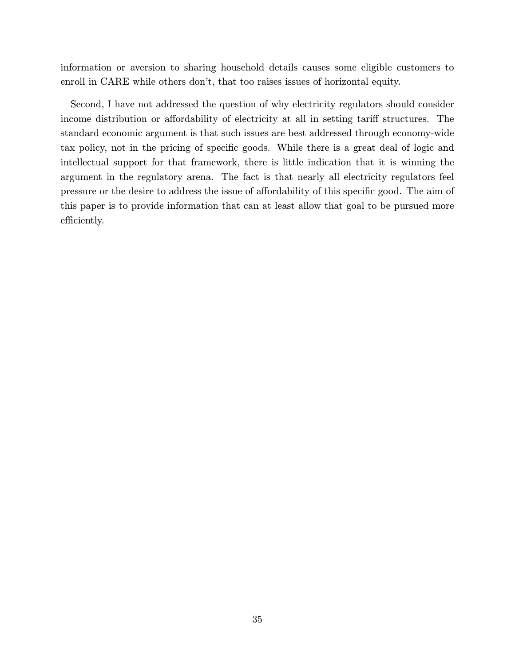information or aversion to sharing household details causes some eligible customers to enroll in CARE while others don't, that too raises issues of horizontal equity.

Second, I have not addressed the question of why electricity regulators should consider income distribution or affordability of electricity at all in setting tariff structures. The standard economic argument is that such issues are best addressed through economy-wide tax policy, not in the pricing of specific goods. While there is a great deal of logic and intellectual support for that framework, there is little indication that it is winning the argument in the regulatory arena. The fact is that nearly all electricity regulators feel pressure or the desire to address the issue of affordability of this specific good. The aim of this paper is to provide information that can at least allow that goal to be pursued more efficiently.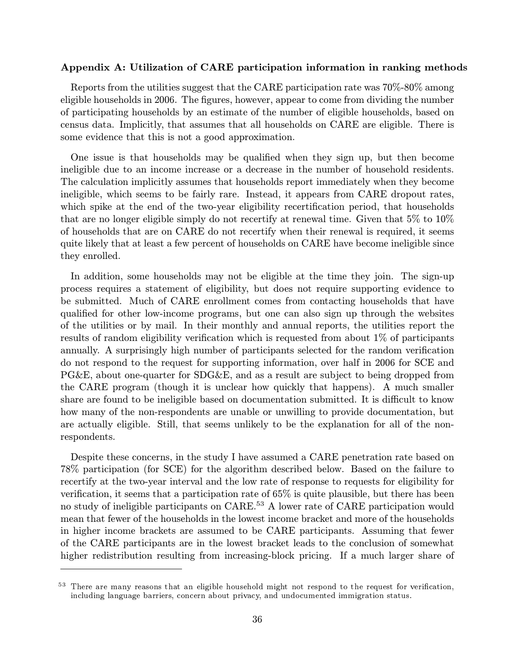#### Appendix A: Utilization of CARE participation information in ranking methods

Reports from the utilities suggest that the CARE participation rate was 70%-80% among eligible households in 2006. The figures, however, appear to come from dividing the number of participating households by an estimate of the number of eligible households, based on census data. Implicitly, that assumes that all households on CARE are eligible. There is some evidence that this is not a good approximation.

One issue is that households may be qualified when they sign up, but then become ineligible due to an income increase or a decrease in the number of household residents. The calculation implicitly assumes that households report immediately when they become ineligible, which seems to be fairly rare. Instead, it appears from CARE dropout rates, which spike at the end of the two-year eligibility recertification period, that households that are no longer eligible simply do not recertify at renewal time. Given that 5% to 10% of households that are on CARE do not recertify when their renewal is required, it seems quite likely that at least a few percent of households on CARE have become ineligible since they enrolled.

In addition, some households may not be eligible at the time they join. The sign-up process requires a statement of eligibility, but does not require supporting evidence to be submitted. Much of CARE enrollment comes from contacting households that have qualified for other low-income programs, but one can also sign up through the websites of the utilities or by mail. In their monthly and annual reports, the utilities report the results of random eligibility verification which is requested from about 1% of participants annually. A surprisingly high number of participants selected for the random verification do not respond to the request for supporting information, over half in 2006 for SCE and PG&E, about one-quarter for SDG&E, and as a result are subject to being dropped from the CARE program (though it is unclear how quickly that happens). A much smaller share are found to be ineligible based on documentation submitted. It is difficult to know how many of the non-respondents are unable or unwilling to provide documentation, but are actually eligible. Still, that seems unlikely to be the explanation for all of the nonrespondents.

Despite these concerns, in the study I have assumed a CARE penetration rate based on 78% participation (for SCE) for the algorithm described below. Based on the failure to recertify at the two-year interval and the low rate of response to requests for eligibility for verification, it seems that a participation rate of 65% is quite plausible, but there has been no study of ineligible participants on CARE.<sup>53</sup> A lower rate of CARE participation would mean that fewer of the households in the lowest income bracket and more of the households in higher income brackets are assumed to be CARE participants. Assuming that fewer of the CARE participants are in the lowest bracket leads to the conclusion of somewhat higher redistribution resulting from increasing-block pricing. If a much larger share of

<sup>&</sup>lt;sup>53</sup> There are many reasons that an eligible household might not respond to the request for verification, including language barriers, concern about privacy, and undocumented immigration status.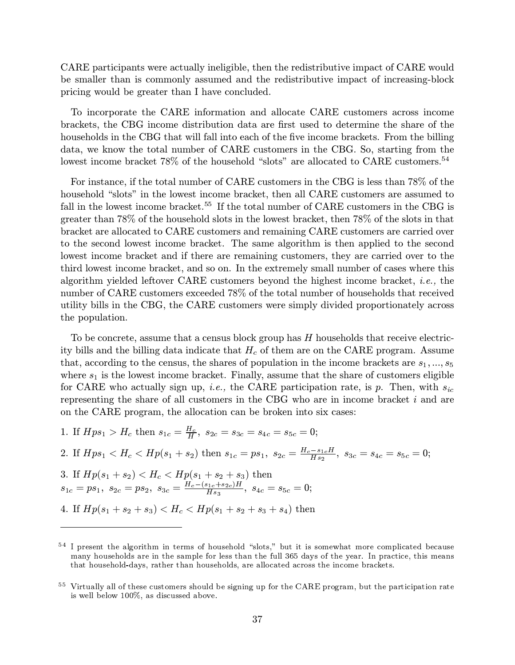CARE participants were actually ineligible, then the redistributive impact of CARE would be smaller than is commonly assumed and the redistributive impact of increasing-block pricing would be greater than I have concluded.

To incorporate the CARE information and allocate CARE customers across income brackets, the CBG income distribution data are first used to determine the share of the households in the CBG that will fall into each of the five income brackets. From the billing data, we know the total number of CARE customers in the CBG. So, starting from the lowest income bracket  $78\%$  of the household "slots" are allocated to CARE customers.<sup>54</sup>

For instance, if the total number of CARE customers in the CBG is less than 78% of the household "slots" in the lowest income bracket, then all CARE customers are assumed to fall in the lowest income bracket.<sup>55</sup> If the total number of CARE customers in the CBG is greater than 78% of the household slots in the lowest bracket, then 78% of the slots in that bracket are allocated to CARE customers and remaining CARE customers are carried over to the second lowest income bracket. The same algorithm is then applied to the second lowest income bracket and if there are remaining customers, they are carried over to the third lowest income bracket, and so on. In the extremely small number of cases where this algorithm yielded leftover CARE customers beyond the highest income bracket, i.e., the number of CARE customers exceeded 78% of the total number of households that received utility bills in the CBG, the CARE customers were simply divided proportionately across the population.

To be concrete, assume that a census block group has  $H$  households that receive electricity bills and the billing data indicate that  $H_c$  of them are on the CARE program. Assume that, according to the census, the shares of population in the income brackets are  $s_1, ..., s_5$ where  $s_1$  is the lowest income bracket. Finally, assume that the share of customers eligible for CARE who actually sign up, *i.e.*, the CARE participation rate, is p. Then, with  $s_{ic}$ representing the share of all customers in the CBG who are in income bracket i and are on the CARE program, the allocation can be broken into six cases:

1. If  $Hps_1 > H_c$  then  $s_{1c} = \frac{H_c}{H}$ ,  $s_{2c} = s_{3c} = s_{4c} = s_{5c} = 0$ ; 2. If  $Hps_1 < H_c < Hp(s_1 + s_2)$  then  $s_{1c} = ps_1$ ,  $s_{2c} = \frac{H_c - s_{1c}H}{Hs_2}$ <br>
3. If  $Hp(s_1 + s_2) < H_c < Hp(s_1 + s_2 + s_3)$  then  $s_{1c} = ps_1$ ,  $s_{2c} = ps_2$ ,  $s_{3c} = \frac{H_c - (s_{1c} + s_{2c})H}{Hs_3}$ ,  $s_{4c} = s_{5c} = 0$ ; 2. If  $Hps_1 < H_c < Hp(s_1 + s_2)$  then  $s_{1c} = ps_1$ ,  $s_{2c} = \frac{H_c - s_{1c}H}{Hs_2}$ ,  $s_{3c} = s_{4c} = s_{5c} = 0$ ; 3. If  $Hp(s_1 + s_2) < H_c < Hp(s_1 + s_2 + s_3)$  then  $s_{1c} = ps_1, s_{2c} = ps_2, s_{3c} = \frac{H_c - (s_{1c} + s_{2c})H}{Hs_3}, s_{4c} = s_{5c} = 0;$ <br>4. If  $Hp(s_1 + s_2 + s_3) < H_c < Hp(s_1 + s_2 + s_3 + s_4)$  then 4. If  $Hp(s_1 + s_2 + s_3) < H_c < Hp(s_1 + s_2 + s_3 + s_4)$  then

 $54$  I present the algorithm in terms of household "slots," but it is somewhat more complicated because many households are in the sample for less than the full 365 days of the year. In practice, this means that household-days, rather than households, are allocated across the income brackets.

<sup>&</sup>lt;sup>55</sup> Virtually all of these customers should be signing up for the CARE program, but the participation rate is well below 100%, as discussed above.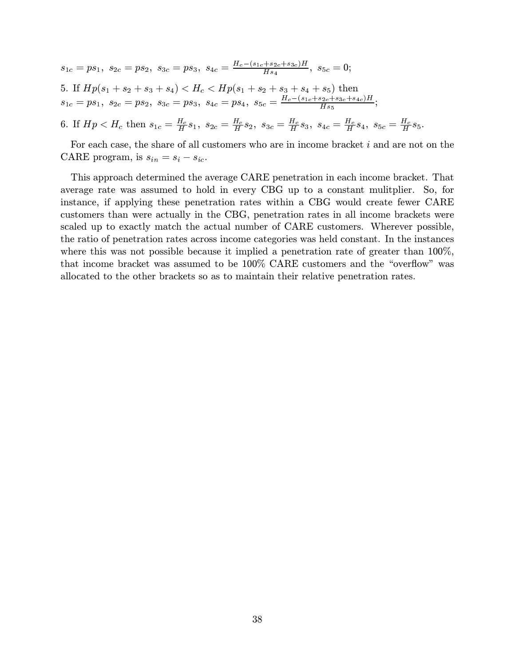$\begin{split} s_{1c} &= ps_1, \,\, s_{2c} = ps_2, \,\, s_{3c} = ps_3, \,\, s_{4c} = \frac{H_c - (s_{1c} + s_{2c} + s_{3c})H}{H s_4} \[5. \,\, \text{If} \,\, Hp(s_1 + s_2 + s_3 + s_4) < H_c < Hp(s_1 + s_2 + s_3 + s_4) \[5. \,\, \text{If} \,\, sp(s_1 + s_2 + s_3 + s_4) < H_c < Hp(s_1 + s_2 + s_3 + s_4) \[5. \,\, \text{If} \,\, sp(s_1 + s_$  $s_{1c} = ps_1, s_{2c} = ps_2, s_{3c} = ps_3, s_{4c} = \frac{H_c - (s_{1c} + s_{2c} + s_{3c})H}{H_{34}}, s_{5c} = 0;$ 5. If  $Hp(s_1 + s_2 + s_3 + s_4) < H_c < Hyp(s_1 + s_2 + s_3 + s_4 + s_5)$  then  $s_{1c} = ps_1, s_{2c} = ps_2, s_{3c} = ps_3, s_{4c} = ps_4, s_{5c} = \frac{H_c - (s_{1c} + s_{2c} + s_{3c} + s_{4c})H}{H s_5}$ <br>6. If  $Hp < H_c$  then  $s_{1c} = \frac{H_c}{H} s_1, s_{2c} = \frac{H_c}{H} s_2, s_{3c} = \frac{H_c}{H} s_3, s_{4c} = \frac{H_c}{H} s_4,$ <br>For each seas, the share of all sustances  $s_{1c} = ps_1, s_{2c} = ps_2, s_{3c} = ps_3, s_{4c} = ps_4, s_{5c} = \frac{H_c - (s_{1c} + s_{2c} + s_{3c} + s_{4c})H}{H_{ss}};$ 6. If  $Hp < H_c$  then  $s_{1c} = \frac{H_c}{H} s_1$ ,  $s_{2c} = \frac{H_c}{H} s_2$ ,  $s_{3c} = \frac{H_c}{H} s_3$ ,  $s_{4c} = \frac{H_c}{H} s_4$ ,  $s_{5c} = \frac{H_c}{H} s_5$ .

For each case, the share of all customers who are in income bracket  $i$  and are not on the CARE program, is  $s_{in} = s_i - s_{ic}$ .

This approach determined the average CARE penetration in each income bracket. That average rate was assumed to hold in every CBG up to a constant mulitplier. So, for instance, if applying these penetration rates within a CBG would create fewer CARE customers than were actually in the CBG, penetration rates in all income brackets were scaled up to exactly match the actual number of CARE customers. Wherever possible, the ratio of penetration rates across income categories was held constant. In the instances where this was not possible because it implied a penetration rate of greater than  $100\%$ , that income bracket was assumed to be 100% CARE customers and the "overflow" was allocated to the other brackets so as to maintain their relative penetration rates.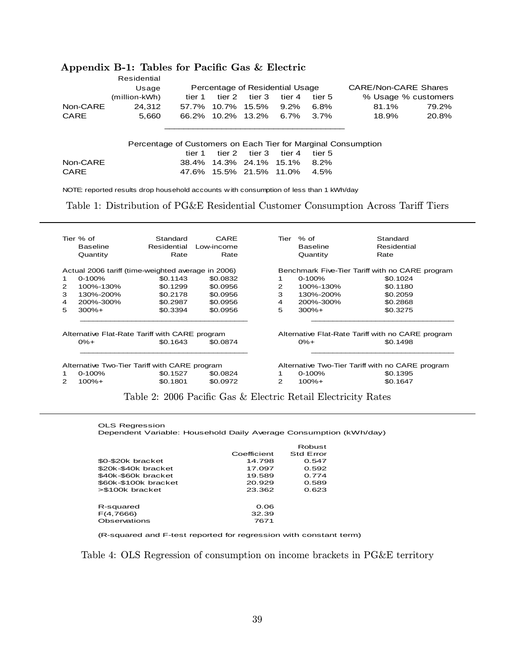|             | Residential   |        |        |                                 |                             |         |                                                               |                     |
|-------------|---------------|--------|--------|---------------------------------|-----------------------------|---------|---------------------------------------------------------------|---------------------|
|             | Usage         |        |        | Percentage of Residential Usage | <b>CARE/Non-CARE Shares</b> |         |                                                               |                     |
|             | (million-kWh) | tier 1 | tier 2 | tier 3                          | tier 4                      | tier 5  |                                                               | % Usage % customers |
| Non-CARE    | 24,312        | 57.7%  | 10.7%  | 15.5%                           | $9.2\%$                     | 6.8%    | 81.1%                                                         | 79.2%               |
| <b>CARE</b> | 5,660         | 66.2%  |        | 10.2% 13.2%                     | 6.7%                        | $3.7\%$ | 18.9%                                                         | 20.8%               |
|             |               |        |        |                                 |                             |         |                                                               |                     |
|             |               |        |        |                                 |                             |         | Percentage of Customers on Each Tier for Marginal Consumption |                     |
|             |               | tier 1 | tier 2 | tier 3                          | tier 4                      | tier 5  |                                                               |                     |
| Non-CARE    |               | 38.4%  |        | 14.3% 24.1% 15.1%               |                             | 8.2%    |                                                               |                     |
| <b>CARE</b> |               | 47.6%  |        | 15.5% 21.5% 11.0%               |                             | 4.5%    |                                                               |                     |

# Appendix B-1: Tables for Pacific Gas & Electric

NOTE: reported results drop household accounts w ith consumption of less than 1 kWh/day

Table 1: Distribution of PG&E Residential Customer Consumption Across Tariff Tiers

|   | Tier % of                                          | Standard    | CARE       | Tier           | % of            | Standard                                          |
|---|----------------------------------------------------|-------------|------------|----------------|-----------------|---------------------------------------------------|
|   | <b>Baseline</b>                                    | Residential | Low-income |                | <b>Baseline</b> | Residential                                       |
|   | Quantity                                           | Rate        | Rate       |                | Quantity        | Rate                                              |
|   | Actual 2006 tariff (time-weighted average in 2006) |             |            |                |                 | Benchmark Five-Tier Tariff with no CARE program   |
| 1 | $0 - 100\%$                                        | \$0.1143    | \$0.0832   |                | $0 - 100%$      | \$0.1024                                          |
| 2 | 100%-130%                                          | \$0.1299    | \$0.0956   | 2              | 100%-130%       | \$0.1180                                          |
| 3 | 130%-200%                                          | \$0.2178    | \$0.0956   | 3              | 130%-200%       | \$0.2059                                          |
| 4 | 200%-300%                                          | \$0.2987    | \$0.0956   | $\overline{4}$ | 200%-300%       | \$0.2868                                          |
| 5 | $300%+$                                            | \$0.3394    | \$0.0956   | 5              | $300%+$         | \$0.3275                                          |
|   |                                                    |             |            |                |                 |                                                   |
|   | Alternative Flat-Rate Tariff with CARE program     |             |            |                |                 | Alternative Flat-Rate Tariff with no CARE program |
|   | $0\% +$                                            | \$0.1643    | \$0.0874   |                | $0\% +$         | \$0.1498                                          |
|   |                                                    |             |            |                |                 |                                                   |
|   | Alternative Two-Tier Tariff with CARE program      |             |            |                |                 | Alternative Two-Tier Tariff with no CARE program  |
| 1 | 0-100%                                             | \$0.1527    | \$0.0824   |                | $0 - 100%$      | \$0.1395                                          |

Table 2: 2006 Pacific Gas & Electric Retail Electricity Rates

| <b>OLS Regression</b>                                             |
|-------------------------------------------------------------------|
| Dependent Variable: Household Daily Average Consumption (kWh/day) |

| \$0-\$20k bracket<br>\$20k-\$40k bracket<br>\$40k-\$60k bracket<br>\$60k-\$100k bracket<br>>\$100k bracket | Coefficient<br>14.798<br>17.097<br>19.589<br>20.929<br>23.362 | Robust<br>Std Error<br>0.547<br>0.592<br>0.774<br>0.589<br>0.623 |
|------------------------------------------------------------------------------------------------------------|---------------------------------------------------------------|------------------------------------------------------------------|
| R-squared<br>F(4,7666)<br>Observations                                                                     | 0.06<br>32.39<br>7671                                         |                                                                  |

(R-squared and F-test reported for regression with constant term)

Table 4: OLS Regression of consumption on income brackets in PG&E territory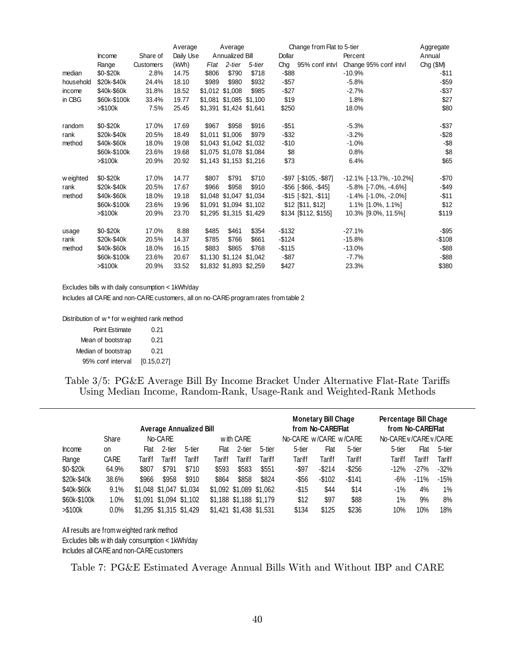|           |              |           | Average   |         | Average                 |                 |           | Change from Flat to 5-tier     |                                     | Aggregate |
|-----------|--------------|-----------|-----------|---------|-------------------------|-----------------|-----------|--------------------------------|-------------------------------------|-----------|
|           | Income       | Share of  | Daily Use |         | Annualized Bill         |                 | Dollar    |                                | Percent                             | Annual    |
|           | Range        | Customers | (kWh)     | Flat    | 2-tier                  | 5-tier          | Chg       | 95% conf intvl                 | Change 95% conf intvl               | Chg (\$M) |
| median    | \$0-\$20k    | 2.8%      | 14.75     | \$806   | \$790                   | \$718           | $-$ \$88  |                                | $-10.9%$                            | $-$ \$11  |
| household | \$20k-\$40k  | 24.4%     | 18.10     | \$989   | \$980                   | \$932           | $-$ \$57  |                                | $-5.8%$                             | $-$ \$59  |
| income    | \$40k-\$60k  | 31.8%     | 18.52     |         | \$1,012 \$1,008         | \$985           | $-$ \$27  |                                | $-2.7%$                             | -\$37     |
| in CBG    | \$60k-\$100k | 33.4%     | 19.77     | \$1,081 |                         | \$1,085 \$1,100 | \$19      |                                | 1.8%                                | \$27      |
|           | > \$100k     | 7.5%      | 25.45     |         | \$1,391 \$1,424 \$1,641 |                 | \$250     |                                | 18.0%                               | \$80      |
| random    | \$0-\$20k    | 17.0%     | 17.69     | \$967   | \$958                   | \$916           | $-$ \$51  |                                | $-5.3%$                             | -\$37     |
| rank      | \$20k-\$40k  | 20.5%     | 18.49     | \$1,011 | \$1,006                 | \$979           | $-$ \$32  |                                | $-3.2%$                             | $-$ \$28  |
| method    | \$40k-\$60k  | 18.0%     | 19.08     | \$1.043 |                         | \$1,042 \$1,032 | $-$10$    |                                | $-1.0%$                             | $-$ \$8   |
|           | \$60k-\$100k | 23.6%     | 19.68     |         | \$1,075 \$1,078 \$1,084 |                 | \$8       |                                | 0.8%                                | \$8       |
|           | > \$100k     | 20.9%     | 20.92     |         | \$1,143 \$1,153 \$1,216 |                 | \$73      |                                | 6.4%                                | \$65      |
| w eighted | \$0-\$20k    | 17.0%     | 14.77     | \$807   | \$791                   | \$710           |           | -\$97 [-\$105, -\$87]          | $-12.1\%$ [ $-13.7\%$ , $-10.2\%$ ] | -\$70     |
| rank      | \$20k-\$40k  | 20.5%     | 17.67     | \$966   | \$958                   | \$910           |           | $-$ \$56 [ $-$ \$66, $-$ \$45] | $-5.8\%$ [ $-7.0\%$ , $-4.6\%$ ]    | -\$49     |
| method    | \$40k-\$60k  | 18.0%     | 19.18     | \$1,048 |                         | \$1,047 \$1,034 |           | $-$ \$15 $[-$ \$21, $-$ \$11]  | $-1.4\%$ [ $-1.0\%$ , $-2.0\%$ ]    | $-$ \$11  |
|           | \$60k-\$100k | 23.6%     | 19.96     | \$1.091 |                         | \$1,094 \$1,102 |           | $$12$ [\$11, \$12]             | 1.1% [1.0%, 1.1%]                   | \$12      |
|           | > \$100k     | 20.9%     | 23.70     |         | \$1,295 \$1,315 \$1,429 |                 |           | $$134$ [ $$112, $155$ ]        | 10.3% [9.0%, 11.5%]                 | \$119     |
| usage     | \$0-\$20k    | 17.0%     | 8.88      | \$485   | \$461                   | \$354           | $-$ \$132 |                                | $-27.1%$                            | -\$95     |
| rank      | \$20k-\$40k  | 20.5%     | 14.37     | \$785   | \$766                   | \$661           | $-$ \$124 |                                | $-15.8%$                            | $-$108$   |
| method    | \$40k-\$60k  | 18.0%     | 16.15     | \$883   | \$865                   | \$768           | $-$115$   |                                | $-13.0%$                            | $-$ \$88  |
|           | \$60k-\$100k | 23.6%     | 20.67     | \$1.130 |                         | \$1,124 \$1,042 | $-$ \$87  |                                | $-7.7\%$                            | $-$ \$88  |
|           | > \$100k     | 20.9%     | 33.52     |         | \$1,832 \$1,893 \$2,259 |                 | \$427     |                                | 23.3%                               | \$380     |

Excludes bills w ith daily consumption < 1kWh/day

Includes all CARE and non-CARE customers, all on no-CARE-program rates from table 2

Distribution of w \* for w eighted rank method

| Point Estimate      | 0.21         |
|---------------------|--------------|
| Mean of bootstrap   | 0.21         |
| Median of bootstrap | 0.21         |
| 95% conf interval   | [0.15, 0.27] |

Table 3/5: PG&E Average Bill By Income Bracket Under Alternative Flat-Rate Tariffs Using Median Income, Random-Rank, Usage-Rank and Weighted-Rank Methods

|               | Share   |        | No-CARE                 | <b>Average Annualized Bill</b> |        | w ith CARE              |                         | No-CARE w/CARE w/CARE | <b>Monetary Bill Chage</b><br>from No-CARE/Flat |           | Percentage Bill Chage<br>from No-CARE/Flat<br>No-CARE N/CARE N/CARE |        |        |
|---------------|---------|--------|-------------------------|--------------------------------|--------|-------------------------|-------------------------|-----------------------|-------------------------------------------------|-----------|---------------------------------------------------------------------|--------|--------|
| <b>Income</b> | on      | Flat   | 2-tier                  | 5-tier                         | Flat   | 2-tier                  | 5-tier                  | 5-tier                | Flat                                            | 5-tier    | 5-tier                                                              | Flat   | 5-tier |
| Range         | CARE    | Tariff | Tariff                  | Tariff                         | Tariff | Tariff                  | Tariff                  | Tariff                | Tariff                                          | Tariff    | Tariff                                                              | Tariff | Tariff |
| \$0-\$20k     | 64.9%   | \$807  | \$791                   | \$710                          | \$593  | \$583                   | \$551                   | -\$97                 | $-$ \$214                                       | $-$ \$256 | $-12%$                                                              | $-27%$ | $-32%$ |
| \$20k-\$40k   | 38.6%   | \$966  | \$958                   | \$910                          | \$864  | \$858                   | \$824                   | $-$ \$56              | $-$102$                                         | $-$ \$141 | $-6%$                                                               | $-11%$ | $-15%$ |
| \$40k-\$60k   | 9.1%    |        | \$1.048 \$1.047 \$1.034 |                                |        |                         | \$1,092 \$1,089 \$1,062 | $-$15$                | \$44                                            | \$14      | $-1\%$                                                              | 4%     | 1%     |
| \$60k-\$100k  | 1.0%    |        | \$1,091 \$1,094 \$1,102 |                                |        | \$1,188 \$1,188 \$1,179 |                         | \$12                  | \$97                                            | \$88      | 1%                                                                  | 9%     | 8%     |
| > \$100k      | $0.0\%$ |        | \$1,295 \$1,315 \$1,429 |                                |        | \$1,421 \$1,438 \$1,531 |                         | \$134                 | \$125                                           | \$236     | 10%                                                                 | 10%    | 18%    |

All results are from w eighted rank method Excludes bills w ith daily consumption < 1kWh/day Includes all CARE and non-CARE customers

Table 7: PG&E Estimated Average Annual Bills With and Without IBP and CARE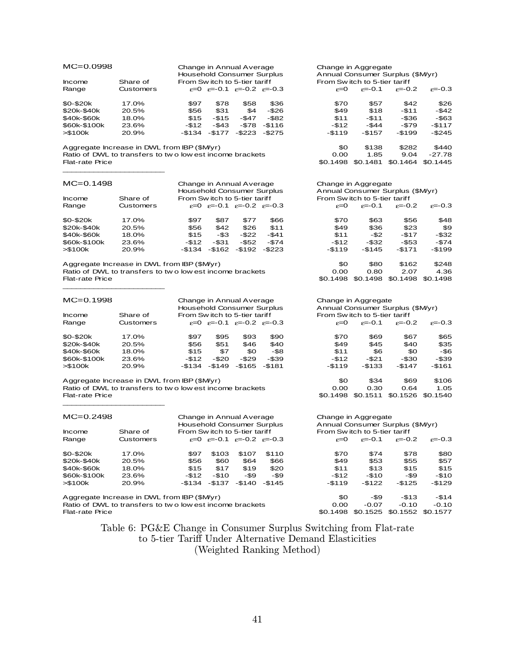| $MC = 0.0998$ |                  | Change in Annual Average<br><b>Household Consumer Surplus</b> |        |                                                                                  |          | Change in Aggregate<br>Annual Consumer Surplus (\$M/yr)<br>From Sw itch to 5-tier tariff |                      |                      |                      |  |
|---------------|------------------|---------------------------------------------------------------|--------|----------------------------------------------------------------------------------|----------|------------------------------------------------------------------------------------------|----------------------|----------------------|----------------------|--|
| <b>Income</b> | Share of         | From Switch to 5-tier tariff                                  |        |                                                                                  |          |                                                                                          |                      |                      |                      |  |
| Range         | <b>Customers</b> |                                                               |        | $\varepsilon = 0$ $\varepsilon = -0.1$ $\varepsilon = -0.2$ $\varepsilon = -0.3$ |          | $5=0$                                                                                    | $\varepsilon = -0.1$ | $\varepsilon = -0.2$ | $\varepsilon = -0.3$ |  |
| \$0-\$20k     | 17.0%            | \$97                                                          | \$78   | \$58                                                                             | \$36     | \$70                                                                                     | \$57                 | \$42                 | \$26                 |  |
| \$20k-\$40k   | 20.5%            | \$56                                                          | \$31   | \$4                                                                              | $-$ \$26 | \$49                                                                                     | \$18                 | $-$11$               | $-$42$               |  |
| \$40k-\$60k   | 18.0%            | \$15                                                          | -\$15  | -\$47                                                                            | -\$82    | \$11                                                                                     | $-511$               | -\$36                | -\$63                |  |
| \$60k-\$100k  | 23.6%            | -\$12                                                         | $-$43$ | -\$78                                                                            | -\$116   | $-$12$                                                                                   | $-$ \$44             | $-579$               | $-$117$              |  |
| > \$100k      | 20.9%            | -\$134                                                        | -\$177 | -\$223                                                                           | -\$275   | $-$119$                                                                                  | $-$157$              | $-$199$              | $-$ \$245            |  |

Aggregate Increase in DWL from IBP (\$M/yr) Ratio of DWL to transfers to two low est income brackets<br>Flat-rate Price  $\frac{1}{2}$  ,  $\frac{1}{2}$  ,  $\frac{1}{2}$  ,  $\frac{1}{2}$  ,  $\frac{1}{2}$  ,  $\frac{1}{2}$  ,  $\frac{1}{2}$  ,  $\frac{1}{2}$  ,  $\frac{1}{2}$  ,  $\frac{1}{2}$  ,  $\frac{1}{2}$  ,  $\frac{1}{2}$  ,  $\frac{1}{2}$  ,  $\frac{1}{2}$  ,  $\frac{1}{2}$  ,  $\frac{1}{2}$  ,  $\frac{1}{2}$  ,  $\frac{1}{2}$  ,  $\frac{1$ 

| $MC = 0.1498$<br>Share of<br><b>Income</b> |           | Change in Annual Average<br><b>Household Consumer Surplus</b><br>From Switch to 5-tier tariff |          |                                                                      |         | Change in Aggregate<br>Annual Consumer Surplus (\$M/yr)<br>From Sw itch to 5-tier tariff |            |                      |            |
|--------------------------------------------|-----------|-----------------------------------------------------------------------------------------------|----------|----------------------------------------------------------------------|---------|------------------------------------------------------------------------------------------|------------|----------------------|------------|
| Range                                      | Customers |                                                                                               |          | $\epsilon = 0$ $\epsilon = -0.1$ $\epsilon = -0.2$ $\epsilon = -0.3$ |         | $5=0$                                                                                    | $F = -0.1$ | $\varepsilon = -0.2$ | $F = -0.3$ |
| \$0-\$20k                                  | 17.0%     | \$97                                                                                          | \$87     | \$77                                                                 | \$66    | \$70                                                                                     | \$63       | \$56                 | \$48       |
| \$20k-\$40k                                | 20.5%     | \$56                                                                                          | \$42     | \$26                                                                 | \$11    | \$49                                                                                     | \$36       | \$23                 | \$9        |
| \$40k-\$60k                                | 18.0%     | \$15                                                                                          | $-$ \$3  | -\$22                                                                | -\$41   | \$11                                                                                     | $-$ \$2    | -\$17                | -\$32      |
| \$60k-\$100k                               | 23.6%     | $-$12$                                                                                        | $-$ \$31 | -\$52                                                                | $-\$74$ | $-$12$                                                                                   | $-$ \$32   | $-$ \$53             | $-$74$     |
| > \$100k                                   | 20.9%     | -\$134                                                                                        | -\$162   | -\$192                                                               | -\$223  | $-$119$                                                                                  | $-$ \$145  | $-$171$              | -\$199     |

Aggregate Increase in DWL from IBP (\$M/yr) Ratio of DWL to transfers to two low est income brackets<br>Flat-rate Price \_\_\_\_\_\_\_\_\_\_\_\_\_\_\_\_\_\_\_\_\_\_\_

| $MC = 0.1998$ |           | Change in Annual Average<br><b>Household Consumer Surplus</b> |                                                                                  |          |         | Change in Aggregate<br>Annual Consumer Surplus (\$M/yr) |                      |                      |                      |
|---------------|-----------|---------------------------------------------------------------|----------------------------------------------------------------------------------|----------|---------|---------------------------------------------------------|----------------------|----------------------|----------------------|
| <b>Income</b> | Share of  | From Switch to 5-tier tariff                                  |                                                                                  |          |         | From Sw itch to 5-tier tariff                           |                      |                      |                      |
| Range         | Customers |                                                               | $\varepsilon = 0$ $\varepsilon = -0.1$ $\varepsilon = -0.2$ $\varepsilon = -0.3$ |          |         | $\varepsilon = 0$                                       | $\varepsilon = -0.1$ | $\varepsilon = -0.2$ | $\varepsilon = -0.3$ |
| \$0-\$20k     | 17.0%     | \$97                                                          | \$95                                                                             | \$93     | \$90    | \$70                                                    | \$69                 | \$67                 | \$65                 |
| \$20k-\$40k   | 20.5%     | \$56                                                          | \$51                                                                             | \$46     | \$40    | \$49                                                    | \$45                 | \$40                 | \$35                 |
| \$40k-\$60k   | 18.0%     | \$15                                                          | \$7                                                                              | \$0      | $-$ \$8 | \$11                                                    | \$6                  | \$0                  | -\$6                 |
| \$60k-\$100k  | 23.6%     | $-$12$                                                        | $-$ \$20                                                                         | $-$ \$29 | -\$39   | $-$12$                                                  | $-521$               | -\$30                | -\$39                |
| > \$100k      | 20.9%     | -\$134                                                        | $-$149$                                                                          | -\$165   | $-$181$ | $-$119$                                                 | -\$133               | $-$147$              | $-$161$              |

Aggregate Increase in DWL from IBP (\$M/yr)  $$0$  \$34 \$69 \$106<br>Ratio of DWL to transfers to two low est income brackets  $$0.00$   $$0.30$   $$0.64$   $$1.05$ Ratio of DWL to transfers to two low est income brackets<br>Flat-rate Price  $\frac{1}{2}$  ,  $\frac{1}{2}$  ,  $\frac{1}{2}$  ,  $\frac{1}{2}$  ,  $\frac{1}{2}$  ,  $\frac{1}{2}$  ,  $\frac{1}{2}$  ,  $\frac{1}{2}$  ,  $\frac{1}{2}$  ,  $\frac{1}{2}$  ,  $\frac{1}{2}$  ,  $\frac{1}{2}$  ,  $\frac{1}{2}$  ,  $\frac{1}{2}$  ,  $\frac{1}{2}$  ,  $\frac{1}{2}$  ,  $\frac{1}{2}$  ,  $\frac{1}{2}$  ,  $\frac{1$ 

|                  | Household Consumer Surplus                                                       |        |          | Annual Consumer Surplus (\$M/yr) |            |                      |                      |
|------------------|----------------------------------------------------------------------------------|--------|----------|----------------------------------|------------|----------------------|----------------------|
|                  | From Switch to 5-tier tariff                                                     |        |          | From Sw itch to 5-tier tariff    |            |                      |                      |
|                  | $\varepsilon = 0$ $\varepsilon = -0.1$ $\varepsilon = -0.2$ $\varepsilon = -0.3$ |        |          | $F=0$                            | $F = -0.1$ | $\varepsilon = -0.2$ | $\varepsilon = -0.3$ |
| \$97             | \$78                                                                             | \$58   | \$36     | \$70                             | \$57       | \$42                 | \$26                 |
| \$56             | \$31                                                                             | \$4    | $-$ \$26 | \$49                             | \$18       | $-511$               | $-$ \$42             |
| \$15             | -\$15                                                                            | -\$47  | $-$ \$82 | \$11                             | $-$11$     | $-$ \$36             | $-$ \$63             |
| $-$12$           | -\$43                                                                            | -\$78  | -\$116   | $-$12$                           | $-$44$     | $-$79$               | $-$117$              |
| -\$134           | $-$177$                                                                          | -\$223 | -\$275   | $-$119$                          | $-$157$    | $-$199$              | $-$ \$245            |
| N IBP (\$M/yr) ו |                                                                                  |        |          | \$0                              | \$138      | \$282                | \$440                |
|                  | low est income brackets                                                          |        |          | 0.00                             | 1.85       | 9.04                 | $-27.78$             |
|                  |                                                                                  |        |          | \$0.1498                         | \$0.1481   | \$0.1464             | \$0.1445             |
|                  |                                                                                  |        |          |                                  |            |                      |                      |

#### Change in Aggregate Annual Consumer Surplus (\$M/yr)

| \$70     | \$63     | \$56     | \$48     |
|----------|----------|----------|----------|
| \$49     | \$36     | \$23     | \$9      |
| \$11     | $-$ \$2  | $-$17$   | -\$32    |
| $-$12$   | $-$ \$32 | $-$ \$53 | $-$74$   |
| $-$119$  | -\$145   | $-$171$  | $-$199$  |
|          |          |          |          |
| \$0      | \$80     | \$162    | \$248    |
| 0.00     | 0.80     | 2.07     | 4.36     |
| \$0.1498 | \$0.1498 | \$0.1498 | \$0.1498 |

# MC=0.1998 Change in Annual Average Change in Aggregate

From Sw itch to 5-tier tariff  $\varepsilon = 0.3$ <br> $\varepsilon = 0.1$   $\varepsilon = -0.2$ 

 $$0.1498$  \$0.1511 \$0.1526 \$0.1540

| $MC = 0.2498$   |                                                          | Change in Annual Average<br><b>Household Consumer Surplus</b> |         |                                                                      |        | Change in Aggregate<br>Annual Consumer Surplus (\$M/yr) |            |            |            |
|-----------------|----------------------------------------------------------|---------------------------------------------------------------|---------|----------------------------------------------------------------------|--------|---------------------------------------------------------|------------|------------|------------|
| Income          | Share of                                                 | From Sw itch to 5-tier tariff                                 |         |                                                                      |        | From Sw itch to 5-tier tariff                           |            |            |            |
| Range           | Customers                                                |                                                               |         | $\epsilon = 0$ $\epsilon = -0.1$ $\epsilon = -0.2$ $\epsilon = -0.3$ |        | $F=0$                                                   | $F = -0.1$ | $F = -0.2$ | $F = -0.3$ |
| \$0-\$20k       | 17.0%                                                    | \$97                                                          | \$103   | \$107                                                                | \$110  | \$70                                                    | \$74       | \$78       | \$80       |
| \$20k-\$40k     | 20.5%                                                    | \$56                                                          | \$60    | \$64                                                                 | \$66   | \$49                                                    | \$53       | \$55       | \$57       |
| \$40k-\$60k     | 18.0%                                                    | \$15                                                          | \$17    | \$19                                                                 | \$20   | \$11                                                    | \$13       | \$15       | \$15       |
| \$60k-\$100k    | 23.6%                                                    | $-$ \$12                                                      | $-$10$  | -\$9                                                                 | -\$9   | $-$12$                                                  | $-$10$     | -\$9       | $-$10$     |
| > \$100k        | 20.9%                                                    | -\$134                                                        | $-$137$ | -\$140                                                               | -\$145 | $-$ \$119                                               | $-$122$    | $-$ \$125  | -\$129     |
|                 | Aggregate Increase in DWL from IBP (\$M/yr)              |                                                               |         |                                                                      |        | \$O.                                                    | -\$9       | $-$13$     | $-$14$     |
|                 | Ratio of DWL to transfers to two low est income brackets |                                                               |         |                                                                      |        | 0.00                                                    | $-0.07$    | $-0.10$    | $-0.10$    |
| Flat-rate Price |                                                          |                                                               |         |                                                                      |        | \$0.1498                                                | \$0.1525   | \$0.1552   | \$0.1577   |

## Table 6: PG&E Change in Consumer Surplus Switching from Flat-rate to 5-tier Tariff Under Alternative Demand Elasticities (Weighted Ranking Method)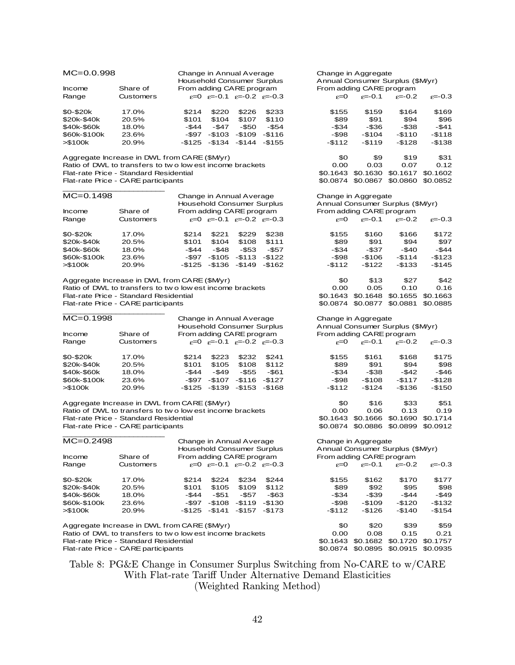| $MC = 0.0.998$<br><b>Income</b>                                                                                                                                                           | Share of                                  | Change in Annual Average<br><b>Household Consumer Surplus</b><br>From adding CARE program |                                              |                                                                                  |                                                   |                                                 | Change in Aggregate<br>Annual Consumer Surplus (\$Myr)<br>From adding CARE program  |                                                  |                                                  |
|-------------------------------------------------------------------------------------------------------------------------------------------------------------------------------------------|-------------------------------------------|-------------------------------------------------------------------------------------------|----------------------------------------------|----------------------------------------------------------------------------------|---------------------------------------------------|-------------------------------------------------|-------------------------------------------------------------------------------------|--------------------------------------------------|--------------------------------------------------|
| Range                                                                                                                                                                                     | Customers                                 |                                                                                           |                                              | $\varepsilon = 0$ $\varepsilon = -0.1$ $\varepsilon = -0.2$ $\varepsilon = -0.3$ |                                                   | $\varepsilon = 0$                               | $\varepsilon = -0.1$                                                                | $\varepsilon = -0.2$                             | $\varepsilon = -0.3$                             |
| \$0-\$20k<br>\$20k-\$40k<br>\$40k-\$60k<br>\$60k-\$100k<br>>\$100k                                                                                                                        | 17.0%<br>20.5%<br>18.0%<br>23.6%<br>20.9% | \$214<br>\$101<br>$-$ \$44<br>-\$97<br>-\$125                                             | \$220<br>\$104<br>$-$ \$47                   | \$226<br>\$107<br>$-$ \$50<br>$-$103 - $109$<br>-\$134 -\$144 -\$155             | \$233<br>\$110<br>$-$ \$54<br>-\$116              | \$155<br>\$89<br>$-$ \$34<br>$-$ \$98<br>-\$112 | \$159<br>\$91<br>-\$36<br>-\$104<br>-\$119                                          | \$164<br>\$94<br>$-$ \$38<br>$-$ \$110<br>-\$128 | \$169<br>\$96<br>$-$ \$41<br>-\$118<br>-\$138    |
| Aggregate Increase in DWL from CARE (\$M/yr)<br>Ratio of DWL to transfers to two low est income brackets<br>Flat-rate Price - Standard Residential<br>Flat-rate Price - CARE participants |                                           |                                                                                           |                                              |                                                                                  |                                                   | \$0<br>0.00<br>\$0.1643<br>\$0.0874             | \$9<br>0.03<br>\$0.1630<br>\$0.0867                                                 | \$19<br>0.07<br>\$0.1617<br>\$0.0860             | \$31<br>0.12<br>\$0.1602<br>\$0.0852             |
| $MC = 0.1498$<br><b>Income</b>                                                                                                                                                            | Share of                                  | Change in Annual Average<br><b>Household Consumer Surplus</b><br>From adding CARE program |                                              |                                                                                  |                                                   |                                                 | Change in Aggregate<br>Annual Consumer Surplus (\$M/yr)<br>From adding CARE program |                                                  |                                                  |
| Range                                                                                                                                                                                     | Customers                                 |                                                                                           |                                              | $\varepsilon = 0$ $\varepsilon = -0.1$ $\varepsilon = -0.2$ $\varepsilon = -0.3$ |                                                   | $\varepsilon = 0$                               | $\varepsilon = -0.1$                                                                | $\varepsilon = -0.2$                             | $\varepsilon = -0.3$                             |
| \$0-\$20k<br>\$20k-\$40k<br>\$40k-\$60k<br>\$60k-\$100k<br>>\$100k                                                                                                                        | 17.0%<br>20.5%<br>18.0%<br>23.6%<br>20.9% | \$214<br>\$101<br>-\$44<br>-\$97                                                          | \$221<br>\$104<br>$-$ \$48                   | \$229<br>\$108<br>$-$ \$53<br>$-$105 - $113$<br>-\$125 -\$136 -\$149             | \$238<br>\$111<br>$-$ \$57<br>-\$122<br>$-$162$   | \$155<br>\$89<br>$-$ \$34<br>$-$ \$98<br>-\$112 | \$160<br>\$91<br>-\$37<br>-\$106<br>$-$ \$122                                       | \$166<br>\$94<br>-\$40<br>-\$114<br>-\$133       | \$172<br>\$97<br>$-$ \$44<br>-\$123<br>$-$145$   |
| Aggregate Increase in DWL from CARE (\$M/yr)<br>Ratio of DWL to transfers to two low est income brackets<br>Flat-rate Price - Standard Residential<br>Flat-rate Price - CARE participants |                                           |                                                                                           |                                              |                                                                                  |                                                   | \$0<br>0.00<br>\$0.1643                         | \$13<br>0.05<br>\$0.0874 \$0.0877 \$0.0881                                          | \$27<br>0.10<br>\$0.1648 \$0.1655                | \$42<br>0.16<br>\$0.1663<br>\$0.0885             |
|                                                                                                                                                                                           |                                           |                                                                                           |                                              |                                                                                  |                                                   |                                                 |                                                                                     |                                                  |                                                  |
| $MC = 0.1998$                                                                                                                                                                             |                                           | Change in Annual Average                                                                  |                                              |                                                                                  |                                                   |                                                 | Change in Aggregate                                                                 |                                                  |                                                  |
|                                                                                                                                                                                           |                                           | <b>Household Consumer Surplus</b>                                                         |                                              |                                                                                  |                                                   |                                                 | Annual Consumer Surplus (\$M/yr)                                                    |                                                  |                                                  |
| <b>Income</b><br>Range                                                                                                                                                                    | Share of<br>Customers                     | From adding CARE program                                                                  |                                              | $\varepsilon = 0$ $\varepsilon = -0.1$ $\varepsilon = -0.2$ $\varepsilon = -0.3$ |                                                   | $\varepsilon = 0$                               | From adding CARE program<br>$\varepsilon = -0.1$                                    | $\varepsilon = -0.2$                             | $\varepsilon = -0.3$                             |
| \$0-\$20k<br>\$20k-\$40k<br>\$40k-\$60k<br>\$60k-\$100k<br>>\$100k                                                                                                                        | 17.0%<br>20.5%<br>18.0%<br>23.6%<br>20.9% | \$214<br>\$101<br>$-$ \$44<br>-\$97<br>-\$125                                             | \$223<br>\$105<br>$-$49$<br>-\$107<br>-\$139 | \$232<br>\$108<br>$-$ \$55<br>$-$ \$116<br>$-$ \$153                             | \$241<br>\$112<br>$-$ \$61<br>-\$127<br>$-$ \$168 | \$155<br>\$89<br>$-$ \$34<br>-\$98<br>-\$112    | \$161<br>\$91<br>$-$ \$38<br>$-$ \$108<br>$-$124$                                   | \$168<br>\$94<br>$-$ \$42<br>-\$117<br>-\$136    | \$175<br>\$98<br>$-$ \$46<br>$-$ \$128<br>-\$150 |
| Aggregate Increase in DWL from CARE (\$M/yr)                                                                                                                                              |                                           |                                                                                           |                                              |                                                                                  |                                                   | \$0                                             | \$16                                                                                | \$33                                             | \$51                                             |
| Ratio of DWL to transfers to two low est income brackets                                                                                                                                  |                                           |                                                                                           |                                              |                                                                                  |                                                   | 0.00                                            | 0.06                                                                                | 0.13                                             | 0.19                                             |
| Flat-rate Price - Standard Residential<br>Flat-rate Price - CARE participants                                                                                                             |                                           |                                                                                           |                                              |                                                                                  |                                                   | \$0.1643<br>\$0.0874                            | \$0.1666<br>\$0.0886                                                                | \$0.1690<br>\$0.0899                             | \$0.1714<br>\$0.0912                             |
| $MC = 0.2498$                                                                                                                                                                             |                                           | Change in Annual Average                                                                  |                                              |                                                                                  |                                                   |                                                 | Change in Aggregate                                                                 |                                                  |                                                  |
|                                                                                                                                                                                           | Share of                                  | Household Consumer Surplus                                                                |                                              |                                                                                  |                                                   |                                                 | Annual Consumer Surplus (\$Myr)                                                     |                                                  |                                                  |
| Income<br>Range                                                                                                                                                                           | Customers                                 | From adding CARE program                                                                  |                                              | $\varepsilon = 0$ $\varepsilon = -0.1$ $\varepsilon = -0.2$ $\varepsilon = -0.3$ |                                                   | $\varepsilon = 0$                               | From adding CARE program<br>$\varepsilon = -0.1$                                    | $\varepsilon = -0.2$                             | $\varepsilon = -0.3$                             |
| \$0-\$20k                                                                                                                                                                                 | 17.0%                                     | \$214                                                                                     | \$224                                        | \$234                                                                            | \$244                                             | \$155                                           | \$162                                                                               | \$170                                            | \$177                                            |
| \$20k-\$40k                                                                                                                                                                               | 20.5%                                     | \$101                                                                                     | \$105                                        | \$109                                                                            | \$112                                             | \$89                                            | \$92                                                                                | \$95                                             | \$98                                             |
| \$40k-\$60k                                                                                                                                                                               | 18.0%                                     | -\$44                                                                                     | $-$ \$51                                     | $-$ \$57                                                                         | $-$ \$63                                          | $-$ \$34                                        | -\$39                                                                               | -\$44                                            | -\$49                                            |
| \$60k-\$100k<br>>\$100k                                                                                                                                                                   | 23.6%<br>20.9%                            | -\$97<br>-\$125                                                                           | $-$108$<br>-\$141                            | -\$119                                                                           | -\$130<br>$-$173$                                 | -\$98<br>-\$112                                 | -\$109<br>-\$126                                                                    | -\$120<br>-\$140                                 | -\$132<br>-\$154                                 |
| Aggregate Increase in DWL from CARE (\$M/yr)                                                                                                                                              |                                           |                                                                                           |                                              | $-$ \$157                                                                        |                                                   | \$0                                             | \$20                                                                                | \$39                                             | \$59                                             |
| Ratio of DWL to transfers to two low est income brackets<br>Flat-rate Price - Standard Residential                                                                                        |                                           |                                                                                           |                                              |                                                                                  |                                                   | 0.00<br>\$0.1643                                | 0.08<br>\$0.1682                                                                    | 0.15<br>\$0.1720                                 | 0.21<br>\$0.1757                                 |

Table 8: PG&E Change in Consumer Surplus Switching from No-CARE to w/CARE With Flat-rate Tariff Under Alternative Demand Elasticities (Weighted Ranking Method)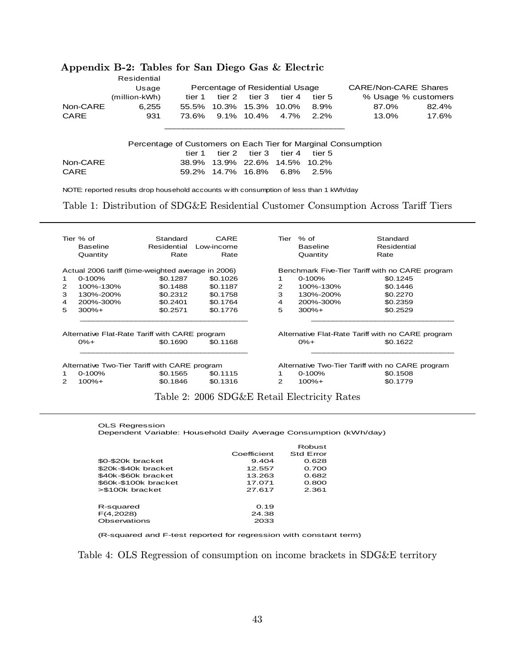|          | Residential   |                                                               |        |                                 |        |          |                      |                     |
|----------|---------------|---------------------------------------------------------------|--------|---------------------------------|--------|----------|----------------------|---------------------|
|          | Usage         |                                                               |        | Percentage of Residential Usage |        |          | CARE/Non-CARE Shares |                     |
|          | (million-kWh) | tier 1                                                        | tier 2 | tier 3                          | tier 4 | tier 5   |                      | % Usage % customers |
| Non-CARE | 6.255         | 55.5%                                                         |        | 10.3% 15.3%                     | 10.0%  | 8.9%     | 87.0%                | 82.4%               |
| CARE     | 931           | 73.6%                                                         |        | $9.1\%$ 10.4%                   | 4.7%   | $2.2\%$  | $13.0\%$             | 17.6%               |
|          |               | Percentage of Customers on Each Tier for Marginal Consumption |        |                                 |        |          |                      |                     |
|          |               | tier 1                                                        | tier 2 | tier 3                          | tier 4 | tier 5   |                      |                     |
| Non-CARE |               | 38.9%                                                         |        | 13.9% 22.6%                     | 14.5%  | $10.2\%$ |                      |                     |
| CARE     |               | 59.2%                                                         | 14.7%  | 16.8%                           | 6.8%   | 2.5%     |                      |                     |

# Appendix B-2: Tables for San Diego Gas & Electric

NOTE: reported results drop household accounts w ith consumption of less than 1 kWh/day

Table 1: Distribution of SDG&E Residential Customer Consumption Across Tariff Tiers

|                | Tier % of                                                 | Standard    | CARE       | Tier           | $%$ of          | Standard                                                     |
|----------------|-----------------------------------------------------------|-------------|------------|----------------|-----------------|--------------------------------------------------------------|
|                | <b>Baseline</b>                                           | Residential | Low-income |                | <b>Baseline</b> | Residential                                                  |
|                | Quantity                                                  | Rate        | Rate       |                | Quantity        | Rate                                                         |
|                | Actual 2006 tariff (time-weighted average in 2006)        |             |            |                |                 | Benchmark Five-Tier Tariff with no CARE program              |
| 1              | $0 - 100\%$                                               | \$0.1287    | \$0.1026   |                | $0 - 100%$      | \$0.1245                                                     |
| $\overline{2}$ | 100%-130%                                                 | \$0.1488    | \$0.1187   | 2              | 100%-130%       | \$0.1446                                                     |
| 3              | 130%-200%                                                 | \$0.2312    | \$0.1758   | 3              | 130%-200%       | \$0.2270                                                     |
| 4              | 200%-300%                                                 | \$0.2401    | \$0.1764   | $\overline{a}$ | 200%-300%       | \$0.2359                                                     |
| 5              | $300%+$                                                   | \$0.2571    | \$0.1776   | 5              | $300%+$         | \$0.2529                                                     |
|                | Alternative Flat-Rate Tariff with CARE program            |             |            |                |                 | Alternative Flat-Rate Tariff with no CARE program            |
|                | $0%+$                                                     | \$0.1690    | \$0.1168   |                | $0\% +$         | \$0.1622                                                     |
|                |                                                           |             |            |                |                 |                                                              |
|                |                                                           |             |            |                |                 |                                                              |
| 1              | Alternative Two-Tier Tariff with CARE program<br>$0-100%$ | \$0.1565    | \$0.1115   | 1              | $0 - 100%$      | Alternative Two-Tier Tariff with no CARE program<br>\$0.1508 |

Table 2: 2006 SDG&E Retail Electricity Rates

#### OLS Regression Dependent Variable: Household Daily Average Consumption (kWh/day)

| \$0-\$20k bracket<br>\$20k-\$40k bracket<br>\$40k-\$60k bracket<br>\$60k-\$100k bracket<br>>\$100k bracket | Coefficient<br>9.404<br>12.557<br>13.263<br>17.071<br>27.617 | Robust<br>Std Error<br>0.628<br>0.700<br>0.682<br>0.800<br>2.361 |
|------------------------------------------------------------------------------------------------------------|--------------------------------------------------------------|------------------------------------------------------------------|
| R-squared<br>F(4,2028)<br>Observations                                                                     | 0.19<br>24.38<br>2033                                        |                                                                  |

(R-squared and F-test reported for regression with constant term)

Table 4: OLS Regression of consumption on income brackets in SDG&E territory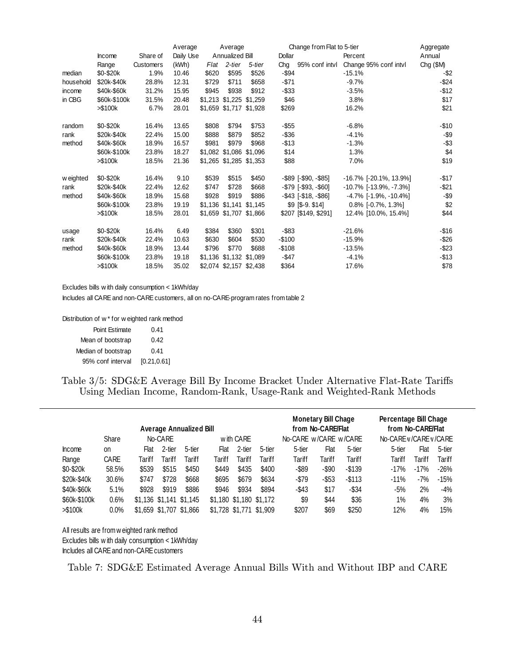|           |               |           | Average   |         | Average                 |        |          | Change from Flat to 5-tier     |                                    |           |  |
|-----------|---------------|-----------|-----------|---------|-------------------------|--------|----------|--------------------------------|------------------------------------|-----------|--|
|           | <b>Income</b> | Share of  | Daily Use |         | Annualized Bill         |        | Dollar   |                                | Percent                            | Annual    |  |
|           | Range         | Customers | (kWh)     | Flat    | 2-tier                  | 5-tier | Chg      | 95% conf intvl                 | Change 95% conf intvl              | Chg (\$M) |  |
| median    | \$0-\$20k     | 1.9%      | 10.46     | \$620   | \$595                   | \$526  | $-$ \$94 |                                | $-15.1%$                           | -\$2      |  |
| household | \$20k-\$40k   | 28.8%     | 12.31     | \$729   | \$711                   | \$658  | $- $71$  |                                | $-9.7%$                            | $-$ \$24  |  |
| income    | \$40k-\$60k   | 31.2%     | 15.95     | \$945   | \$938                   | \$912  | $-$ \$33 |                                | $-3.5%$                            | $-$12$    |  |
| in CBG    | \$60k-\$100k  | 31.5%     | 20.48     | \$1,213 | \$1,225 \$1,259         |        | \$46     |                                | 3.8%                               | \$17      |  |
|           | > \$100k      | 6.7%      | 28.01     |         | \$1,659 \$1,717 \$1,928 |        | \$269    |                                | 16.2%                              | \$21      |  |
| random    | \$0-\$20k     | 16.4%     | 13.65     | \$808   | \$794                   | \$753  | -\$55    |                                | $-6.8%$                            | $-$10$    |  |
| rank      | \$20k-\$40k   | 22.4%     | 15.00     | \$888   | \$879                   | \$852  | $-$ \$36 |                                | $-4.1%$                            | $-$ \$9   |  |
| method    | \$40k-\$60k   | 18.9%     | 16.57     | \$981   | \$979                   | \$968  | $-$ \$13 |                                | $-1.3%$                            | $-$ \$3   |  |
|           | \$60k-\$100k  | 23.8%     | 18.27     | \$1,082 | \$1,086 \$1,096         |        | \$14     |                                | 1.3%                               | \$4       |  |
|           | >\$100k       | 18.5%     | 21.36     |         | \$1,265 \$1,285 \$1,353 |        | \$88     |                                | 7.0%                               | \$19      |  |
| w eighted | \$0-\$20k     | 16.4%     | 9.10      | \$539   | \$515                   | \$450  |          | $-$ \$89 $[-$ \$90, $-$ \$85]  | $-16.7\%$ [ $-20.1\%$ , 13.9%]     | $-$ \$17  |  |
| rank      | \$20k-\$40k   | 22.4%     | 12.62     | \$747   | \$728                   | \$668  |          | $-$ \$79 [ $-$ \$93, $-$ \$60] | $-10.7\%$ [ $-13.9\%$ , $-7.3\%$ ] | -\$21     |  |
| method    | \$40k-\$60k   | 18.9%     | 15.68     | \$928   | \$919                   | \$886  |          | $-$ \$43 [ $-$ \$18, $-$ \$86] | $-4.7\%$ [ $-1.9\%$ , $-10.4\%$ ]  | $-$ \$9   |  |
|           | \$60k-\$100k  | 23.8%     | 19.19     | \$1.136 | \$1,141 \$1,145         |        |          | $$9$ $$5-9.514]$               | $0.8\%$ [ $-0.7\%$ , 1.3%]         | \$2       |  |
|           | > \$100k      | 18.5%     | 28.01     |         | \$1,659 \$1,707 \$1,866 |        |          | \$207 [\$149, \$291]           | 12.4% [10.0%, 15.4%]               | \$44      |  |
| usage     | \$0-\$20k     | 16.4%     | 6.49      | \$384   | \$360                   | \$301  | $-$ \$83 |                                | $-21.6%$                           | -\$16     |  |
| rank      | \$20k-\$40k   | 22.4%     | 10.63     | \$630   | \$604                   | \$530  | $-$100$  |                                | $-15.9%$                           | $-$ \$26  |  |
| method    | \$40k-\$60k   | 18.9%     | 13.44     | \$796   | \$770                   | \$688  | $-$108$  |                                | $-13.5%$                           | $-$ \$23  |  |
|           | \$60k-\$100k  | 23.8%     | 19.18     | \$1.136 | \$1,132 \$1,089         |        | $-$ \$47 |                                | $-4.1%$                            | -\$13     |  |
|           | > \$100k      | 18.5%     | 35.02     |         | \$2,074 \$2,157 \$2,438 |        | \$364    |                                | 17.6%                              | \$78      |  |

Excludes bills w ith daily consumption < 1kWh/day

Includes all CARE and non-CARE customers, all on no-CARE-program rates from table 2

Distribution of w \* for w eighted rank method

| Point Estimate      | 0.41         |
|---------------------|--------------|
| Mean of bootstrap   | 0.42         |
| Median of bootstrap | 0.41         |
| 95% conf interval   | [0.21, 0.61] |

Table 3/5: SDG&E Average Bill By Income Bracket Under Alternative Flat-Rate Tariffs Using Median Income, Random-Rank, Usage-Rank and Weighted-Rank Methods

| <b>Average Annualized Bill</b><br>Share<br>No-CARE<br>w ith CARE |         |        |                 |                         |        |                 | No-CARE w/CARE w/CARE   | <b>Monetary Bill Chage</b><br>from No-CARE/Flat |          | <b>Percentage Bill Chage</b><br>from No-CARE/Flat<br>No-CARE N/CARE N/CARE |        |        |        |
|------------------------------------------------------------------|---------|--------|-----------------|-------------------------|--------|-----------------|-------------------------|-------------------------------------------------|----------|----------------------------------------------------------------------------|--------|--------|--------|
| <b>Income</b>                                                    | on      | Flat   | 2-tier          | 5-tier                  | Flat   | 2-tier          | 5-tier                  | 5-tier                                          | Flat     | 5-tier                                                                     | 5-tier | Flat   | 5-tier |
| Range                                                            | CARE    | Tariff | Tariff          | Tariff                  | Tariff | Tariff          | Tariff                  | Tariff                                          | Tariff   | Tariff                                                                     | Tariff | Tariff | Tariff |
| \$0-\$20k                                                        | 58.5%   | \$539  | \$515           | \$450                   | \$449  | \$435           | \$400                   | -\$89                                           | $-$ \$90 | $-$139$                                                                    | $-17%$ | $-17%$ | $-26%$ |
| \$20k-\$40k                                                      | 30.6%   | \$747  | \$728           | \$668                   | \$695  | \$679           | \$634                   | $-579$                                          | $-$ \$53 | $-$113$                                                                    | $-11%$ | $-7%$  | $-15%$ |
| \$40k-\$60k                                                      | 5.1%    | \$928  | \$919           | \$886                   | \$946  | \$934           | \$894                   | $-$ \$43                                        | \$17     | $-$ \$34                                                                   | $-5%$  | 2%     | $-4\%$ |
| \$60k-\$100k                                                     | 0.6%    |        | \$1.136 \$1.141 | \$1.145                 |        |                 | \$1,180 \$1,180 \$1,172 | \$9                                             | \$44     | \$36                                                                       | $1\%$  | $4\%$  | 3%     |
| > \$100k                                                         | $0.0\%$ |        |                 | \$1,659 \$1,707 \$1,866 |        | \$1,728 \$1,771 | \$1.909                 | \$207                                           | \$69     | \$250                                                                      | 12%    | 4%     | 15%    |

All results are from w eighted rank method Excludes bills w ith daily consumption < 1kWh/day Includes all CARE and non-CARE customers

Table 7: SDG&E Estimated Average Annual Bills With and Without IBP and CARE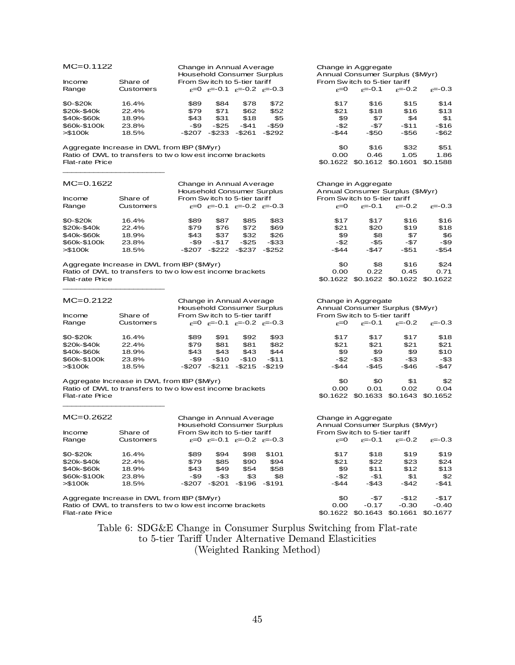| $MC = 0.1122$<br><b>Income</b> | Change in Annual Average<br><b>Household Consumer Surplus</b><br>From Sw itch to 5-tier tariff |        |          |           |                                                                      | Change in Aggregate<br>Annual Consumer Surplus (\$M/yr)<br>From Sw itch to 5-tier tariff |            |                      |            |
|--------------------------------|------------------------------------------------------------------------------------------------|--------|----------|-----------|----------------------------------------------------------------------|------------------------------------------------------------------------------------------|------------|----------------------|------------|
|                                | Share of                                                                                       |        |          |           |                                                                      |                                                                                          |            |                      |            |
| Range                          | Customers                                                                                      |        |          |           | $\epsilon = 0$ $\epsilon = -0.1$ $\epsilon = -0.2$ $\epsilon = -0.3$ | $= 0$                                                                                    | $F = -0.1$ | $\varepsilon = -0.2$ | $F = -0.3$ |
| \$0-\$20k                      | 16.4%                                                                                          | \$89   | \$84     | \$78      | \$72                                                                 | \$17                                                                                     | \$16       | \$15                 | \$14       |
| \$20k-\$40k                    | 22.4%                                                                                          | \$79   | \$71     | \$62      | \$52                                                                 | \$21                                                                                     | \$18       | \$16                 | \$13       |
| \$40k-\$60k                    | 18.9%                                                                                          | \$43   | \$31     | \$18      | \$5                                                                  | \$9                                                                                      | \$7        | \$4                  | \$1        |
| \$60k-\$100k                   | 23.8%                                                                                          | -\$9   | $-$ \$25 | $-$41$    | -\$59                                                                | $-$ \$2                                                                                  | $-\$7$     | $-$11$               | -\$16      |
| > \$100k                       | 18.5%                                                                                          | -\$207 | -\$233   | $-$ \$261 | $-$ \$292                                                            | $-$ \$44                                                                                 | -\$50      | $-$ \$56             | -\$62      |

Aggregate Increase in DWL from IBP (\$M/yr) <br>
Ratio of DWL to transfers to two low est income brackets  $0.00$   $0.46$   $1.05$   $1.86$ Ratio of DWL to transfers to two low est income brackets<br>Flat-rate Price \_\_\_\_\_\_\_\_\_\_\_\_\_\_\_\_\_\_\_\_\_\_\_

| $MC = 0.1622$ | Change in Annual Average<br><b>Household Consumer Surplus</b>              |        |        |                                                                                  | Change in Aggregate<br>Annual Consumer Surplus (\$M/yr) |          |                      |                      |                      |
|---------------|----------------------------------------------------------------------------|--------|--------|----------------------------------------------------------------------------------|---------------------------------------------------------|----------|----------------------|----------------------|----------------------|
| <b>Income</b> | From Sw itch to 5-tier tariff<br>From Sw itch to 5-tier tariff<br>Share of |        |        |                                                                                  |                                                         |          |                      |                      |                      |
| Range         | Customers                                                                  |        |        | $\varepsilon = 0$ $\varepsilon = -0.1$ $\varepsilon = -0.2$ $\varepsilon = -0.3$ |                                                         | $5=0$    | $\varepsilon = -0.1$ | $\varepsilon = -0.2$ | $\varepsilon = -0.3$ |
| \$0-\$20k     | 16.4%                                                                      | \$89   | \$87   | \$85                                                                             | \$83                                                    | \$17     | \$17                 | \$16                 | \$16                 |
| \$20k-\$40k   | 22.4%                                                                      | \$79   | \$76   | \$72                                                                             | \$69                                                    | \$21     | \$20                 | \$19                 | \$18                 |
| \$40k-\$60k   | 18.9%                                                                      | \$43   | \$37   | \$32                                                                             | \$26                                                    | \$9      | \$8                  | \$7                  | \$6                  |
| \$60k-\$100k  | 23.8%                                                                      | -\$9   | $-$17$ | $-$ \$25                                                                         | $-$ \$33                                                | $-$ \$2  | -\$5                 | $-\$7$               | -\$9                 |
| > \$100k      | 18.5%                                                                      | -\$207 | -\$222 | $-$237$                                                                          | -\$252                                                  | $-$ \$44 | $-$47$               | -\$51                | -\$54                |

Aggregate Increase in DWL from IBP (\$Myr) Ratio of DWL to transfers to two low est income brackets<br>Flat-rate Price \_\_\_\_\_\_\_\_\_\_\_\_\_\_\_\_\_\_\_\_\_\_\_

| $MC = 0.2122$<br><b>Income</b> | Change in Annual Average<br><b>Household Consumer Surplus</b><br>From Sw itch to 5-tier tariff |        |        |                                                                      |        | Change in Aggregate<br>Annual Consumer Surplus (\$M/yr)<br>From Sw itch to 5-tier tariff |            |                      |            |
|--------------------------------|------------------------------------------------------------------------------------------------|--------|--------|----------------------------------------------------------------------|--------|------------------------------------------------------------------------------------------|------------|----------------------|------------|
| Range                          | Customers                                                                                      |        |        | $\epsilon = 0$ $\epsilon = -0.1$ $\epsilon = -0.2$ $\epsilon = -0.3$ |        | $5=0$                                                                                    | $F = -0.1$ | $\varepsilon = -0.2$ | $F = -0.3$ |
| \$0-\$20k                      | 16.4%                                                                                          | \$89   | \$91   | \$92                                                                 | \$93   | \$17                                                                                     | \$17       | \$17                 | \$18       |
| \$20k-\$40k                    | 22.4%                                                                                          | \$79   | \$81   | \$81                                                                 | \$82   | \$21                                                                                     | \$21       | \$21                 | \$21       |
| \$40k-\$60k                    | 18.9%                                                                                          | \$43   | \$43   | \$43                                                                 | \$44   | \$9                                                                                      | \$9        | \$9                  | \$10       |
| \$60k-\$100k                   | 23.8%                                                                                          | -\$9   | $-$10$ | $-$10$                                                               | $-511$ | $-$ \$2                                                                                  | $-$ \$3    | $-$ \$3              | $-$ \$3    |
| > \$100k                       | 18.5%                                                                                          | -\$207 | -\$211 | $-$ \$215                                                            | -\$219 | $-$ \$44                                                                                 | $-$ \$45   | $-$ \$46             | $-$ \$47   |

Aggregate Increase in DWL from IBP  $(\$Wyr)$ Ratio of DWL to transfers to two low est income brackets<br>Flat-rate Price \$ Flat-rate Price  $\frac{1}{2}$  ,  $\frac{1}{2}$  ,  $\frac{1}{2}$  ,  $\frac{1}{2}$  ,  $\frac{1}{2}$  ,  $\frac{1}{2}$  ,  $\frac{1}{2}$  ,  $\frac{1}{2}$  ,  $\frac{1}{2}$  ,  $\frac{1}{2}$  ,  $\frac{1}{2}$  ,  $\frac{1}{2}$  ,  $\frac{1}{2}$  ,  $\frac{1}{2}$  ,  $\frac{1}{2}$  ,  $\frac{1}{2}$  ,  $\frac{1}{2}$  ,  $\frac{1}{2}$  ,  $\frac{1$ 

Annual Consumer Surplus (\$M/yr) From Sw itch to 5-tier tariff<br>3  $\epsilon = 0$   $\epsilon = -0.1$   $\epsilon = -0.2$  $$0.1622$   $$0.1612$   $$0.1601$   $$0.1588$ 

| Change in Annual Average      | Change in Aggregate              |
|-------------------------------|----------------------------------|
| Household Consumer Surplus    | Annual Consumer Surplus (\$M/yr) |
| From Sw itch to 5-tier tariff | From Sw itch to 5-tier tariff    |

| 5=0      | ີີ <del>ະ</del> =-0.1 | $\varepsilon = -0.2$ | $\varepsilon = -0.3$ |
|----------|-----------------------|----------------------|----------------------|
| \$17     | \$17                  | \$16                 | \$16                 |
| \$21     | \$20                  | \$19                 | \$18                 |
| \$9      | \$8                   | \$7                  | \$6                  |
| -\$2     | -\$5                  | -\$7                 | -\$9                 |
| -\$44    | $-$ \$47              | $-$ \$51             | -\$54                |
|          |                       |                      |                      |
| \$0      | \$8                   | \$16                 | \$24                 |
| 0.00     | 0.22                  | 0.45                 | 0.71                 |
| \$0.1622 | \$0.1622              | \$0.1622             | \$0.1622             |

#### Change in Aggregate

| \$17     | \$17     | \$17     | \$18     |
|----------|----------|----------|----------|
| \$21     | \$21     | \$21     | \$21     |
| \$9      | \$9      | \$9      | \$10     |
| $-$ \$2  | $-$ \$3  | $-$ \$3  | $-$ \$3  |
| $-$ \$44 | $-$45$   | $-$46$   | $-$47$   |
|          |          |          |          |
| \$0      | \$0      | \$1      | \$2      |
| 0.00     | 0.01     | 0.02     | 0.04     |
| 0.1622   | \$0.1633 | \$0.1643 | \$0.1652 |

| $MC=0.2622$                                              |                                             |         | Change in Annual Average<br><b>Household Consumer Surplus</b> |                                  |        | Change in Aggregate<br>Annual Consumer Surplus (\$M/yr) |                               |                      |                      |  |  |
|----------------------------------------------------------|---------------------------------------------|---------|---------------------------------------------------------------|----------------------------------|--------|---------------------------------------------------------|-------------------------------|----------------------|----------------------|--|--|
| <b>Income</b>                                            | Share of                                    |         | From Sw itch to 5-tier tariff                                 |                                  |        |                                                         | From Sw itch to 5-tier tariff |                      |                      |  |  |
| Range                                                    | Customers                                   |         |                                                               | $s=0$ $s=-0.1$ $s=-0.2$ $s=-0.3$ |        | $_{5}=0$                                                | $F = -0.1$                    | $\varepsilon = -0.2$ | $\varepsilon = -0.3$ |  |  |
| \$0-\$20k                                                | 16.4%                                       | \$89    | \$94                                                          | \$98                             | \$101  | \$17                                                    | \$18                          | \$19                 | \$19                 |  |  |
| \$20k-\$40k                                              | 22.4%                                       | \$79    | \$85                                                          | \$90                             | \$94   | \$21                                                    | \$22                          | \$23                 | \$24                 |  |  |
| \$40k-\$60k                                              | 18.9%                                       | \$43    | \$49                                                          | \$54                             | \$58   | \$9                                                     | \$11                          | \$12                 | \$13                 |  |  |
| \$60k-\$100k                                             | 23.8%                                       | -\$9    | $-$ \$3                                                       | \$3                              | \$8    | $-$ \$2                                                 | -\$1                          | \$1                  | \$2                  |  |  |
| > \$100k                                                 | 18.5%                                       | $-$207$ | $-$ \$201                                                     | $-$196$                          | -\$191 | $-$ \$44                                                | $-$43$                        | $-$ \$42             | $-$ \$41             |  |  |
|                                                          | Aggregate Increase in DWL from IBP (\$M/yr) |         |                                                               |                                  |        | \$O                                                     | $-\$7$                        | $-$12$               | $-$17$               |  |  |
| Ratio of DWL to transfers to two low est income brackets |                                             |         |                                                               |                                  |        | 0.00                                                    | $-0.17$                       | $-0.30$              | $-0.40$              |  |  |
| Flat-rate Price                                          |                                             |         |                                                               |                                  |        | \$0.1622                                                | \$0.1643                      | \$0.1661             | \$0.1677             |  |  |

## Table 6: SDG&E Change in Consumer Surplus Switching from Flat-rate to 5-tier Tariff Under Alternative Demand Elasticities (Weighted Ranking Method)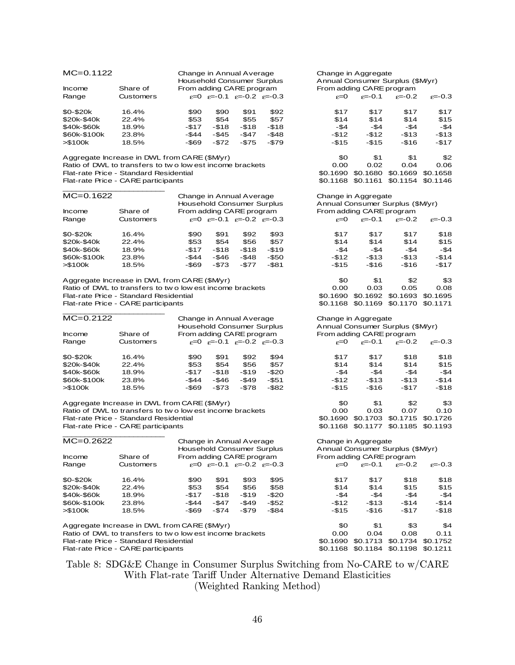| $MC = 0.1122$ |                                                                                                    | Change in Annual Average          |          |                                                                                  |          |                   | Change in Aggregate      |                                     |                      |
|---------------|----------------------------------------------------------------------------------------------------|-----------------------------------|----------|----------------------------------------------------------------------------------|----------|-------------------|--------------------------|-------------------------------------|----------------------|
|               |                                                                                                    | <b>Household Consumer Surplus</b> |          |                                                                                  |          |                   |                          | Annual Consumer Surplus (\$M/yr)    |                      |
| <b>Income</b> | Share of                                                                                           | From adding CARE program          |          |                                                                                  |          |                   | From adding CARE program |                                     |                      |
| Range         | Customers                                                                                          |                                   |          | $\varepsilon = 0$ $\varepsilon = -0.1$ $\varepsilon = -0.2$ $\varepsilon = -0.3$ |          | $\varepsilon = 0$ | $\varepsilon = -0.1$     | $\varepsilon = -0.2$                | $\varepsilon = -0.3$ |
| \$0-\$20k     | 16.4%                                                                                              | \$90                              | \$90     | \$91                                                                             | \$92     | \$17              | \$17                     | \$17                                | \$17                 |
| \$20k-\$40k   | 22.4%                                                                                              | \$53                              | \$54     | \$55                                                                             | \$57     | \$14              | \$14                     | \$14                                | \$15                 |
| \$40k-\$60k   | 18.9%                                                                                              | -\$17                             | $-$18$   | $-$ \$18                                                                         | $-$18$   | $-$ \$4           | -\$4                     | $-$ \$4                             | $-$ \$4              |
| \$60k-\$100k  | 23.8%                                                                                              | -\$44                             | -\$45    | -\$47                                                                            | -\$48    | -\$12             | -\$12                    | -\$13                               | -\$13                |
| >\$100k       | 18.5%                                                                                              | -\$69                             | -\$72    | -\$75                                                                            | -\$79    | -\$15             | -\$15                    | -\$16                               | -\$17                |
|               | Aggregate Increase in DWL from CARE (\$M/yr)                                                       |                                   |          |                                                                                  |          | \$0               | \$1                      | \$1                                 | \$2                  |
|               | Ratio of DWL to transfers to two low est income brackets                                           |                                   |          |                                                                                  |          | 0.00              | 0.02                     | 0.04                                | 0.06                 |
|               | Flat-rate Price - Standard Residential                                                             |                                   |          |                                                                                  |          | \$0.1690          |                          | \$0.1680 \$0.1669                   | \$0.1658             |
|               | Flat-rate Price - CARE participants                                                                |                                   |          |                                                                                  |          |                   | \$0.1168 \$0.1161        | \$0.1154                            | \$0.1146             |
| $MC = 0.1622$ |                                                                                                    | Change in Annual Average          |          |                                                                                  |          |                   | Change in Aggregate      |                                     |                      |
|               |                                                                                                    | <b>Household Consumer Surplus</b> |          |                                                                                  |          |                   |                          | Annual Consumer Surplus (\$Myr)     |                      |
| Income        | Share of                                                                                           | From adding CARE program          |          |                                                                                  |          |                   | From adding CARE program |                                     |                      |
| Range         | Customers                                                                                          |                                   |          | $\varepsilon = 0$ $\varepsilon = -0.1$ $\varepsilon = -0.2$ $\varepsilon = -0.3$ |          | $\varepsilon = 0$ | $\varepsilon = -0.1$     | $\varepsilon = -0.2$                | $\varepsilon = -0.3$ |
| \$0-\$20k     | 16.4%                                                                                              | \$90                              | \$91     | \$92                                                                             | \$93     | \$17              | \$17                     | \$17                                | \$18                 |
| \$20k-\$40k   | 22.4%                                                                                              | \$53                              | \$54     | \$56                                                                             | \$57     | \$14              | \$14                     | \$14                                | \$15                 |
| \$40k-\$60k   | 18.9%                                                                                              | -\$17                             | -\$18    | -\$18                                                                            | -\$19    | -\$4              | -\$4                     | -\$4                                | -\$4                 |
| \$60k-\$100k  | 23.8%                                                                                              | -\$44                             | $-$ \$46 | -\$48                                                                            | $-$ \$50 | -\$12             | $-$13$                   | $-$13$                              | -\$14                |
| >\$100k       | 18.5%                                                                                              | -\$69                             | -\$73    | -\$77                                                                            | $-$ \$81 | -\$15             | $-$16$                   | $-$16$                              | -\$17                |
|               | Aggregate Increase in DWL from CARE (\$M/yr)                                                       |                                   |          |                                                                                  |          | \$0               | \$1                      | \$2                                 | \$3                  |
|               | Ratio of DWL to transfers to two low est income brackets                                           |                                   |          |                                                                                  |          | 0.00              | 0.03                     | 0.05                                | 0.08                 |
|               | Flat-rate Price - Standard Residential                                                             |                                   |          |                                                                                  |          | \$0.1690          | \$0.1692                 | \$0.1693                            | \$0.1695             |
|               | Flat-rate Price - CARE participants                                                                |                                   |          |                                                                                  |          |                   | \$0.1168 \$0.1169        | \$0.1170 \$0.1171                   |                      |
| $MC = 0.2122$ |                                                                                                    | Change in Annual Average          |          |                                                                                  |          |                   | Change in Aggregate      |                                     |                      |
|               |                                                                                                    | <b>Household Consumer Surplus</b> |          |                                                                                  |          |                   |                          | Annual Consumer Surplus (\$M/yr)    |                      |
| Income        | Share of                                                                                           | From adding CARE program          |          |                                                                                  |          |                   | From adding CARE program |                                     |                      |
| Range         | Customers                                                                                          |                                   |          | $\varepsilon = 0$ $\varepsilon = -0.1$ $\varepsilon = -0.2$ $\varepsilon = -0.3$ |          | $\varepsilon = 0$ | $\varepsilon = -0.1$     | $\varepsilon = -0.2$                | $\varepsilon = -0.3$ |
| \$0-\$20k     | 16.4%                                                                                              | \$90                              | \$91     | \$92                                                                             | \$94     | \$17              | \$17                     | \$18                                | \$18                 |
| \$20k-\$40k   | 22.4%                                                                                              | \$53                              | \$54     | \$56                                                                             | \$57     | \$14              | \$14                     | \$14                                | \$15                 |
| \$40k-\$60k   | 18.9%                                                                                              | -\$17                             | $-$ \$18 | $-$19$                                                                           | $-$20$   | -\$4              | $-$ \$4                  | -\$4                                | $-$ \$4              |
| \$60k-\$100k  | 23.8%                                                                                              | -\$44                             | -\$46    | -\$49                                                                            | $-$ \$51 | $-$ \$12          | -\$13                    | -\$13                               | -\$14                |
| > \$100k      | 18.5%                                                                                              | -\$69                             | -\$73    | $- $78$                                                                          | $-$ \$82 | -\$15             | -\$16                    | $-$17$                              | -\$18                |
|               | Aggregate Increase in DWL from CARE (\$M/yr)                                                       |                                   |          |                                                                                  |          | \$0               | \$1                      | \$2                                 | \$3                  |
|               | Ratio of DWL to transfers to two low est income brackets                                           |                                   |          |                                                                                  |          | 0.00              | 0.03                     | 0.07                                | 0.10                 |
|               | Flat-rate Price - Standard Residential                                                             |                                   |          |                                                                                  |          | \$0.1690          | \$0.1703                 | \$0.1715                            | \$0.1726             |
|               | Flat-rate Price - CARE participants                                                                |                                   |          |                                                                                  |          |                   |                          | \$0.1168 \$0.1177 \$0.1185 \$0.1193 |                      |
| MC=0.2622     |                                                                                                    | Change in Annual Average          |          |                                                                                  |          |                   | Change in Aggregate      |                                     |                      |
|               |                                                                                                    | Household Consumer Surplus        |          |                                                                                  |          |                   |                          | Annual Consumer Surplus (\$M/yr)    |                      |
| Income        | Share of                                                                                           | From adding CARE program          |          |                                                                                  |          |                   | From adding CARE program |                                     |                      |
| Range         | Customers                                                                                          |                                   |          | $\varepsilon = 0$ $\varepsilon = -0.1$ $\varepsilon = -0.2$ $\varepsilon = -0.3$ |          | $\varepsilon = 0$ | $\varepsilon = -0.1$     | $\varepsilon = -0.2$                | $\varepsilon = -0.3$ |
| \$0-\$20k     | 16.4%                                                                                              | \$90                              | \$91     | \$93                                                                             | \$95     | \$17              | \$17                     | \$18                                | \$18                 |
| \$20k-\$40k   | 22.4%                                                                                              | \$53                              | \$54     | \$56                                                                             | \$58     | \$14              | \$14                     | \$15                                | \$15                 |
| \$40k-\$60k   | 18.9%                                                                                              | -\$17                             | -\$18    | $-$19$                                                                           | $-$ \$20 | -\$4              | $-$ \$4                  | -\$4                                | -\$4                 |
| \$60k-\$100k  | 23.8%                                                                                              | -\$44                             | -\$47    | -\$49                                                                            | -\$52    | -\$12             | $-$ \$13                 | -\$14                               | -\$14                |
| >\$100k       | 18.5%                                                                                              | -\$69                             | -\$74    | -\$79                                                                            | -\$84    | -\$15             | $-$ \$16                 | -\$17                               | -\$18                |
|               |                                                                                                    |                                   |          |                                                                                  |          |                   |                          |                                     |                      |
|               | Aggregate Increase in DWL from CARE (\$M/yr)                                                       |                                   |          |                                                                                  |          | \$0               | \$1                      | \$3                                 | \$4                  |
|               | Ratio of DWL to transfers to two low est income brackets<br>Flat-rate Price - Standard Residential |                                   |          |                                                                                  |          | 0.00<br>\$0.1690  | 0.04<br>\$0.1713         | 0.08<br>\$0.1734                    | 0.11<br>\$0.1752     |
|               | Flat-rate Price - CARE participants                                                                |                                   |          |                                                                                  |          | \$0.1168          | \$0.1184                 | \$0.1198                            | \$0.1211             |
|               |                                                                                                    |                                   |          |                                                                                  |          |                   |                          |                                     |                      |

Table 8: SDG&E Change in Consumer Surplus Switching from No-CARE to w/CARE With Flat-rate Tariff Under Alternative Demand Elasticities (Weighted Ranking Method)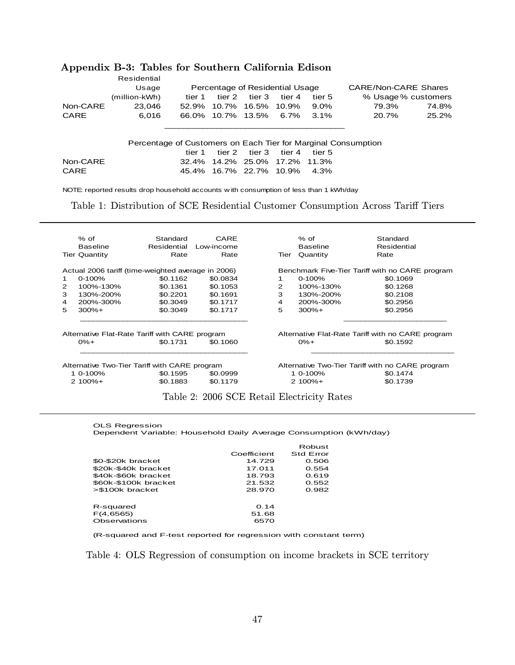|             | Residential   |        |        |                                 |                      |         |                                                               |       |
|-------------|---------------|--------|--------|---------------------------------|----------------------|---------|---------------------------------------------------------------|-------|
|             | Usage         |        |        | Percentage of Residential Usage | CARE/Non-CARE Shares |         |                                                               |       |
|             | (million-kWh) | tier 1 | tier 2 | tier 3                          | tier 4               | tier 5  | % Usage % customers                                           |       |
| Non-CARE    | 23.046        | 52.9%  |        | 10.7% 16.5%                     | 10.9%                | $9.0\%$ | 79.3%                                                         | 74.8% |
| <b>CARE</b> | 6.016         | 66.0%  |        | 10.7% 13.5%                     | 6.7%                 | $3.1\%$ | 20.7%                                                         | 25.2% |
|             |               |        |        |                                 |                      |         |                                                               |       |
|             |               |        |        |                                 |                      |         | Percentage of Customers on Each Tier for Marginal Consumption |       |
|             |               | tier 1 | tier 2 | tier 3                          | tier 4               | tier 5  |                                                               |       |
| Non-CARE    |               | 32.4%  |        | 14.2% 25.0% 17.2%               |                      | 11.3%   |                                                               |       |
| <b>CARE</b> |               | 45.4%  |        | 16.7% 22.7% 10.9%               |                      | 4.3%    |                                                               |       |

# Appendix B-3: Tables for Southern California Edison

NOTE: reported results drop household accounts w ith consumption of less than 1 kWh/day

Table 1: Distribution of SCE Residential Customer Consumption Across Tariff Tiers

|                | $%$ of                                             | Standard             | CARE                 |                | % of                    | Standard                                          |
|----------------|----------------------------------------------------|----------------------|----------------------|----------------|-------------------------|---------------------------------------------------|
|                | <b>Baseline</b>                                    | Residential          | Low-income           |                | <b>Baseline</b>         | Residential                                       |
|                |                                                    |                      |                      |                |                         |                                                   |
|                | <b>Tier Quantity</b>                               | Rate                 | Rate                 | Tier           | Quantity                | Rate                                              |
|                | Actual 2006 tariff (time-weighted average in 2006) |                      |                      |                |                         | Benchmark Five-Tier Tariff with no CARE program   |
| 1              | $0-100%$                                           | \$0.1162             | \$0.0834             | 1              | $0 - 100%$              | \$0.1069                                          |
| 2              | 100%-130%                                          | \$0.1361             | \$0.1053             | 2              | 100%-130%               | \$0.1268                                          |
| 3              | 130%-200%                                          | \$0.2201             | \$0.1691             | 3              | 130%-200%               | \$0.2108                                          |
| $\overline{a}$ | 200%-300%                                          | \$0.3049             | \$0.1717             | $\overline{4}$ | 200%-300%               | \$0.2956                                          |
| 5              | $300\%+$                                           | \$0.3049             | \$0.1717             | 5              | $300\%+$                | \$0.2956                                          |
|                | Alternative Flat-Rate Tariff with CARE program     |                      |                      |                |                         | Alternative Flat-Rate Tariff with no CARE program |
|                | $0\% +$                                            | \$0.1731             | \$0.1060             |                | $0\% +$                 | \$0.1592                                          |
|                | Alternative Two-Tier Tariff with CARE program      |                      |                      |                |                         | Alternative Two-Tier Tariff with no CARE program  |
|                | 1 0-100%<br>$2.100\% +$                            | \$0.1595<br>\$0.1883 | \$0.0999<br>\$0.1179 |                | 1 0-100%<br>$2.100\% +$ | \$0.1474<br>\$0.1739                              |
|                |                                                    |                      |                      |                |                         |                                                   |

|  |  |  |  | Table 2: 2006 SCE Retail Electricity Rates |  |
|--|--|--|--|--------------------------------------------|--|
|--|--|--|--|--------------------------------------------|--|

#### OLS Regression Dependent Variable: Household Daily Average Consumption (kWh/day)

| \$0-\$20k bracket<br>\$20k-\$40k bracket<br>\$40k-\$60k bracket<br>\$60k-\$100k bracket<br>>\$100k bracket | Coefficient<br>14.729<br>17.011<br>18.793<br>21.532<br>28.970 | Robust<br>Std Error<br>0.506<br>0.554<br>0.619<br>0.552<br>0.982 |
|------------------------------------------------------------------------------------------------------------|---------------------------------------------------------------|------------------------------------------------------------------|
| R-squared<br>F(4,6565)<br>Observations                                                                     | 0.14<br>51.68<br>6570                                         |                                                                  |

(R-squared and F-test reported for regression with constant term)

Table 4: OLS Regression of consumption on income brackets in SCE territory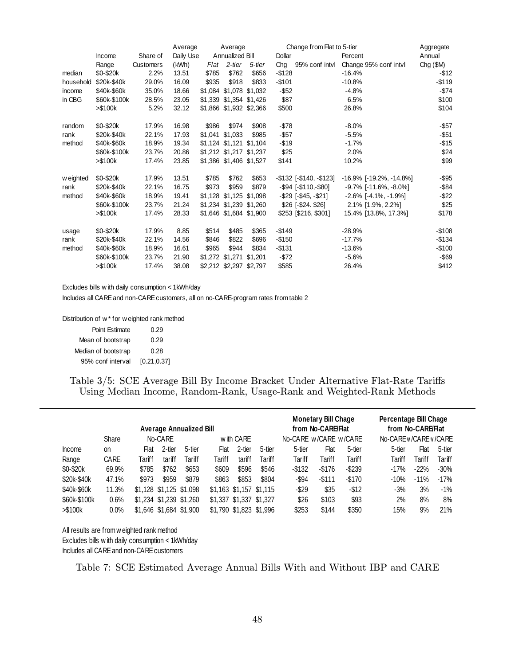|           |              |           | Average   |         | Average                 |                         |           | Change from Flat to 5-tier        |                                     | Aggregate |
|-----------|--------------|-----------|-----------|---------|-------------------------|-------------------------|-----------|-----------------------------------|-------------------------------------|-----------|
|           | Income       | Share of  | Daily Use |         | Annualized Bill         |                         | Dollar    |                                   | Percent                             | Annual    |
|           | Range        | Customers | (kWh)     | Flat    | 2-tier                  | 5-tier                  | Chg       | 95% conf intvl                    | Change 95% conf intyl               | Chg (\$M) |
| median    | \$0-\$20k    | 2.2%      | 13.51     | \$785   | \$762                   | \$656                   | $-$128$   |                                   | $-16.4%$                            | $-$ \$12  |
| household | \$20k-\$40k  | 29.0%     | 16.09     | \$935   | \$918                   | \$833                   | $-$101$   |                                   | $-10.8%$                            | $-$119$   |
| income    | \$40k-\$60k  | 35.0%     | 18.66     |         | \$1,084 \$1,078 \$1,032 |                         | $-$ \$52  |                                   | $-4.8%$                             | $-$ \$74  |
| in CBG    | \$60k-\$100k | 28.5%     | 23.05     | \$1,339 |                         | \$1,354 \$1,426         | \$87      |                                   | 6.5%                                | \$100     |
|           | > \$100k     | 5.2%      | 32.12     |         |                         | \$1,866 \$1,932 \$2,366 | \$500     |                                   | 26.8%                               | \$104     |
| random    | \$0-\$20k    | 17.9%     | 16.98     | \$986   | \$974                   | \$908                   | $-$ \$78  |                                   | $-8.0\%$                            | -\$57     |
| rank      | \$20k-\$40k  | 22.1%     | 17.93     | \$1,041 | \$1,033                 | \$985                   | $-$ \$57  |                                   | $-5.5%$                             | $-$ \$51  |
| method    | \$40k-\$60k  | 18.9%     | 19.34     |         |                         | \$1,124 \$1,121 \$1,104 | $-$19$    |                                   | $-1.7%$                             | $-$ \$15  |
|           | \$60k-\$100k | 23.7%     | 20.86     |         | \$1,212 \$1,217 \$1,237 |                         | \$25      |                                   | 2.0%                                | \$24      |
|           | > \$100k     | 17.4%     | 23.85     |         | \$1,386 \$1,406 \$1,527 |                         | \$141     |                                   | 10.2%                               | \$99      |
| w eighted | \$0-\$20k    | 17.9%     | 13.51     | \$785   | \$762                   | \$653                   |           | $-$ \$132 [ $-$ \$140, $-$ \$123] | $-16.9\%$ [ $-19.2\%$ , $-14.8\%$ ] | -\$95     |
| rank      | \$20k-\$40k  | 22.1%     | 16.75     | \$973   | \$959                   | \$879                   |           | $-$ \$94 $[-$ \$110, $-$ \$80]    | $-9.7\%$ [ $-11.6\%$ , $-8.0\%$ ]   | $-$ \$84  |
| method    | \$40k-\$60k  | 18.9%     | 19.41     | \$1,128 |                         | \$1,125 \$1,098         |           | $-$ \$29 [ $-$ \$45, $-$ \$21]    | $-2.6\%$ [ $-4.1\%$ , $-1.9\%$ ]    | -\$22     |
|           | \$60k-\$100k | 23.7%     | 21.24     |         |                         | \$1,234 \$1,239 \$1,260 |           | $$26$ [- $$24$ . $$26$ ]          | 2.1% [1.9%, 2.2%]                   | \$25      |
|           | > \$100k     | 17.4%     | 28.33     |         |                         | \$1,646 \$1,684 \$1,900 |           | \$253 [\$216, \$301]              | 15.4% [13.8%, 17.3%]                | \$178     |
| usage     | \$0-\$20k    | 17.9%     | 8.85      | \$514   | \$485                   | \$365                   | $-$149$   |                                   | $-28.9%$                            | $-$ \$108 |
| rank      | \$20k-\$40k  | 22.1%     | 14.56     | \$846   | \$822                   | \$696                   | $-$ \$150 |                                   | $-17.7%$                            | $-$134$   |
| method    | \$40k-\$60k  | 18.9%     | 16.61     | \$965   | \$944                   | \$834                   | $-$ \$131 |                                   | $-13.6%$                            | $-$100$   |
|           | \$60k-\$100k | 23.7%     | 21.90     | \$1,272 | \$1,271                 | \$1,201                 | -\$72     |                                   | $-5.6%$                             | $-$ \$69  |
|           | > \$100k     | 17.4%     | 38.08     |         | \$2,212 \$2,297 \$2,797 |                         | \$585     |                                   | 26.4%                               | \$412     |

Excludes bills w ith daily consumption < 1kWh/day

Includes all CARE and non-CARE customers, all on no-CARE-program rates from table 2

Distribution of w \* for w eighted rank method

| Point Estimate      | 0.29         |
|---------------------|--------------|
| Mean of bootstrap   | 0.29         |
| Median of bootstrap | 0.28         |
| 95% conf interval   | [0.21, 0.37] |

Table 3/5: SCE Average Bill By Income Bracket Under Alternative Flat-Rate Tariffs Using Median Income, Random-Rank, Usage-Rank and Weighted-Rank Methods

| <b>Average Annualized Bill</b><br>Share<br>No-CARE<br>w ith CARE |         |        |                         |        |        |                         |                         |          | <b>Monetary Bill Chage</b><br>from No-CARE/Flat<br>No-CARE w/CARE w/CARE |           | Percentage Bill Chage<br>No-CARE N/CARE N/CARE | from No-CARE/Flat |        |
|------------------------------------------------------------------|---------|--------|-------------------------|--------|--------|-------------------------|-------------------------|----------|--------------------------------------------------------------------------|-----------|------------------------------------------------|-------------------|--------|
| <b>Income</b>                                                    | on      | Flat   | 2-tier                  | 5-tier | Flat   | 2-tier                  | 5-tier                  | 5-tier   | Flat                                                                     | 5-tier    | 5-tier                                         | Flat              | 5-tier |
| Range                                                            | CARE    | Tariff | tariff                  | Tariff | Tariff | tariff                  | Tariff                  | Tariff   | Tariff                                                                   | Tariff    | Tariff                                         | Tariff            | Tariff |
| \$0-\$20k                                                        | 69.9%   | \$785  | \$762                   | \$653  | \$609  | \$596                   | \$546                   | $-$132$  | $-$176$                                                                  | $-$ \$239 | $-17%$                                         | $-22%$            | $-30%$ |
| \$20k-\$40k                                                      | 47.1%   | \$973  | \$959                   | \$879  | \$863  | \$853                   | \$804                   | -\$94    | $-$111$                                                                  | $-$170$   | $-10%$                                         | $-11%$            | $-17%$ |
| \$40k-\$60k                                                      | 11.3%   |        | \$1.128 \$1.125 \$1.098 |        |        |                         | \$1,163 \$1,157 \$1,115 | $-$ \$29 | \$35                                                                     | $-$12$    | $-3%$                                          | 3%                | $-1\%$ |
| \$60k-\$100k                                                     | 0.6%    |        | \$1,234 \$1,239 \$1,260 |        |        | \$1,337 \$1,337 \$1,327 |                         | \$26     | \$103                                                                    | \$93      | 2%                                             | 8%                | 8%     |
| > \$100k                                                         | $0.0\%$ |        | \$1,646 \$1,684 \$1,900 |        |        |                         | \$1,790 \$1,823 \$1,996 | \$253    | \$144                                                                    | \$350     | 15%                                            | 9%                | 21%    |

All results are from w eighted rank method Excludes bills w ith daily consumption < 1kWh/day Includes all CARE and non-CARE customers

Table 7: SCE Estimated Average Annual Bills With and Without IBP and CARE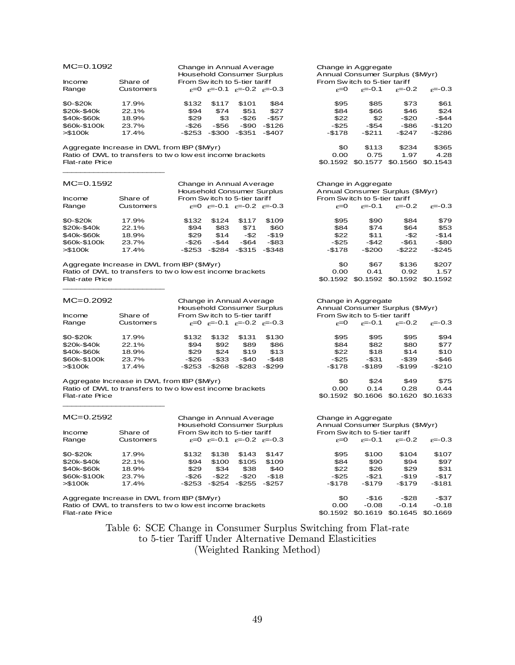| $MC = 0.1092$ | Change in Annual Average<br><b>Household Consumer Surplus</b> |        | From Switch to 5-tier tariff |                                                                      |          | Change in Aggregate<br>Annual Consumer Surplus (\$M/yr)<br>From Sw itch to 5-tier tariff |            |                      |            |
|---------------|---------------------------------------------------------------|--------|------------------------------|----------------------------------------------------------------------|----------|------------------------------------------------------------------------------------------|------------|----------------------|------------|
| Income        | Share of                                                      |        |                              |                                                                      |          |                                                                                          |            |                      |            |
| Range         | Customers                                                     |        |                              | $\epsilon = 0$ $\epsilon = -0.1$ $\epsilon = -0.2$ $\epsilon = -0.3$ |          | $= 0$                                                                                    | $F = -0.1$ | $\varepsilon = -0.2$ | $F = -0.3$ |
| \$0-\$20k     | 17.9%                                                         | \$132  | \$117                        | \$101                                                                | \$84     | \$95                                                                                     | \$85       | \$73                 | \$61       |
| \$20k-\$40k   | 22.1%                                                         | \$94   | \$74                         | \$51                                                                 | \$27     | \$84                                                                                     | \$66       | \$46                 | \$24       |
| \$40k-\$60k   | 18.9%                                                         | \$29   | \$3                          | -\$26                                                                | $-$ \$57 | \$22                                                                                     | \$2        | $-$20$               | $-$44$     |
| \$60k-\$100k  | 23.7%                                                         | -\$26  | -\$56                        | -\$90                                                                | -\$126   | $-$ \$25                                                                                 | $-$ \$54   | -\$86                | $-$120$    |
| > \$100k      | 17.4%                                                         | -\$253 | -\$300                       | $-$ \$351                                                            | -\$407   | $-$178$                                                                                  | $-$ \$211  | $-$ \$247            | $-$ \$286  |

Aggregate Increase in DWL from IBP (\$Myr) Ratio of DWL to transfers to two low est income brackets<br>Flat-rate Price \_\_\_\_\_\_\_\_\_\_\_\_\_\_\_\_\_\_\_\_\_\_\_

| $MC = 0.1592$ | Change in Annual Average<br><b>Household Consumer Surplus</b> |                               |           |                                                                                  | Change in Aggregate<br>Annual Consumer Surplus (\$M/yr) |                               |                      |                      |                      |
|---------------|---------------------------------------------------------------|-------------------------------|-----------|----------------------------------------------------------------------------------|---------------------------------------------------------|-------------------------------|----------------------|----------------------|----------------------|
| <b>Income</b> | Share of                                                      | From Sw itch to 5-tier tariff |           |                                                                                  |                                                         | From Sw itch to 5-tier tariff |                      |                      |                      |
| Range         | Customers                                                     |                               |           | $\varepsilon = 0$ $\varepsilon = -0.1$ $\varepsilon = -0.2$ $\varepsilon = -0.3$ |                                                         | $\varepsilon = 0$             | $\varepsilon = -0.1$ | $\varepsilon = -0.2$ | $\varepsilon = -0.3$ |
| \$0-\$20k     | 17.9%                                                         | \$132                         | \$124     | \$117                                                                            | \$109                                                   | \$95                          | \$90                 | \$84                 | \$79                 |
| \$20k-\$40k   | 22.1%                                                         | \$94                          | \$83      | \$71                                                                             | \$60                                                    | \$84                          | \$74                 | \$64                 | \$53                 |
| \$40k-\$60k   | 18.9%                                                         | \$29                          | \$14      | $-$ \$2                                                                          | -\$19                                                   | \$22                          | \$11                 | $-$ \$2              | -\$14                |
| \$60k-\$100k  | 23.7%                                                         | -\$26                         | $-$ \$44  | -\$64                                                                            | $-$ \$83                                                | -\$25                         | $-$ \$42             | -\$61                | -\$80                |
| > \$100k      | 17.4%                                                         | -\$253                        | $-$ \$284 | -\$315                                                                           | -\$348                                                  | $-$ \$178                     | $-$ \$200            | $-$ \$222            | $-$ \$245            |

Aggregate Increase in DWL from IBP (\$Myr) Ratio of DWL to transfers to two low est income brackets<br>Flat-rate Price \_\_\_\_\_\_\_\_\_\_\_\_\_\_\_\_\_\_\_\_\_\_\_

| $MC = 0.2092$ | Change in Annual Average<br><b>Household Consumer Surplus</b> |          |        |                                                                      | Change in Aggregate<br>Annual Consumer Surplus (\$M/yr) |          |            |                      |            |
|---------------|---------------------------------------------------------------|----------|--------|----------------------------------------------------------------------|---------------------------------------------------------|----------|------------|----------------------|------------|
| <b>Income</b> | From Switch to 5-tier tariff                                  |          |        |                                                                      | From Sw itch to 5-tier tariff                           |          |            |                      |            |
| Range         | Customers                                                     |          |        | $\epsilon = 0$ $\epsilon = -0.1$ $\epsilon = -0.2$ $\epsilon = -0.3$ |                                                         | $5=0$    | $5 = -0.1$ | $\varepsilon = -0.2$ | $F = -0.3$ |
| \$0-\$20k     | 17.9%                                                         | \$132    | \$132  | \$131                                                                | \$130                                                   | \$95     | \$95       | \$95                 | \$94       |
| \$20k-\$40k   | 22.1%                                                         | \$94     | \$92   | \$89                                                                 | \$86                                                    | \$84     | \$82       | \$80                 | \$77       |
| \$40k-\$60k   | 18.9%                                                         | \$29     | \$24   | \$19                                                                 | \$13                                                    | \$22     | \$18       | \$14                 | \$10       |
| \$60k-\$100k  | 23.7%                                                         | $-$ \$26 | -\$33  | -\$40                                                                | $-$ \$48                                                | $-$ \$25 | $-$ \$31   | $-$ \$39             | -\$46      |
| > \$100k      | 17.4%                                                         | -\$253   | -\$268 | -\$283                                                               | -\$299                                                  | $-$178$  | -\$189     | $-$199$              | $-$ \$210  |

Aggregate Increase in DWL from IBP  $(\$Wyr)$ Ratio of DWL to transfers to two low est income brackets Flat-rate Price  $\frac{1}{2}$  ,  $\frac{1}{2}$  ,  $\frac{1}{2}$  ,  $\frac{1}{2}$  ,  $\frac{1}{2}$  ,  $\frac{1}{2}$  ,  $\frac{1}{2}$  ,  $\frac{1}{2}$  ,  $\frac{1}{2}$  ,  $\frac{1}{2}$  ,  $\frac{1}{2}$  ,  $\frac{1}{2}$  ,  $\frac{1}{2}$  ,  $\frac{1}{2}$  ,  $\frac{1}{2}$  ,  $\frac{1}{2}$  ,  $\frac{1}{2}$  ,  $\frac{1}{2}$  ,  $\frac{1$ 

| <b>Household Consumer Surplus</b> |                                                                      |           |          |                               | Annual Consumer Surplus (\$M/yr) |            |            |  |  |  |
|-----------------------------------|----------------------------------------------------------------------|-----------|----------|-------------------------------|----------------------------------|------------|------------|--|--|--|
| From Sw itch to 5-tier tariff     |                                                                      |           |          | From Sw itch to 5-tier tariff |                                  |            |            |  |  |  |
|                                   | $\epsilon = 0$ $\epsilon = -0.1$ $\epsilon = -0.2$ $\epsilon = -0.3$ |           |          | $F=0$                         | $F = -0.1$                       | $s = -0.2$ | $5 = -0.3$ |  |  |  |
| \$132                             | \$117                                                                | \$101     | \$84     | \$95                          | \$85                             | \$73       | \$61       |  |  |  |
| \$94                              | \$74                                                                 | \$51      | \$27     | \$84                          | \$66                             | \$46       | \$24       |  |  |  |
| \$29                              | \$3                                                                  | $-$ \$26  | $-$ \$57 | \$22                          | \$2                              | $-$ \$20   | $-$44$     |  |  |  |
| -\$26                             | -\$56                                                                | -\$90     | -\$126   | -\$25                         | $-$ \$54                         | -\$86      | $-$ \$120  |  |  |  |
| -\$253                            | -\$300                                                               | $-$ \$351 | $-$407$  | $-$178$                       | $-$ \$211                        | $-$ \$247  | -\$286     |  |  |  |
| N IBP (\$M/yr) ו                  |                                                                      |           |          | \$0                           | \$113                            | \$234      | \$365      |  |  |  |
|                                   | low est income brackets                                              |           |          | 0.00                          | 0.75                             | 1.97       | 4.28       |  |  |  |
|                                   |                                                                      |           |          | \$0.1592                      | \$0.1577                         | \$0.1560   | \$0.1543   |  |  |  |
|                                   |                                                                      |           |          |                               |                                  |            |            |  |  |  |

|   | From Sw itch to 5-tier tariff |                      |                      |                      |
|---|-------------------------------|----------------------|----------------------|----------------------|
| 3 | $= 0$                         | $\varepsilon = -0.1$ | $\varepsilon = -0.2$ | $\varepsilon = -0.3$ |
|   |                               |                      |                      |                      |
| 9 | \$95                          | \$90                 | \$84                 | \$79                 |
| D | \$84                          | \$74                 | \$64                 | \$53                 |
| 9 | \$22                          | \$11                 | $-$ \$2              | $-$14$               |
| 3 | -\$25                         | $-$ \$42             | -\$61                | -\$80                |
| B | $-$178$                       | -\$200               | $-$ \$222            | $-$ \$245            |
|   |                               |                      |                      |                      |
|   | \$0                           | \$67                 | \$136                | \$207                |
|   | റ ററ                          | O 11                 | റ ററ                 | 157                  |

\$0.1592 \$0.1592 \$0.1592 \$0.1592

# Change in Aggregate<br>Shanual Consumer Sure

|   |          | From Sw itch to 5-tier tariff |                     |                      |
|---|----------|-------------------------------|---------------------|----------------------|
| З | $= 0$    | $\varepsilon = -0.1$          | $\varepsilon = 0.2$ | $\varepsilon = -0.3$ |
| O | \$95     | \$95                          | \$95                | \$94                 |
| 6 | \$84     | \$82                          | \$80                | \$77                 |
| 3 | \$22     | \$18                          | \$14                | \$10                 |
| 8 | -\$25    | -\$31                         | -\$39               | $-$ \$46             |
| 9 | $-$178$  | $-$189$                       | $-$ \$199           | $-$ \$210            |
|   |          |                               |                     |                      |
|   | \$0      | \$24                          | \$49                | \$75                 |
|   | 0.00     | 0.14                          | 0.28                | 0.44                 |
|   | \$0.1592 | \$0.1606 \$0.1620             |                     | \$0.1633             |

| $MC = 0.2592$   |                                                         |          | Change in Annual Average<br><b>Household Consumer Surplus</b> |                                                                      |        | Change in Aggregate<br>Annual Consumer Surplus (\$M/yr) |                               |            |                      |
|-----------------|---------------------------------------------------------|----------|---------------------------------------------------------------|----------------------------------------------------------------------|--------|---------------------------------------------------------|-------------------------------|------------|----------------------|
| Income          | Share of                                                |          |                                                               | From Sw itch to 5-tier tariff                                        |        |                                                         | From Sw itch to 5-tier tariff |            |                      |
| Range           | Customers                                               |          |                                                               | $\epsilon = 0$ $\epsilon = -0.1$ $\epsilon = -0.2$ $\epsilon = -0.3$ |        | $F=0$                                                   | $F = -0.1$                    | $F = -0.2$ | $\varepsilon = -0.3$ |
| \$0-\$20k       | 17.9%                                                   | \$132    | \$138                                                         | \$143                                                                | \$147  | \$95                                                    | \$100                         | \$104      | \$107                |
| \$20k-\$40k     | 22.1%                                                   | \$94     | \$100                                                         | \$105                                                                | \$109  | \$84                                                    | \$90                          | \$94       | \$97                 |
| \$40k-\$60k     | 18.9%                                                   | \$29     | \$34                                                          | \$38                                                                 | \$40   | \$22                                                    | \$26                          | \$29       | \$31                 |
| \$60k-\$100k    | 23.7%                                                   | $-$ \$26 | $-$ \$22                                                      | $-$ \$20                                                             | -\$18  | $-$ \$25                                                | $-$21$                        | $-$19$     | $-$17$               |
| > \$100k        | 17.4%                                                   | -\$253   | -\$254                                                        | -\$255                                                               | -\$257 | -\$178                                                  | $-$ \$179                     | $-$179$    | -\$181               |
|                 | Aggregate Increase in DWL from IBP (\$M/yr)             |          |                                                               |                                                                      |        | \$O                                                     | $-$16$                        | $-$ \$28   | $-$ \$37             |
|                 | Ratio of DWL to transfers to two lowest income brackets |          |                                                               |                                                                      |        | 0.00                                                    | -0.08                         | $-0.14$    | $-0.18$              |
| Flat-rate Price |                                                         |          |                                                               |                                                                      |        | \$0.1592                                                | \$0.1619                      | \$0.1645   | \$0.1669             |

## Table 6: SCE Change in Consumer Surplus Switching from Flat-rate to 5-tier Tariff Under Alternative Demand Elasticities (Weighted Ranking Method)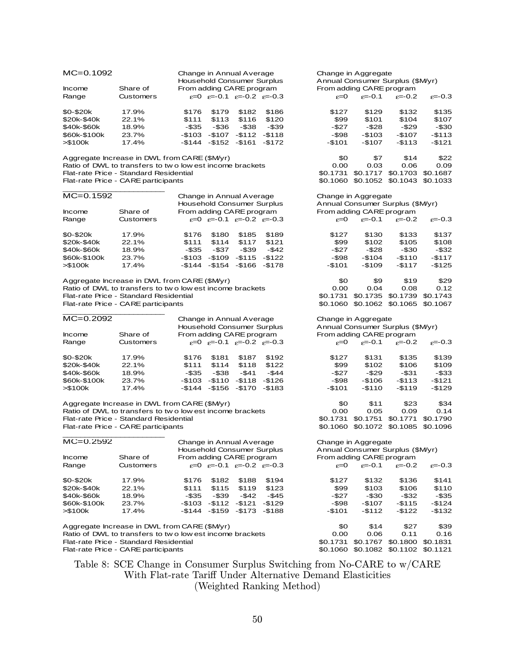| $MC = 0.1092$                                                                  |           | Change in Annual Average                                                                                     | Change in Aggregate                           |                      |                                  |                      |
|--------------------------------------------------------------------------------|-----------|--------------------------------------------------------------------------------------------------------------|-----------------------------------------------|----------------------|----------------------------------|----------------------|
|                                                                                |           | <b>Household Consumer Surplus</b>                                                                            | Annual Consumer Surplus (\$M/yr)              |                      |                                  |                      |
| Income                                                                         | Share of  | From adding CARE program                                                                                     | From adding CARE program                      |                      |                                  |                      |
| Range                                                                          | Customers | $\varepsilon = 0$ $\varepsilon = -0.1$ $\varepsilon = -0.2$ $\varepsilon = -0.3$                             | $\varepsilon = 0$                             | $\varepsilon = -0.1$ | $\varepsilon = -0.2$             | $\varepsilon = -0.3$ |
| \$0-\$20k                                                                      | 17.9%     | \$176<br>\$179<br>\$182<br>\$186                                                                             | \$127                                         | \$129                | \$132                            | \$135                |
| \$20k-\$40k                                                                    | 22.1%     | \$111<br>\$113<br>\$116<br>\$120                                                                             | \$99                                          | \$101                | \$104                            | \$107                |
| \$40k-\$60k                                                                    | 18.9%     | $-$ \$35<br>$-$ \$36<br>$-$ \$38<br>$-$ \$39                                                                 | -\$27                                         | -\$28                | $-$ \$29                         | -\$30                |
| \$60k-\$100k                                                                   | 23.7%     | -\$103 -\$107 -\$112 -\$118                                                                                  | -\$98                                         | -\$103               | -\$107                           | -\$113               |
| >\$100k                                                                        | 17.4%     | $-$144$ $-$152$ $-$161$<br>$-$172$                                                                           | -\$101                                        | $-$107$              | $-$113$                          | $-$121$              |
|                                                                                |           | Aggregate Increase in DWL from CARE (\$M/yr)                                                                 | \$0                                           | \$7                  | \$14                             | \$22                 |
|                                                                                |           | Ratio of DWL to transfers to two low est income brackets                                                     | 0.00                                          | 0.03                 | 0.06                             | 0.09                 |
| Flat-rate Price - Standard Residential                                         |           |                                                                                                              | \$0.1731                                      | \$0.1717             | \$0.1703                         | \$0.1687             |
| Flat-rate Price - CARE participants                                            |           |                                                                                                              | \$0.1060                                      |                      | \$0.1052 \$0.1043                | \$0.1033             |
|                                                                                |           |                                                                                                              |                                               |                      |                                  |                      |
| $MC = 0.1592$<br>Change in Annual Average<br><b>Household Consumer Surplus</b> |           | Change in Aggregate<br>Annual Consumer Surplus (\$M/yr)                                                      |                                               |                      |                                  |                      |
| Income                                                                         | Share of  | From adding CARE program                                                                                     | From adding CARE program                      |                      |                                  |                      |
| Range                                                                          | Customers | $\varepsilon = 0$ $\varepsilon = -0.1$ $\varepsilon = -0.2$ $\varepsilon = -0.3$                             | $\varepsilon = 0$                             | $\varepsilon = -0.1$ | $\varepsilon = -0.2$             | $\varepsilon = -0.3$ |
|                                                                                |           |                                                                                                              |                                               |                      |                                  |                      |
| \$0-\$20k                                                                      | 17.9%     | \$176<br>\$180<br>\$185<br>\$189                                                                             | \$127                                         | \$130                | \$133                            | \$137                |
| \$20k-\$40k                                                                    | 22.1%     | \$111<br>\$114<br>\$117<br>\$121                                                                             | \$99                                          | \$102                | \$105                            | \$108                |
| \$40k-\$60k                                                                    | 18.9%     | $-$ \$35<br>$-$ \$37<br>$-$ \$39<br>$-$ \$42                                                                 | $-$ \$27                                      | $-$ \$28             | $-$ \$30                         | -\$32                |
| \$60k-\$100k                                                                   | 23.7%     | $-$103 - $109$<br>-\$115<br>$-$122$                                                                          | -\$98                                         | $-$104$              | $-$110$                          | -\$117               |
| > \$100k                                                                       | 17.4%     | $-$ \$144<br>-\$154<br>-\$166 -\$178                                                                         | -\$101                                        | $-$109$              | $-$117$                          | -\$125               |
|                                                                                |           | Aggregate Increase in DWL from CARE (\$M/yr)                                                                 | \$0                                           | \$9                  | \$19                             | \$29                 |
|                                                                                |           | Ratio of DWL to transfers to two low est income brackets                                                     | 0.00                                          | 0.04                 | 0.08                             | 0.12                 |
| Flat-rate Price - Standard Residential                                         |           |                                                                                                              | \$0.1731                                      | \$0.1735             | \$0.1739                         | \$0.1743             |
| Flat-rate Price - CARE participants                                            |           |                                                                                                              | \$0.1060                                      | \$0.1062             | \$0.1065                         | \$0.1067             |
| $MC = 0.2092$                                                                  |           |                                                                                                              |                                               |                      |                                  |                      |
|                                                                                |           |                                                                                                              |                                               |                      |                                  |                      |
|                                                                                |           | Change in Annual Average                                                                                     |                                               | Change in Aggregate  |                                  |                      |
| Income                                                                         | Share of  | <b>Household Consumer Surplus</b>                                                                            |                                               |                      | Annual Consumer Surplus (\$M/yr) |                      |
| Range                                                                          | Customers | From adding CARE program<br>$\varepsilon = 0$ $\varepsilon = -0.1$ $\varepsilon = -0.2$ $\varepsilon = -0.3$ | From adding CARE program<br>$\varepsilon = 0$ | $\varepsilon = -0.1$ | $\varepsilon = -0.2$             | $\varepsilon = -0.3$ |
|                                                                                |           |                                                                                                              |                                               |                      |                                  |                      |
| \$0-\$20k                                                                      | 17.9%     | \$176<br>\$181<br>\$187<br>\$192                                                                             | \$127                                         | \$131                | \$135                            | \$139                |
| \$20k-\$40k                                                                    | 22.1%     | \$111<br>\$114<br>\$118<br>\$122                                                                             | \$99                                          | \$102                | \$106                            | \$109                |
| \$40k-\$60k                                                                    | 18.9%     | -\$35<br>-\$38<br>-\$41<br>-\$44                                                                             | -\$27                                         | -\$29                | -\$31                            | -\$33                |
| \$60k-\$100k                                                                   | 23.7%     | $-$126$<br>-\$103 -\$110<br>-\$118                                                                           | -\$98                                         | $-$106$              | $-$113$                          | -\$121               |
| >\$100k                                                                        | 17.4%     | -\$144 -\$156 -\$170 -\$183                                                                                  | -\$101                                        | $-$ \$110            | $-$119$                          | -\$129               |
|                                                                                |           | Aggregate Increase in DWL from CARE (\$M/yr)                                                                 | \$0                                           | \$11                 | \$23                             | \$34                 |
|                                                                                |           | Ratio of DWL to transfers to two low est income brackets                                                     | 0.00                                          | 0.05                 | 0.09                             | 0.14                 |
| Flat-rate Price - Standard Residential                                         |           |                                                                                                              | \$0.1731                                      | \$0.1751             | \$0.1771                         | \$0.1790             |
| Flat-rate Price - CARE participants                                            |           |                                                                                                              | \$0.1060                                      |                      | \$0.1072 \$0.1085                | \$0.1096             |
| MC=0.2592                                                                      |           |                                                                                                              |                                               |                      |                                  |                      |
|                                                                                |           | Change in Annual Average<br>Household Consumer Surplus                                                       | Change in Aggregate                           |                      | Annual Consumer Surplus (\$M/yr) |                      |
| Income                                                                         | Share of  | From adding CARE program                                                                                     | From adding CARE program                      |                      |                                  |                      |
| Range                                                                          | Customers | $\varepsilon = 0$ $\varepsilon = -0.1$ $\varepsilon = -0.2$ $\varepsilon = -0.3$                             | $\varepsilon = 0$                             | $\varepsilon = -0.1$ | $\varepsilon = -0.2$             | $\varepsilon = -0.3$ |
|                                                                                |           |                                                                                                              |                                               |                      |                                  |                      |
| \$0-\$20k                                                                      | 17.9%     | \$176<br>\$182<br>\$194<br>\$188                                                                             | \$127                                         | \$132                | \$136                            | \$141                |
| \$20k-\$40k                                                                    | 22.1%     | \$123<br>\$111<br>\$115<br>\$119                                                                             | \$99                                          | \$103                | \$106                            | \$110                |
| \$40k-\$60k                                                                    | 18.9%     | -\$35<br>$- $39$<br>$-$ \$42<br>-\$45                                                                        | -\$27                                         | $-$ \$30             | -\$32                            | -\$35                |
| \$60k-\$100k                                                                   | 23.7%     | $-$ \$121<br>$-$129$<br>-\$103 -\$112                                                                        | -\$98                                         | -\$107               | -\$115                           | -\$124               |
| >\$100k                                                                        | 17.4%     | $-$144 - $159$<br>-\$173<br>-\$188                                                                           | -\$101                                        | $-$112$              | -\$122                           | $-$132$              |
|                                                                                |           | Aggregate Increase in DWL from CARE (\$M/yr)                                                                 | \$0                                           | \$14                 | \$27                             | \$39                 |
|                                                                                |           | Ratio of DWL to transfers to two low est income brackets                                                     | 0.00                                          | 0.06                 | 0.11                             | 0.16                 |
| Flat-rate Price - Standard Residential<br>Flat-rate Price - CARE participants  |           |                                                                                                              | \$0.1731<br>\$0.1060                          | \$0.1767<br>\$0.1082 | \$0.1800<br>\$0.1102             | \$0.1831<br>\$0.1121 |

Table 8: SCE Change in Consumer Surplus Switching from No-CARE to w/CARE With Flat-rate Tariff Under Alternative Demand Elasticities (Weighted Ranking Method)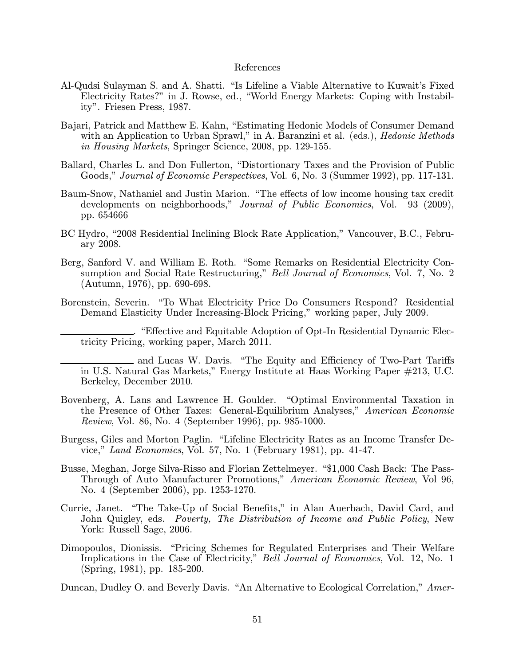#### References

- Al-Qudsi Sulayman S. and A. Shatti. "Is Lifeline a Viable Alternative to Kuwait's Fixed Electricity Rates?" in J. Rowse, ed., "World Energy Markets: Coping with Instability". Friesen Press, 1987.
- Bajari, Patrick and Matthew E. Kahn, "Estimating Hedonic Models of Consumer Demand with an Application to Urban Sprawl," in A. Baranzini et al. (eds.), *Hedonic Methods* in Housing Markets, Springer Science, 2008, pp. 129-155.
- Ballard, Charles L. and Don Fullerton, "Distortionary Taxes and the Provision of Public Goods," *Journal of Economic Perspectives*, Vol. 6, No. 3 (Summer 1992), pp. 117-131.
- Baum-Snow, Nathaniel and Justin Marion. "The effects of low income housing tax credit developments on neighborhoods," Journal of Public Economics, Vol. 93 (2009), pp. 654666
- BC Hydro, "2008 Residential Inclining Block Rate Application," Vancouver, B.C., February 2008.
- Berg, Sanford V. and William E. Roth. "Some Remarks on Residential Electricity Consumption and Social Rate Restructuring," *Bell Journal of Economics*, Vol. 7, No. 2 (Autumn, 1976), pp. 690-698.
- Borenstein, Severin. "To What Electricity Price Do Consumers Respond? Residential Demand Elasticity Under Increasing-Block Pricing," working paper, July 2009.

. "Effective and Equitable Adoption of Opt-In Residential Dynamic Electricity Pricing, working paper, March 2011.

- and Lucas W. Davis. "The Equity and Efficiency of Two-Part Tariffs in U.S. Natural Gas Markets," Energy Institute at Haas Working Paper #213, U.C. Berkeley, December 2010.
- Bovenberg, A. Lans and Lawrence H. Goulder. "Optimal Environmental Taxation in the Presence of Other Taxes: General-Equilibrium Analyses," American Economic Review, Vol. 86, No. 4 (September 1996), pp. 985-1000.
- Burgess, Giles and Morton Paglin. "Lifeline Electricity Rates as an Income Transfer Device," Land Economics, Vol. 57, No. 1 (February 1981), pp. 41-47.
- Busse, Meghan, Jorge Silva-Risso and Florian Zettelmeyer. "\$1,000 Cash Back: The Pass-Through of Auto Manufacturer Promotions," American Economic Review, Vol 96, No. 4 (September 2006), pp. 1253-1270.
- Currie, Janet. "The Take-Up of Social Benefits," in Alan Auerbach, David Card, and John Quigley, eds. *Poverty, The Distribution of Income and Public Policy*, New York: Russell Sage, 2006.
- Dimopoulos, Dionissis. "Pricing Schemes for Regulated Enterprises and Their Welfare Implications in the Case of Electricity," Bell Journal of Economics, Vol. 12, No. 1 (Spring, 1981), pp. 185-200.

Duncan, Dudley O. and Beverly Davis. "An Alternative to Ecological Correlation," Amer-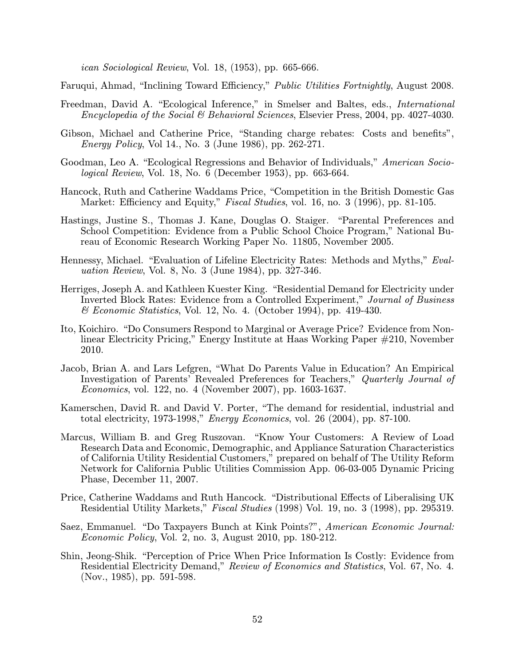ican Sociological Review, Vol. 18, (1953), pp. 665-666.

Faruqui, Ahmad, "Inclining Toward Efficiency," *Public Utilities Fortnightly*, August 2008.

- Freedman, David A. "Ecological Inference," in Smelser and Baltes, eds., International Encyclopedia of the Social & Behavioral Sciences, Elsevier Press, 2004, pp. 4027-4030.
- Gibson, Michael and Catherine Price, "Standing charge rebates: Costs and benefits", Energy Policy, Vol 14., No. 3 (June 1986), pp. 262-271.
- Goodman, Leo A. "Ecological Regressions and Behavior of Individuals," American Sociological Review, Vol. 18, No. 6 (December 1953), pp. 663-664.
- Hancock, Ruth and Catherine Waddams Price, "Competition in the British Domestic Gas Market: Efficiency and Equity," *Fiscal Studies*, vol. 16, no. 3 (1996), pp. 81-105.
- Hastings, Justine S., Thomas J. Kane, Douglas O. Staiger. "Parental Preferences and School Competition: Evidence from a Public School Choice Program," National Bureau of Economic Research Working Paper No. 11805, November 2005.
- Hennessy, Michael. "Evaluation of Lifeline Electricity Rates: Methods and Myths," Evaluation Review, Vol. 8, No. 3 (June 1984), pp. 327-346.
- Herriges, Joseph A. and Kathleen Kuester King. "Residential Demand for Electricity under Inverted Block Rates: Evidence from a Controlled Experiment," Journal of Business & Economic Statistics, Vol. 12, No. 4. (October 1994), pp. 419-430.
- Ito, Koichiro. "Do Consumers Respond to Marginal or Average Price? Evidence from Nonlinear Electricity Pricing," Energy Institute at Haas Working Paper #210, November 2010.
- Jacob, Brian A. and Lars Lefgren, "What Do Parents Value in Education? An Empirical Investigation of Parents' Revealed Preferences for Teachers," Quarterly Journal of Economics, vol. 122, no. 4 (November 2007), pp. 1603-1637.
- Kamerschen, David R. and David V. Porter, "The demand for residential, industrial and total electricity, 1973-1998," Energy Economics, vol. 26 (2004), pp. 87-100.
- Marcus, William B. and Greg Ruszovan. "Know Your Customers: A Review of Load Research Data and Economic, Demographic, and Appliance Saturation Characteristics of California Utility Residential Customers," prepared on behalf of The Utility Reform Network for California Public Utilities Commission App. 06-03-005 Dynamic Pricing Phase, December 11, 2007.
- Price, Catherine Waddams and Ruth Hancock. "Distributional Effects of Liberalising UK Residential Utility Markets," Fiscal Studies (1998) Vol. 19, no. 3 (1998), pp. 295319.
- Saez, Emmanuel. "Do Taxpayers Bunch at Kink Points?", American Economic Journal: Economic Policy, Vol. 2, no. 3, August 2010, pp. 180-212.
- Shin, Jeong-Shik. "Perception of Price When Price Information Is Costly: Evidence from Residential Electricity Demand," Review of Economics and Statistics, Vol. 67, No. 4. (Nov., 1985), pp. 591-598.